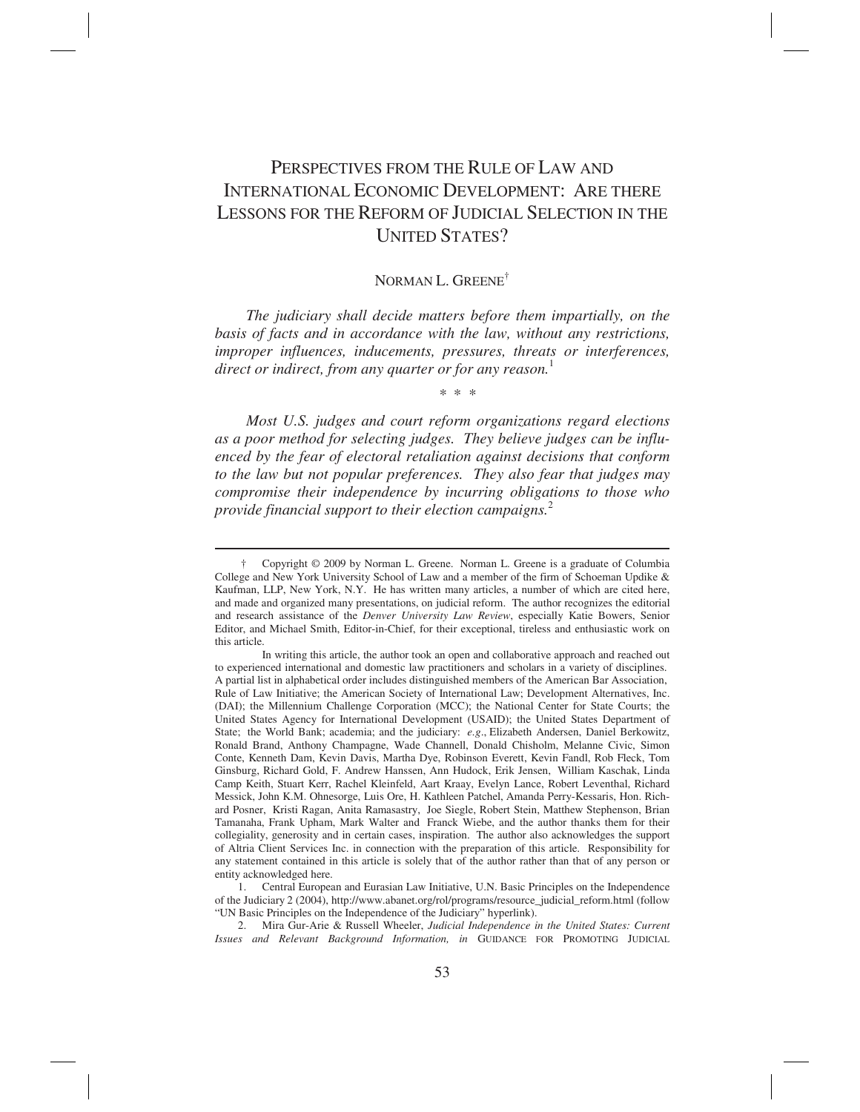# PERSPECTIVES FROM THE RULE OF LAW AND INTERNATIONAL ECONOMIC DEVELOPMENT: ARE THERE LESSONS FOR THE REFORM OF JUDICIAL SELECTION IN THE UNITED STATES?

# NORMAN L. GREENE<sup>†</sup>

*The judiciary shall decide matters before them impartially, on the basis of facts and in accordance with the law, without any restrictions, improper influences, inducements, pressures, threats or interferences, direct or indirect, from any quarter or for any reason.*<sup>1</sup>

\* \* \*

*Most U.S. judges and court reform organizations regard elections as a poor method for selecting judges. They believe judges can be influenced by the fear of electoral retaliation against decisions that conform to the law but not popular preferences. They also fear that judges may compromise their independence by incurring obligations to those who provide financial support to their election campaigns.*<sup>2</sup>

 $\overline{a}$ 

 1. Central European and Eurasian Law Initiative, U.N. Basic Principles on the Independence of the Judiciary 2 (2004), http://www.abanet.org/rol/programs/resource\_judicial\_reform.html (follow "UN Basic Principles on the Independence of the Judiciary" hyperlink).

 2. Mira Gur-Arie & Russell Wheeler, *Judicial Independence in the United States: Current Issues and Relevant Background Information, in* GUIDANCE FOR PROMOTING JUDICIAL

 <sup>†</sup> Copyright © 2009 by Norman L. Greene. Norman L. Greene is a graduate of Columbia College and New York University School of Law and a member of the firm of Schoeman Updike & Kaufman, LLP, New York, N.Y. He has written many articles, a number of which are cited here, and made and organized many presentations, on judicial reform. The author recognizes the editorial and research assistance of the *Denver University Law Review*, especially Katie Bowers, Senior Editor, and Michael Smith, Editor-in-Chief, for their exceptional, tireless and enthusiastic work on this article.

In writing this article, the author took an open and collaborative approach and reached out to experienced international and domestic law practitioners and scholars in a variety of disciplines. A partial list in alphabetical order includes distinguished members of the American Bar Association, Rule of Law Initiative; the American Society of International Law; Development Alternatives, Inc. (DAI); the Millennium Challenge Corporation (MCC); the National Center for State Courts; the United States Agency for International Development (USAID); the United States Department of State; the World Bank; academia; and the judiciary: *e.g*., Elizabeth Andersen, Daniel Berkowitz, Ronald Brand, Anthony Champagne, Wade Channell, Donald Chisholm, Melanne Civic, Simon Conte, Kenneth Dam, Kevin Davis, Martha Dye, Robinson Everett, Kevin Fandl, Rob Fleck, Tom Ginsburg, Richard Gold, F. Andrew Hanssen, Ann Hudock, Erik Jensen, William Kaschak, Linda Camp Keith, Stuart Kerr, Rachel Kleinfeld, Aart Kraay, Evelyn Lance, Robert Leventhal, Richard Messick, John K.M. Ohnesorge, Luis Ore, H. Kathleen Patchel, Amanda Perry-Kessaris, Hon. Richard Posner, Kristi Ragan, Anita Ramasastry, Joe Siegle, Robert Stein, Matthew Stephenson, Brian Tamanaha, Frank Upham, Mark Walter and Franck Wiebe, and the author thanks them for their collegiality, generosity and in certain cases, inspiration. The author also acknowledges the support of Altria Client Services Inc. in connection with the preparation of this article. Responsibility for any statement contained in this article is solely that of the author rather than that of any person or entity acknowledged here.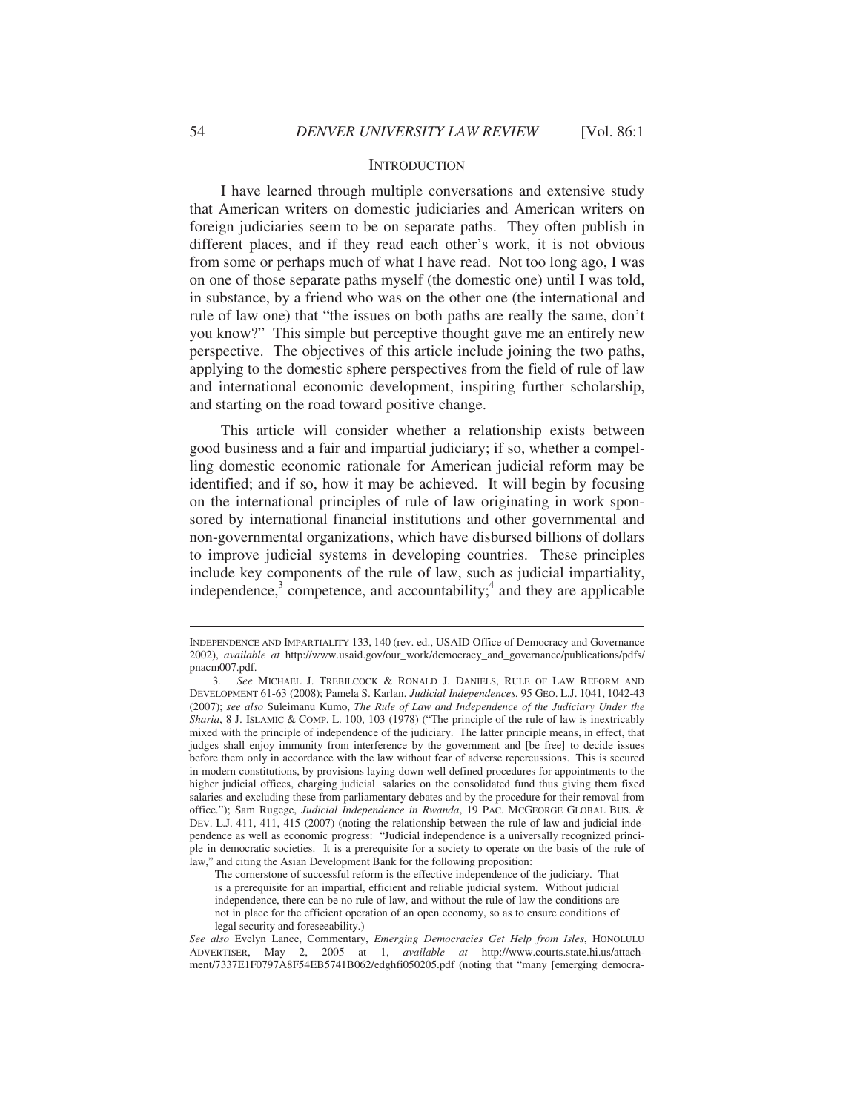#### **INTRODUCTION**

I have learned through multiple conversations and extensive study that American writers on domestic judiciaries and American writers on foreign judiciaries seem to be on separate paths. They often publish in different places, and if they read each other's work, it is not obvious from some or perhaps much of what I have read. Not too long ago, I was on one of those separate paths myself (the domestic one) until I was told, in substance, by a friend who was on the other one (the international and rule of law one) that "the issues on both paths are really the same, don't you know?" This simple but perceptive thought gave me an entirely new perspective. The objectives of this article include joining the two paths, applying to the domestic sphere perspectives from the field of rule of law and international economic development, inspiring further scholarship, and starting on the road toward positive change.

This article will consider whether a relationship exists between good business and a fair and impartial judiciary; if so, whether a compelling domestic economic rationale for American judicial reform may be identified; and if so, how it may be achieved. It will begin by focusing on the international principles of rule of law originating in work sponsored by international financial institutions and other governmental and non-governmental organizations, which have disbursed billions of dollars to improve judicial systems in developing countries. These principles include key components of the rule of law, such as judicial impartiality, independence, $3$  competence, and accountability; $4$  and they are applicable

INDEPENDENCE AND IMPARTIALITY 133, 140 (rev. ed., USAID Office of Democracy and Governance 2002), *available at* http://www.usaid.gov/our\_work/democracy\_and\_governance/publications/pdfs/ pnacm007.pdf.

 <sup>3</sup>*. See* MICHAEL J. TREBILCOCK & RONALD J. DANIELS, RULE OF LAW REFORM AND DEVELOPMENT 61-63 (2008); Pamela S. Karlan, *Judicial Independences*, 95 GEO. L.J. 1041, 1042-43 (2007); *see also* Suleimanu Kumo, *The Rule of Law and Independence of the Judiciary Under the Sharia*, 8 J. ISLAMIC & COMP. L. 100, 103 (1978) ("The principle of the rule of law is inextricably mixed with the principle of independence of the judiciary. The latter principle means, in effect, that judges shall enjoy immunity from interference by the government and [be free] to decide issues before them only in accordance with the law without fear of adverse repercussions. This is secured in modern constitutions, by provisions laying down well defined procedures for appointments to the higher judicial offices, charging judicial salaries on the consolidated fund thus giving them fixed salaries and excluding these from parliamentary debates and by the procedure for their removal from office."); Sam Rugege, *Judicial Independence in Rwanda*, 19 PAC. MCGEORGE GLOBAL BUS. & DEV. L.J. 411, 411, 415 (2007) (noting the relationship between the rule of law and judicial independence as well as economic progress: "Judicial independence is a universally recognized principle in democratic societies. It is a prerequisite for a society to operate on the basis of the rule of law," and citing the Asian Development Bank for the following proposition:

The cornerstone of successful reform is the effective independence of the judiciary. That is a prerequisite for an impartial, efficient and reliable judicial system. Without judicial independence, there can be no rule of law, and without the rule of law the conditions are not in place for the efficient operation of an open economy, so as to ensure conditions of legal security and foreseeability.)

*See also* Evelyn Lance, Commentary, *Emerging Democracies Get Help from Isles*, HONOLULU ADVERTISER, May 2, 2005 at 1, *available at* http://www.courts.state.hi.us/attachment/7337E1F0797A8F54EB5741B062/edghfi050205.pdf (noting that "many [emerging democra-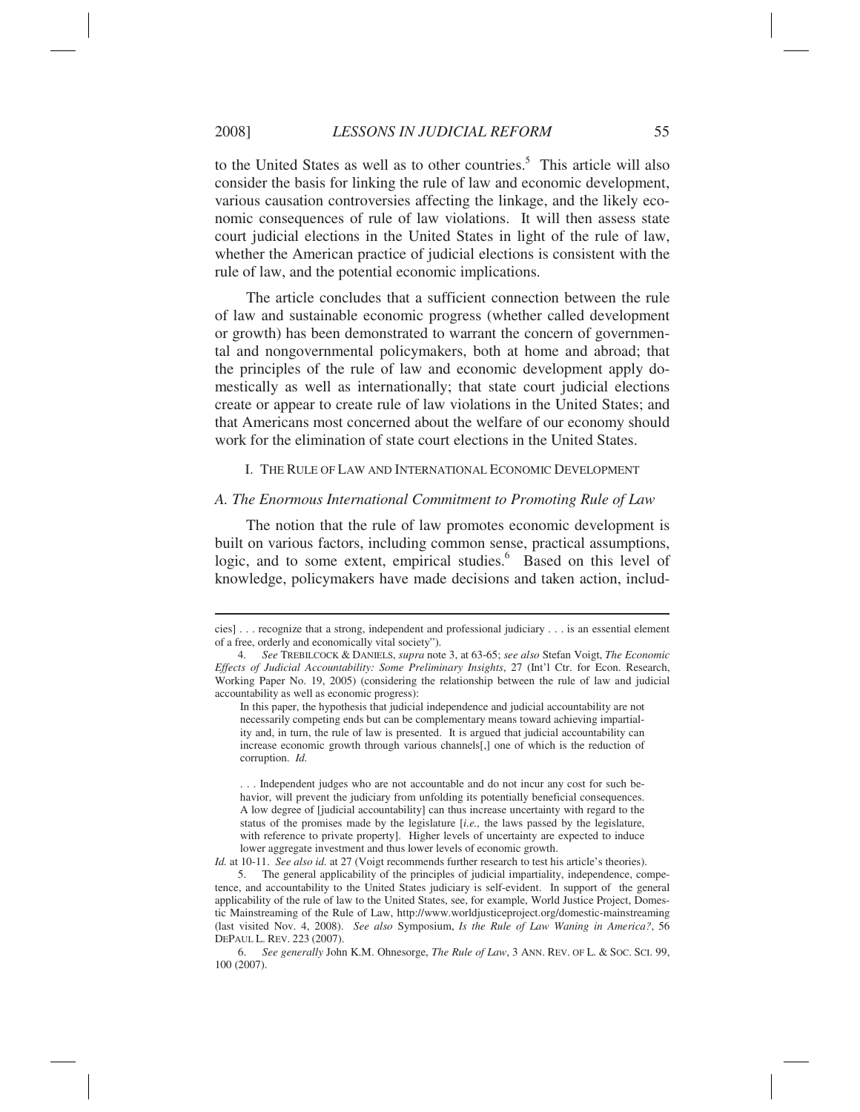to the United States as well as to other countries.<sup>5</sup> This article will also consider the basis for linking the rule of law and economic development, various causation controversies affecting the linkage, and the likely economic consequences of rule of law violations. It will then assess state court judicial elections in the United States in light of the rule of law, whether the American practice of judicial elections is consistent with the rule of law, and the potential economic implications.

The article concludes that a sufficient connection between the rule of law and sustainable economic progress (whether called development or growth) has been demonstrated to warrant the concern of governmental and nongovernmental policymakers, both at home and abroad; that the principles of the rule of law and economic development apply domestically as well as internationally; that state court judicial elections create or appear to create rule of law violations in the United States; and that Americans most concerned about the welfare of our economy should work for the elimination of state court elections in the United States.

I. THE RULE OF LAW AND INTERNATIONAL ECONOMIC DEVELOPMENT

#### *A. The Enormous International Commitment to Promoting Rule of Law*

The notion that the rule of law promotes economic development is built on various factors, including common sense, practical assumptions, logic, and to some extent, empirical studies.<sup>6</sup> Based on this level of knowledge, policymakers have made decisions and taken action, includ-

 $\overline{a}$ 

*Id.* at 10-11. *See also id.* at 27 (Voigt recommends further research to test his article's theories).

cies] . . . recognize that a strong, independent and professional judiciary . . . is an essential element of a free, orderly and economically vital society").

 <sup>4</sup>*. See* TREBILCOCK & DANIELS, *supra* note 3, at 63-65; *see also* Stefan Voigt, *The Economic Effects of Judicial Accountability: Some Preliminary Insights*, 27 (Int'l Ctr. for Econ. Research, Working Paper No. 19, 2005) (considering the relationship between the rule of law and judicial accountability as well as economic progress):

In this paper, the hypothesis that judicial independence and judicial accountability are not necessarily competing ends but can be complementary means toward achieving impartiality and, in turn, the rule of law is presented. It is argued that judicial accountability can increase economic growth through various channels[,] one of which is the reduction of corruption. *Id.*

<sup>. . .</sup> Independent judges who are not accountable and do not incur any cost for such behavior, will prevent the judiciary from unfolding its potentially beneficial consequences. A low degree of [judicial accountability] can thus increase uncertainty with regard to the status of the promises made by the legislature [*i.e.,* the laws passed by the legislature, with reference to private property]. Higher levels of uncertainty are expected to induce lower aggregate investment and thus lower levels of economic growth.

 <sup>5.</sup> The general applicability of the principles of judicial impartiality, independence, competence, and accountability to the United States judiciary is self-evident. In support of the general applicability of the rule of law to the United States, see, for example, World Justice Project, Domestic Mainstreaming of the Rule of Law, http://www.worldjusticeproject.org/domestic-mainstreaming (last visited Nov. 4, 2008). *See also* Symposium, *Is the Rule of Law Waning in America?*, 56 DEPAUL L. REV. 223 (2007).

 <sup>6.</sup> *See generally* John K.M. Ohnesorge, *The Rule of Law*, 3 ANN. REV. OF L. & SOC. SCI. 99, 100 (2007).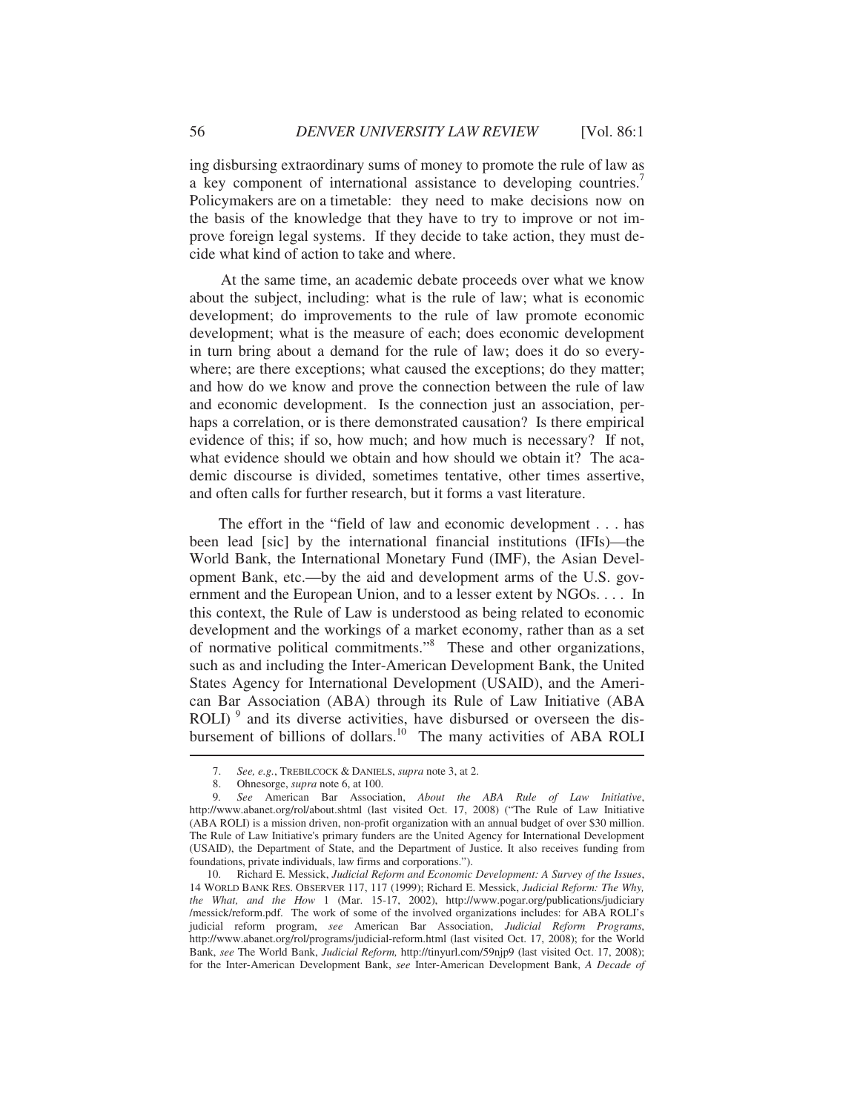ing disbursing extraordinary sums of money to promote the rule of law as a key component of international assistance to developing countries.<sup>7</sup> Policymakers are on a timetable: they need to make decisions now on the basis of the knowledge that they have to try to improve or not improve foreign legal systems. If they decide to take action, they must decide what kind of action to take and where.

At the same time, an academic debate proceeds over what we know about the subject, including: what is the rule of law; what is economic development; do improvements to the rule of law promote economic development; what is the measure of each; does economic development in turn bring about a demand for the rule of law; does it do so everywhere; are there exceptions; what caused the exceptions; do they matter; and how do we know and prove the connection between the rule of law and economic development. Is the connection just an association, perhaps a correlation, or is there demonstrated causation? Is there empirical evidence of this; if so, how much; and how much is necessary? If not, what evidence should we obtain and how should we obtain it? The academic discourse is divided, sometimes tentative, other times assertive, and often calls for further research, but it forms a vast literature.

 The effort in the "field of law and economic development . . . has been lead [sic] by the international financial institutions (IFIs)—the World Bank, the International Monetary Fund (IMF), the Asian Development Bank, etc.—by the aid and development arms of the U.S. government and the European Union, and to a lesser extent by NGOs. . . . In this context, the Rule of Law is understood as being related to economic development and the workings of a market economy, rather than as a set of normative political commitments."8 These and other organizations, such as and including the Inter-American Development Bank, the United States Agency for International Development (USAID), and the American Bar Association (ABA) through its Rule of Law Initiative (ABA  $ROLI$ <sup>9</sup> and its diverse activities, have disbursed or overseen the disbursement of billions of dollars.<sup>10</sup> The many activities of ABA ROLI

 <sup>7.</sup> *See, e.g.*, TREBILCOCK & DANIELS, *supra* note 3, at 2.

 <sup>8.</sup> Ohnesorge, *supra* note 6, at 100.

 <sup>9</sup>*. See* American Bar Association, *About the ABA Rule of Law Initiative*, http://www.abanet.org/rol/about.shtml (last visited Oct. 17, 2008) ("The Rule of Law Initiative (ABA ROLI) is a mission driven, non-profit organization with an annual budget of over \$30 million. The Rule of Law Initiative's primary funders are the United Agency for International Development (USAID), the Department of State, and the Department of Justice. It also receives funding from foundations, private individuals, law firms and corporations.").

 <sup>10.</sup> Richard E. Messick, *Judicial Reform and Economic Development: A Survey of the Issues*, 14 WORLD BANK RES. OBSERVER 117, 117 (1999); Richard E. Messick, *Judicial Reform: The Why, the What, and the How* 1 (Mar. 15-17, 2002), http://www.pogar.org/publications/judiciary /messick/reform.pdf. The work of some of the involved organizations includes: for ABA ROLI's judicial reform program, *see* American Bar Association, *Judicial Reform Programs*, http://www.abanet.org/rol/programs/judicial-reform.html (last visited Oct. 17, 2008); for the World Bank, *see* The World Bank, *Judicial Reform,* http://tinyurl.com/59njp9 (last visited Oct. 17, 2008); for the Inter-American Development Bank, *see* Inter-American Development Bank, *A Decade of*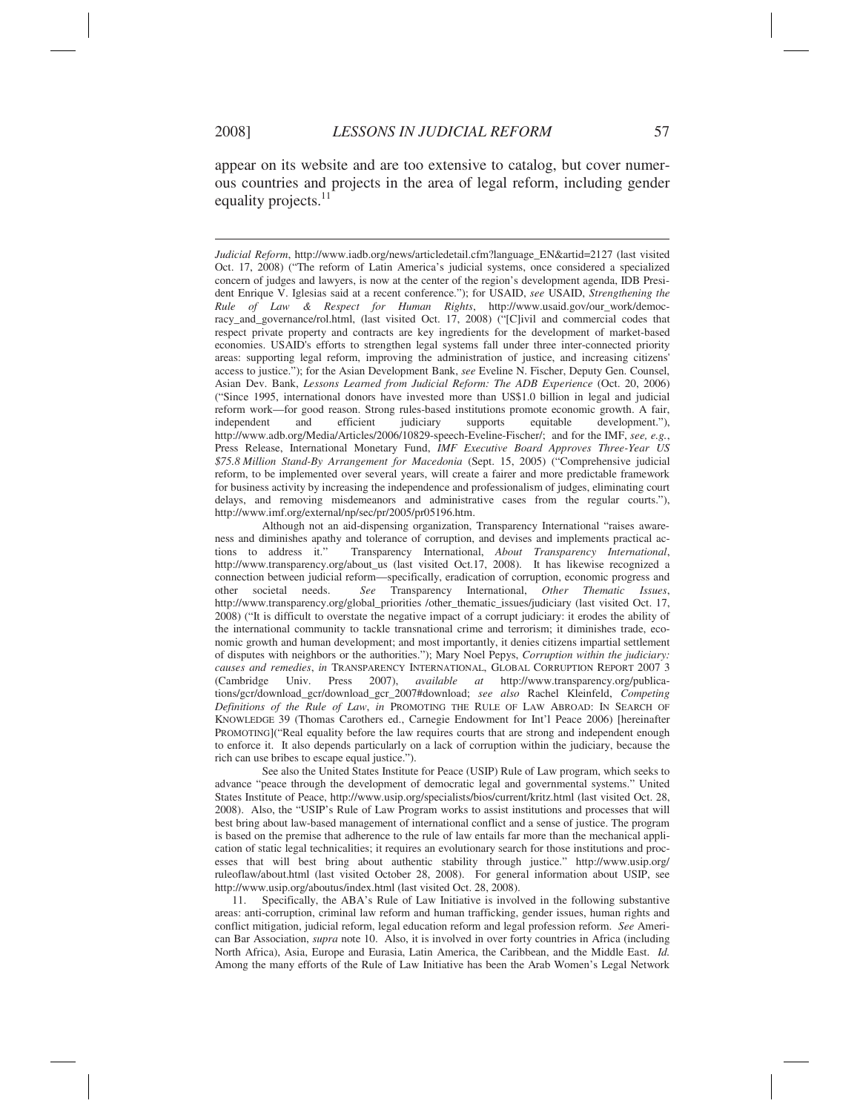$\overline{a}$ 

appear on its website and are too extensive to catalog, but cover numerous countries and projects in the area of legal reform, including gender equality projects.<sup>11</sup>

*Judicial Reform*, http://www.iadb.org/news/articledetail.cfm?language\_EN&artid=2127 (last visited Oct. 17, 2008) ("The reform of Latin America's judicial systems, once considered a specialized concern of judges and lawyers, is now at the center of the region's development agenda, IDB President Enrique V. Iglesias said at a recent conference."); for USAID, *see* USAID, *Strengthening the Rule of Law & Respect for Human Rights*, http://www.usaid.gov/our\_work/democracy\_and\_governance/rol.html, (last visited Oct. 17, 2008) ("[C]ivil and commercial codes that respect private property and contracts are key ingredients for the development of market-based economies. USAID's efforts to strengthen legal systems fall under three inter-connected priority areas: supporting legal reform, improving the administration of justice, and increasing citizens' access to justice."); for the Asian Development Bank, *see* Eveline N. Fischer, Deputy Gen. Counsel, Asian Dev. Bank, *Lessons Learned from Judicial Reform: The ADB Experience* (Oct. 20, 2006) ("Since 1995, international donors have invested more than US\$1.0 billion in legal and judicial reform work—for good reason. Strong rules-based institutions promote economic growth. A fair, independent and efficient judiciary supports equitable development."), independent and efficient judiciary supports equitable development."), http://www.adb.org/Media/Articles/2006/10829-speech-Eveline-Fischer/; and for the IMF, *see, e.g.*, Press Release, International Monetary Fund, *IMF Executive Board Approves Three-Year US \$75.8 Million Stand-By Arrangement for Macedonia* (Sept. 15, 2005) ("Comprehensive judicial reform, to be implemented over several years, will create a fairer and more predictable framework for business activity by increasing the independence and professionalism of judges, eliminating court delays, and removing misdemeanors and administrative cases from the regular courts."), http://www.imf.org/external/np/sec/pr/2005/pr05196.htm.

 Although not an aid-dispensing organization, Transparency International "raises awareness and diminishes apathy and tolerance of corruption, and devises and implements practical actions to address it." Transparency International, *About Transparency International*, http://www.transparency.org/about\_us (last visited Oct.17, 2008). It has likewise recognized a connection between judicial reform—specifically, eradication of corruption, economic progress and other societal needs. *See* Transparency International, *Other Thematic Issues*, http://www.transparency.org/global\_priorities /other\_thematic\_issues/judiciary (last visited Oct. 17, 2008) ("It is difficult to overstate the negative impact of a corrupt judiciary: it erodes the ability of the international community to tackle transnational crime and terrorism; it diminishes trade, economic growth and human development; and most importantly, it denies citizens impartial settlement of disputes with neighbors or the authorities."); Mary Noel Pepys, *Corruption within the judiciary: causes and remedies*, *in* TRANSPARENCY INTERNATIONAL, GLOBAL CORRUPTION REPORT 2007 3 (Cambridge Univ. Press 2007), *available at* http://www.transparency.org/publications/gcr/download\_gcr/download\_gcr\_2007#download; *see also* Rachel Kleinfeld, *Competing Definitions of the Rule of Law*, *in* PROMOTING THE RULE OF LAW ABROAD: IN SEARCH OF KNOWLEDGE 39 (Thomas Carothers ed., Carnegie Endowment for Int'l Peace 2006) [hereinafter PROMOTING]("Real equality before the law requires courts that are strong and independent enough to enforce it. It also depends particularly on a lack of corruption within the judiciary, because the rich can use bribes to escape equal justice.").

 See also the United States Institute for Peace (USIP) Rule of Law program, which seeks to advance "peace through the development of democratic legal and governmental systems." United States Institute of Peace, http://www.usip.org/specialists/bios/current/kritz.html (last visited Oct. 28, 2008). Also, the "USIP's Rule of Law Program works to assist institutions and processes that will best bring about law-based management of international conflict and a sense of justice. The program is based on the premise that adherence to the rule of law entails far more than the mechanical application of static legal technicalities; it requires an evolutionary search for those institutions and processes that will best bring about authentic stability through justice." http://www.usip.org/ ruleoflaw/about.html (last visited October 28, 2008). For general information about USIP, see http://www.usip.org/aboutus/index.html (last visited Oct. 28, 2008).

 11. Specifically, the ABA's Rule of Law Initiative is involved in the following substantive areas: anti-corruption, criminal law reform and human trafficking, gender issues, human rights and conflict mitigation, judicial reform, legal education reform and legal profession reform. *See* American Bar Association, *supra* note 10. Also, it is involved in over forty countries in Africa (including North Africa), Asia, Europe and Eurasia, Latin America, the Caribbean, and the Middle East. *Id.* Among the many efforts of the Rule of Law Initiative has been the Arab Women's Legal Network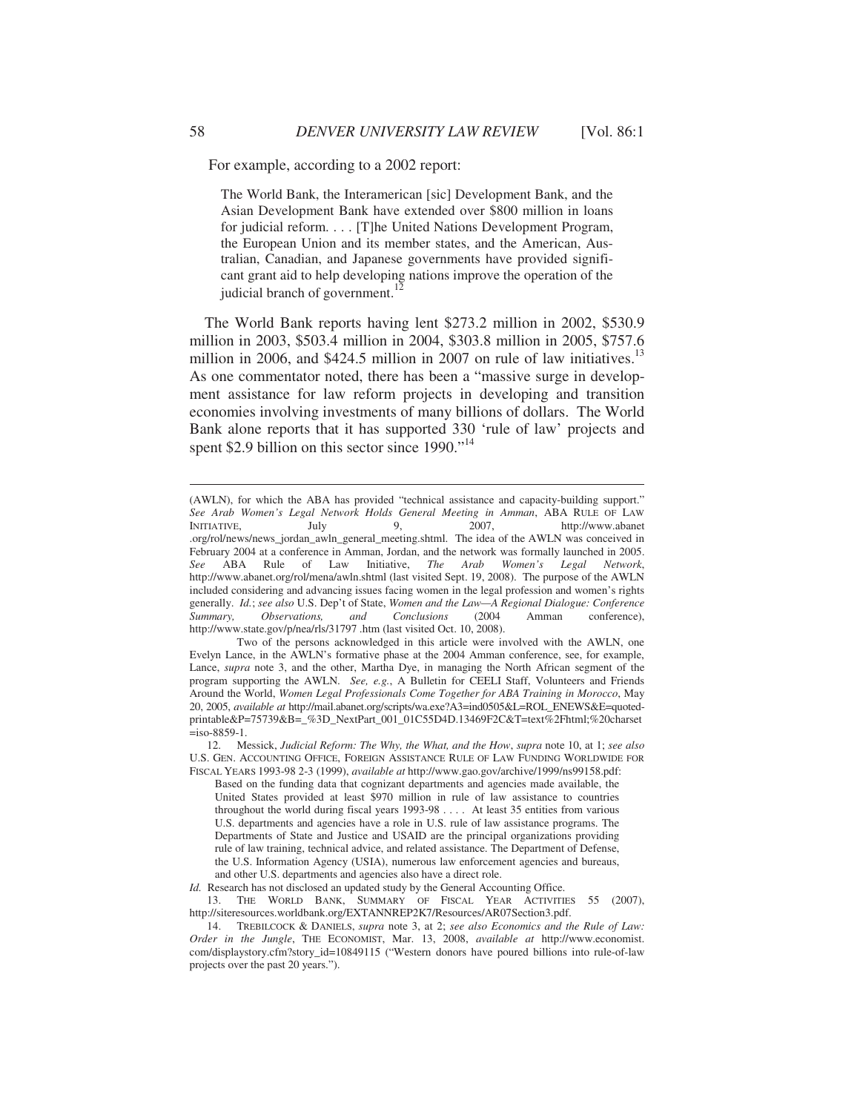For example, according to a 2002 report:

The World Bank, the Interamerican [sic] Development Bank, and the Asian Development Bank have extended over \$800 million in loans for judicial reform. . . . [T]he United Nations Development Program, the European Union and its member states, and the American, Australian, Canadian, and Japanese governments have provided significant grant aid to help developing nations improve the operation of the judicial branch of government. $^{12}$ 

The World Bank reports having lent \$273.2 million in 2002, \$530.9 million in 2003, \$503.4 million in 2004, \$303.8 million in 2005, \$757.6 million in 2006, and  $$424.5$  million in 2007 on rule of law initiatives.<sup>13</sup> As one commentator noted, there has been a "massive surge in development assistance for law reform projects in developing and transition economies involving investments of many billions of dollars. The World Bank alone reports that it has supported 330 'rule of law' projects and spent \$2.9 billion on this sector since 1990."<sup>14</sup>

*Id.* Research has not disclosed an updated study by the General Accounting Office.

 13. THE WORLD BANK, SUMMARY OF FISCAL YEAR ACTIVITIES 55 (2007), http://siteresources.worldbank.org/EXTANNREP2K7/Resources/AR07Section3.pdf.

<sup>(</sup>AWLN), for which the ABA has provided "technical assistance and capacity-building support." *See Arab Women's Legal Network Holds General Meeting in Amman*, ABA RULE OF LAW INITIATIVE, July 9, 2007, http://www.abanet .org/rol/news/news\_jordan\_awln\_general\_meeting.shtml. The idea of the AWLN was conceived in February 2004 at a conference in Amman, Jordan, and the network was formally launched in 2005. *See* ABA Rule of Law Initiative, *The Arab Women's Legal Network*, http://www.abanet.org/rol/mena/awln.shtml (last visited Sept. 19, 2008). The purpose of the AWLN included considering and advancing issues facing women in the legal profession and women's rights generally. *Id.*; *see also* U.S. Dep't of State, *Women and the Law—A Regional Dialogue: Conference Summary, Observations, and Conclusions* (2004 Amman conference), http://www.state.gov/p/nea/rls/31797 .htm (last visited Oct. 10, 2008).

Two of the persons acknowledged in this article were involved with the AWLN, one Evelyn Lance, in the AWLN's formative phase at the 2004 Amman conference, see, for example, Lance, *supra* note 3, and the other, Martha Dye, in managing the North African segment of the program supporting the AWLN. *See, e.g.*, A Bulletin for CEELI Staff, Volunteers and Friends Around the World, *Women Legal Professionals Come Together for ABA Training in Morocco*, May 20, 2005, *available at* http://mail.abanet.org/scripts/wa.exe?A3=ind0505&L=ROL\_ENEWS&E=quotedprintable&P=75739&B=\_%3D\_NextPart\_001\_01C55D4D.13469F2C&T=text%2Fhtml;%20charset  $=$ iso-8859-1.

 <sup>12.</sup> Messick, *Judicial Reform: The Why, the What, and the How*, *supra* note 10, at 1; *see also* U.S. GEN. ACCOUNTING OFFICE, FOREIGN ASSISTANCE RULE OF LAW FUNDING WORLDWIDE FOR FISCAL YEARS 1993-98 2-3 (1999), *available at* http://www.gao.gov/archive/1999/ns99158.pdf:

Based on the funding data that cognizant departments and agencies made available, the United States provided at least \$970 million in rule of law assistance to countries throughout the world during fiscal years 1993-98 . . . . At least 35 entities from various U.S. departments and agencies have a role in U.S. rule of law assistance programs. The Departments of State and Justice and USAID are the principal organizations providing rule of law training, technical advice, and related assistance. The Department of Defense, the U.S. Information Agency (USIA), numerous law enforcement agencies and bureaus, and other U.S. departments and agencies also have a direct role.

 <sup>14.</sup> TREBILCOCK & DANIELS, *supra* note 3, at 2; *see also Economics and the Rule of Law: Order in the Jungle*, THE ECONOMIST, Mar. 13, 2008, *available at* http://www.economist. com/displaystory.cfm?story\_id=10849115 ("Western donors have poured billions into rule-of-law projects over the past 20 years.").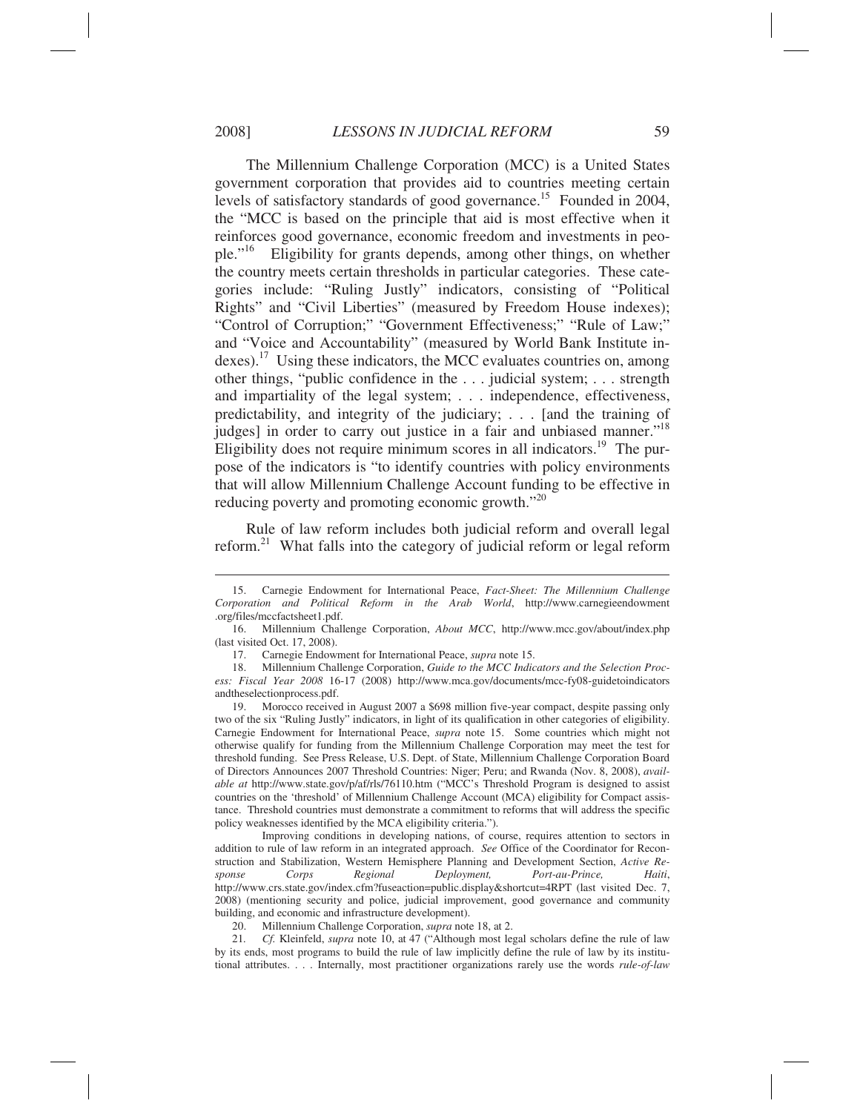The Millennium Challenge Corporation (MCC) is a United States government corporation that provides aid to countries meeting certain levels of satisfactory standards of good governance.<sup>15</sup> Founded in 2004, the "MCC is based on the principle that aid is most effective when it reinforces good governance, economic freedom and investments in people."16 Eligibility for grants depends, among other things, on whether the country meets certain thresholds in particular categories. These categories include: "Ruling Justly" indicators, consisting of "Political Rights" and "Civil Liberties" (measured by Freedom House indexes); "Control of Corruption;" "Government Effectiveness;" "Rule of Law;" and "Voice and Accountability" (measured by World Bank Institute indexes).17 Using these indicators, the MCC evaluates countries on, among other things, "public confidence in the . . . judicial system; . . . strength and impartiality of the legal system; . . . independence, effectiveness, predictability, and integrity of the judiciary; . . . [and the training of judges] in order to carry out justice in a fair and unbiased manner."<sup>18</sup> Eligibility does not require minimum scores in all indicators.<sup>19</sup> The purpose of the indicators is "to identify countries with policy environments that will allow Millennium Challenge Account funding to be effective in reducing poverty and promoting economic growth."20

Rule of law reform includes both judicial reform and overall legal reform.21 What falls into the category of judicial reform or legal reform

 Improving conditions in developing nations, of course, requires attention to sectors in addition to rule of law reform in an integrated approach. *See* Office of the Coordinator for Reconstruction and Stabilization, Western Hemisphere Planning and Development Section, *Active Response Corps Regional Deployment, Port-au-Prince, Haiti*, http://www.crs.state.gov/index.cfm?fuseaction=public.display&shortcut=4RPT (last visited Dec. 7, 2008) (mentioning security and police, judicial improvement, good governance and community building, and economic and infrastructure development).

20. Millennium Challenge Corporation, *supra* note 18, at 2.

 21*. Cf.* Kleinfeld, *supra* note 10, at 47 ("Although most legal scholars define the rule of law by its ends, most programs to build the rule of law implicitly define the rule of law by its institutional attributes. . . . Internally, most practitioner organizations rarely use the words *rule-of-law* 

 <sup>15.</sup> Carnegie Endowment for International Peace, *Fact-Sheet: The Millennium Challenge Corporation and Political Reform in the Arab World*, http://www.carnegieendowment .org/files/mccfactsheet1.pdf.

 <sup>16.</sup> Millennium Challenge Corporation, *About MCC*, http://www.mcc.gov/about/index.php (last visited Oct. 17, 2008).

 <sup>17.</sup> Carnegie Endowment for International Peace, *supra* note 15.

 <sup>18.</sup> Millennium Challenge Corporation, *Guide to the MCC Indicators and the Selection Process: Fiscal Year 2008* 16-17 (2008) http://www.mca.gov/documents/mcc-fy08-guidetoindicators andtheselectionprocess.pdf.

 <sup>19.</sup> Morocco received in August 2007 a \$698 million five-year compact, despite passing only two of the six "Ruling Justly" indicators, in light of its qualification in other categories of eligibility. Carnegie Endowment for International Peace, *supra* note 15. Some countries which might not otherwise qualify for funding from the Millennium Challenge Corporation may meet the test for threshold funding. See Press Release, U.S. Dept. of State, Millennium Challenge Corporation Board of Directors Announces 2007 Threshold Countries: Niger; Peru; and Rwanda (Nov. 8, 2008), *available at* http://www.state.gov/p/af/rls/76110.htm ("MCC's Threshold Program is designed to assist countries on the 'threshold' of Millennium Challenge Account (MCA) eligibility for Compact assistance. Threshold countries must demonstrate a commitment to reforms that will address the specific policy weaknesses identified by the MCA eligibility criteria.").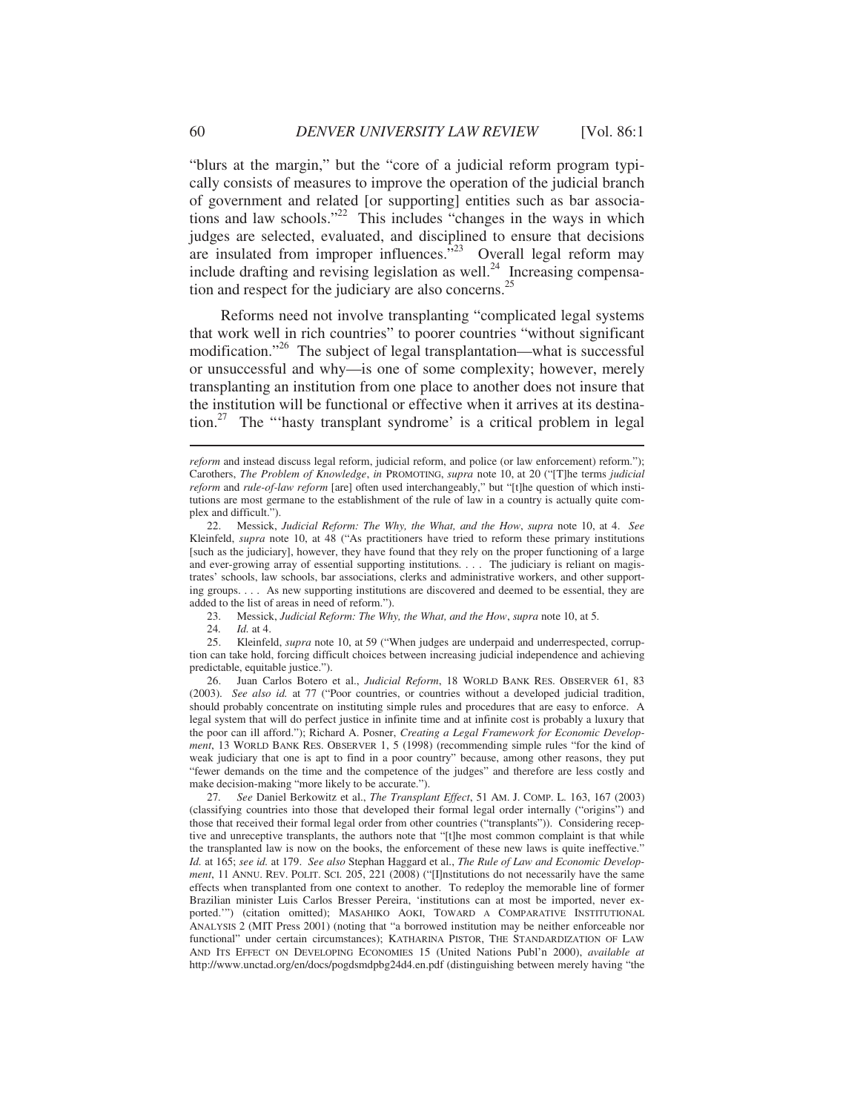"blurs at the margin," but the "core of a judicial reform program typically consists of measures to improve the operation of the judicial branch of government and related [or supporting] entities such as bar associations and law schools."22 This includes "changes in the ways in which judges are selected, evaluated, and disciplined to ensure that decisions are insulated from improper influences.<sup>523</sup> Overall legal reform may include drafting and revising legislation as well.<sup>24</sup> Increasing compensation and respect for the judiciary are also concerns.<sup>25</sup>

Reforms need not involve transplanting "complicated legal systems that work well in rich countries" to poorer countries "without significant modification."<sup>26</sup> The subject of legal transplantation—what is successful or unsuccessful and why—is one of some complexity; however, merely transplanting an institution from one place to another does not insure that the institution will be functional or effective when it arrives at its destination.27 The "'hasty transplant syndrome' is a critical problem in legal

23. Messick, *Judicial Reform: The Why, the What, and the How*, *supra* note 10, at 5.

24*. Id.* at 4.

 25. Kleinfeld, *supra* note 10, at 59 ("When judges are underpaid and underrespected, corruption can take hold, forcing difficult choices between increasing judicial independence and achieving predictable, equitable justice.").

 26. Juan Carlos Botero et al., *Judicial Reform*, 18 WORLD BANK RES. OBSERVER 61, 83 (2003). *See also id.* at 77 ("Poor countries, or countries without a developed judicial tradition, should probably concentrate on instituting simple rules and procedures that are easy to enforce. A legal system that will do perfect justice in infinite time and at infinite cost is probably a luxury that the poor can ill afford."); Richard A. Posner, *Creating a Legal Framework for Economic Development*, 13 WORLD BANK RES. OBSERVER 1, 5 (1998) (recommending simple rules "for the kind of weak judiciary that one is apt to find in a poor country" because, among other reasons, they put "fewer demands on the time and the competence of the judges" and therefore are less costly and make decision-making "more likely to be accurate.").

 27*. See* Daniel Berkowitz et al., *The Transplant Effect*, 51 AM. J. COMP. L. 163, 167 (2003) (classifying countries into those that developed their formal legal order internally ("origins") and those that received their formal legal order from other countries ("transplants")). Considering receptive and unreceptive transplants, the authors note that "[t]he most common complaint is that while the transplanted law is now on the books, the enforcement of these new laws is quite ineffective." *Id.* at 165; *see id.* at 179. *See also* Stephan Haggard et al., *The Rule of Law and Economic Development*, 11 ANNU. REV. POLIT. SCI. 205, 221 (2008) ("[I]nstitutions do not necessarily have the same effects when transplanted from one context to another. To redeploy the memorable line of former Brazilian minister Luis Carlos Bresser Pereira, 'institutions can at most be imported, never exported.'") (citation omitted); MASAHIKO AOKI, TOWARD A COMPARATIVE INSTITUTIONAL ANALYSIS 2 (MIT Press 2001) (noting that "a borrowed institution may be neither enforceable nor functional" under certain circumstances); KATHARINA PISTOR, THE STANDARDIZATION OF LAW AND ITS EFFECT ON DEVELOPING ECONOMIES 15 (United Nations Publ'n 2000), *available at* http://www.unctad.org/en/docs/pogdsmdpbg24d4.en.pdf (distinguishing between merely having "the

*reform* and instead discuss legal reform, judicial reform, and police (or law enforcement) reform."); Carothers, *The Problem of Knowledge*, *in* PROMOTING, *supra* note 10, at 20 ("[T]he terms *judicial reform* and *rule-of-law reform* [are] often used interchangeably," but "[t]he question of which institutions are most germane to the establishment of the rule of law in a country is actually quite complex and difficult.").

 <sup>22.</sup> Messick, *Judicial Reform: The Why, the What, and the How*, *supra* note 10, at 4. *See* Kleinfeld, *supra* note 10, at 48 ("As practitioners have tried to reform these primary institutions [such as the judiciary], however, they have found that they rely on the proper functioning of a large and ever-growing array of essential supporting institutions. . . . The judiciary is reliant on magistrates' schools, law schools, bar associations, clerks and administrative workers, and other supporting groups. . . . As new supporting institutions are discovered and deemed to be essential, they are added to the list of areas in need of reform.").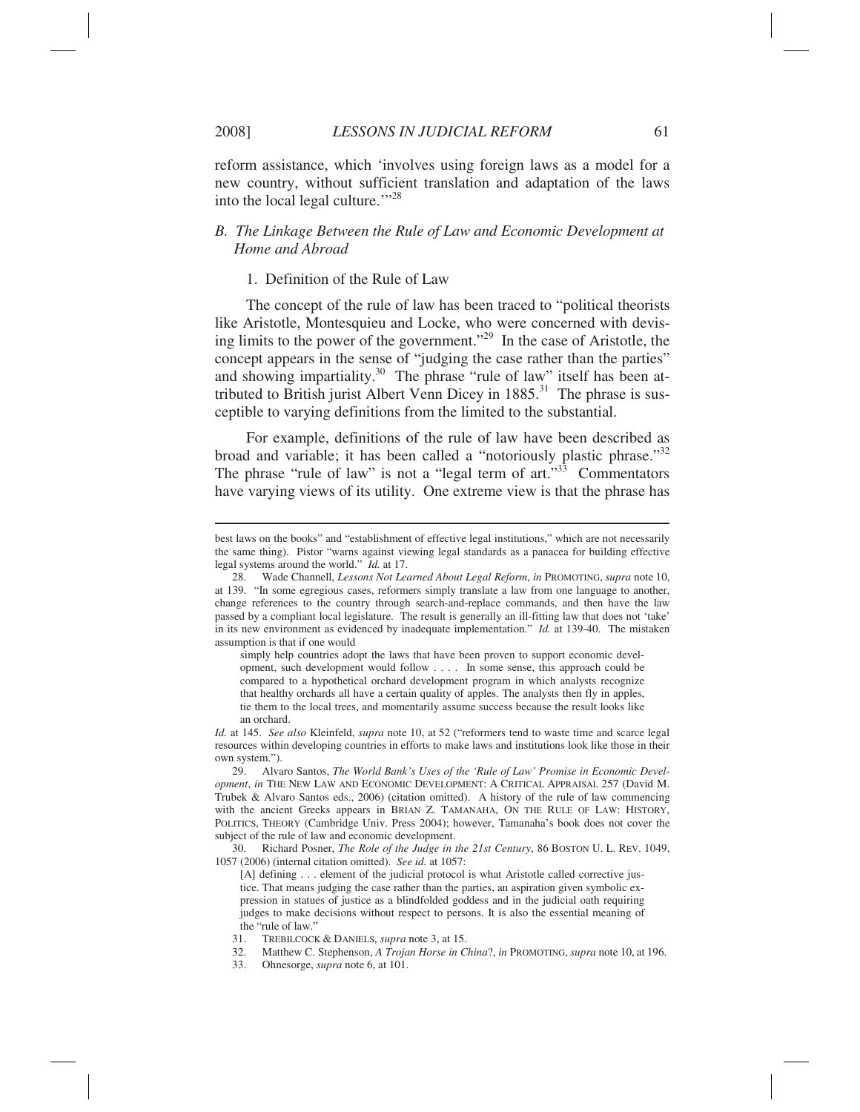$\overline{a}$ 

reform assistance, which 'involves using foreign laws as a model for a new country, without sufficient translation and adaptation of the laws into the local legal culture."<sup>28</sup>

# *B. The Linkage Between the Rule of Law and Economic Development at Home and Abroad*

## 1. Definition of the Rule of Law

The concept of the rule of law has been traced to "political theorists like Aristotle, Montesquieu and Locke, who were concerned with devising limits to the power of the government."29 In the case of Aristotle, the concept appears in the sense of "judging the case rather than the parties" and showing impartiality.<sup>30</sup> The phrase "rule of law" itself has been attributed to British jurist Albert Venn Dicey in  $1885$ <sup>31</sup>. The phrase is susceptible to varying definitions from the limited to the substantial.

For example, definitions of the rule of law have been described as broad and variable; it has been called a "notoriously plastic phrase."<sup>32</sup> The phrase "rule of law" is not a "legal term of art."<sup>33</sup> Commentators have varying views of its utility. One extreme view is that the phrase has

simply help countries adopt the laws that have been proven to support economic development, such development would follow . . . . In some sense, this approach could be compared to a hypothetical orchard development program in which analysts recognize that healthy orchards all have a certain quality of apples. The analysts then fly in apples, tie them to the local trees, and momentarily assume success because the result looks like an orchard.

 30. Richard Posner, *The Role of the Judge in the 21st Century*, 86 BOSTON U. L. REV. 1049, 1057 (2006) (internal citation omitted). *See id.* at 1057:

[A] defining . . . element of the judicial protocol is what Aristotle called corrective justice. That means judging the case rather than the parties, an aspiration given symbolic expression in statues of justice as a blindfolded goddess and in the judicial oath requiring judges to make decisions without respect to persons. It is also the essential meaning of the "rule of law."

- 32. Matthew C. Stephenson, *A Trojan Horse in China*?, *in* PROMOTING, *supra* note 10, at 196.
- 33. Ohnesorge, *supra* note 6, at 101.

best laws on the books" and "establishment of effective legal institutions," which are not necessarily the same thing). Pistor "warns against viewing legal standards as a panacea for building effective legal systems around the world." *Id.* at 17.

 <sup>28.</sup> Wade Channell, *Lessons Not Learned About Legal Reform*, *in* PROMOTING, *supra* note 10, at 139. "In some egregious cases, reformers simply translate a law from one language to another, change references to the country through search-and-replace commands, and then have the law passed by a compliant local legislature. The result is generally an ill-fitting law that does not 'take' in its new environment as evidenced by inadequate implementation." *Id.* at 139-40. The mistaken assumption is that if one would

*Id.* at 145. *See also* Kleinfeld, *supra* note 10, at 52 ("reformers tend to waste time and scarce legal resources within developing countries in efforts to make laws and institutions look like those in their own system.").

 <sup>29.</sup> Alvaro Santos, *The World Bank's Uses of the 'Rule of Law' Promise in Economic Development*, *in* THE NEW LAW AND ECONOMIC DEVELOPMENT: A CRITICAL APPRAISAL 257 (David M. Trubek & Alvaro Santos eds., 2006) (citation omitted). A history of the rule of law commencing with the ancient Greeks appears in BRIAN Z. TAMANAHA, ON THE RULE OF LAW: HISTORY, POLITICS, THEORY (Cambridge Univ. Press 2004); however, Tamanaha's book does not cover the subject of the rule of law and economic development.

 <sup>31.</sup> TREBILCOCK & DANIELS, *supra* note 3, at 15.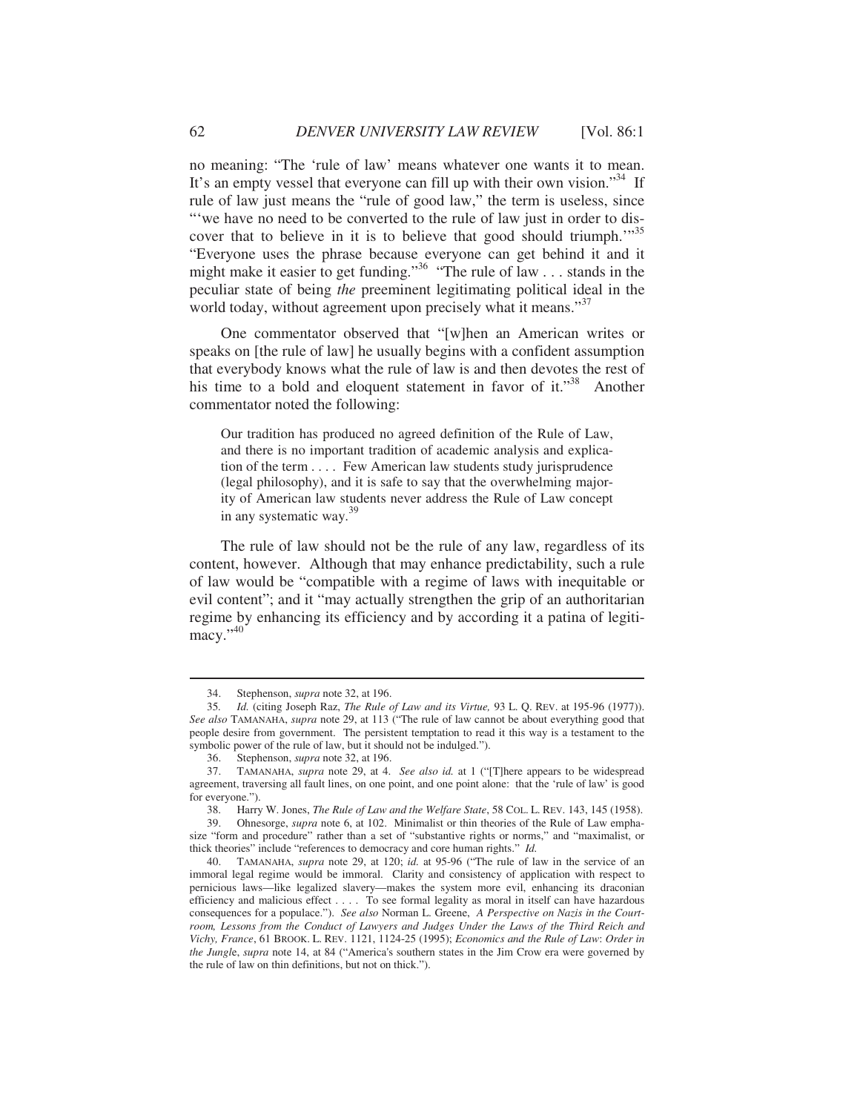no meaning: "The 'rule of law' means whatever one wants it to mean. It's an empty vessel that everyone can fill up with their own vision."<sup>34</sup> If rule of law just means the "rule of good law," the term is useless, since "'we have no need to be converted to the rule of law just in order to discover that to believe in it is to believe that good should triumph."<sup>35</sup> "Everyone uses the phrase because everyone can get behind it and it might make it easier to get funding."36 "The rule of law . . . stands in the peculiar state of being *the* preeminent legitimating political ideal in the world today, without agreement upon precisely what it means."<sup>37</sup>

One commentator observed that "[w]hen an American writes or speaks on [the rule of law] he usually begins with a confident assumption that everybody knows what the rule of law is and then devotes the rest of his time to a bold and eloquent statement in favor of it."<sup>38</sup> Another commentator noted the following:

Our tradition has produced no agreed definition of the Rule of Law, and there is no important tradition of academic analysis and explication of the term . . . . Few American law students study jurisprudence (legal philosophy), and it is safe to say that the overwhelming majority of American law students never address the Rule of Law concept in any systematic way. $39$ 

The rule of law should not be the rule of any law, regardless of its content, however. Although that may enhance predictability, such a rule of law would be "compatible with a regime of laws with inequitable or evil content"; and it "may actually strengthen the grip of an authoritarian regime by enhancing its efficiency and by according it a patina of legiti $macv.$ <sup>"40</sup>

 <sup>34.</sup> Stephenson, *supra* note 32, at 196.

 <sup>35</sup>*. Id.* (citing Joseph Raz, *The Rule of Law and its Virtue,* 93 L. Q. REV. at 195-96 (1977)). *See also* TAMANAHA, *supra* note 29, at 113 ("The rule of law cannot be about everything good that people desire from government. The persistent temptation to read it this way is a testament to the symbolic power of the rule of law, but it should not be indulged.").

 <sup>36.</sup> Stephenson, *supra* note 32, at 196.

 <sup>37.</sup> TAMANAHA, *supra* note 29, at 4. *See also id.* at 1 ("[T]here appears to be widespread agreement, traversing all fault lines, on one point, and one point alone: that the 'rule of law' is good for everyone.").

 <sup>38.</sup> Harry W. Jones, *The Rule of Law and the Welfare State*, 58 COL. L. REV. 143, 145 (1958).

 <sup>39.</sup> Ohnesorge, *supra* note 6, at 102. Minimalist or thin theories of the Rule of Law emphasize "form and procedure" rather than a set of "substantive rights or norms," and "maximalist, or thick theories" include "references to democracy and core human rights." *Id.*

 <sup>40.</sup> TAMANAHA, *supra* note 29, at 120; *id.* at 95-96 ("The rule of law in the service of an immoral legal regime would be immoral. Clarity and consistency of application with respect to pernicious laws—like legalized slavery—makes the system more evil, enhancing its draconian efficiency and malicious effect . . . . To see formal legality as moral in itself can have hazardous consequences for a populace."). *See also* Norman L. Greene, *A Perspective on Nazis in the Courtroom, Lessons from the Conduct of Lawyers and Judges Under the Laws of the Third Reich and Vichy, France*, 61 BROOK. L. REV. 1121, 1124-25 (1995); *Economics and the Rule of Law*: *Order in the Jungl*e, *supra* note 14, at 84 ("America's southern states in the Jim Crow era were governed by the rule of law on thin definitions, but not on thick.").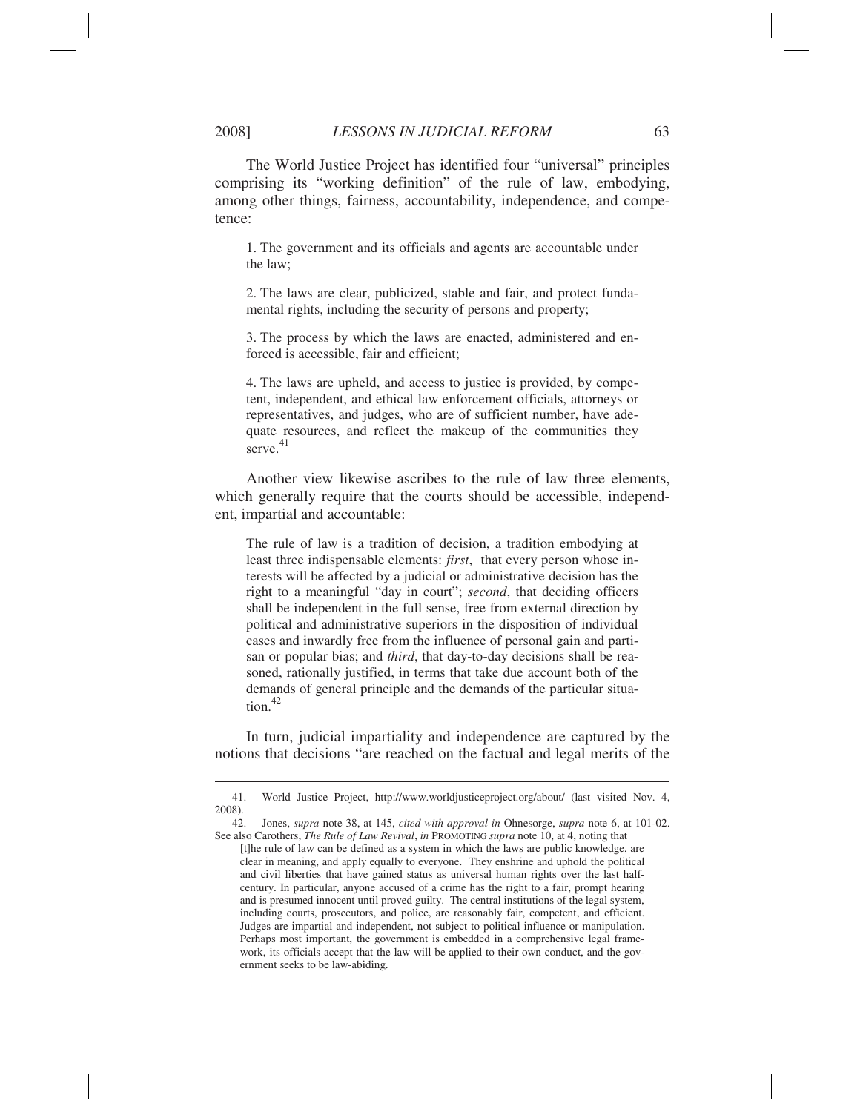2008] *LESSONS IN JUDICIAL REFORM* 63

The World Justice Project has identified four "universal" principles comprising its "working definition" of the rule of law, embodying, among other things, fairness, accountability, independence, and competence:

1. The government and its officials and agents are accountable under the law;

2. The laws are clear, publicized, stable and fair, and protect fundamental rights, including the security of persons and property;

3. The process by which the laws are enacted, administered and enforced is accessible, fair and efficient;

4. The laws are upheld, and access to justice is provided, by competent, independent, and ethical law enforcement officials, attorneys or representatives, and judges, who are of sufficient number, have adequate resources, and reflect the makeup of the communities they serve.<sup>41</sup>

Another view likewise ascribes to the rule of law three elements, which generally require that the courts should be accessible, independent, impartial and accountable:

The rule of law is a tradition of decision, a tradition embodying at least three indispensable elements: *first*, that every person whose interests will be affected by a judicial or administrative decision has the right to a meaningful "day in court"; *second*, that deciding officers shall be independent in the full sense, free from external direction by political and administrative superiors in the disposition of individual cases and inwardly free from the influence of personal gain and partisan or popular bias; and *third*, that day-to-day decisions shall be reasoned, rationally justified, in terms that take due account both of the demands of general principle and the demands of the particular situa $t$ <sub>ion.</sub> $42$ 

In turn, judicial impartiality and independence are captured by the notions that decisions "are reached on the factual and legal merits of the

 <sup>41.</sup> World Justice Project, http://www.worldjusticeproject.org/about/ (last visited Nov. 4, 2008).

 <sup>42.</sup> Jones, *supra* note 38, at 145, *cited with approval in* Ohnesorge, *supra* note 6, at 101-02. See also Carothers, *The Rule of Law Revival*, *in* PROMOTING *supra* note 10, at 4, noting that

<sup>[</sup>t]he rule of law can be defined as a system in which the laws are public knowledge, are clear in meaning, and apply equally to everyone. They enshrine and uphold the political and civil liberties that have gained status as universal human rights over the last halfcentury. In particular, anyone accused of a crime has the right to a fair, prompt hearing and is presumed innocent until proved guilty. The central institutions of the legal system, including courts, prosecutors, and police, are reasonably fair, competent, and efficient. Judges are impartial and independent, not subject to political influence or manipulation. Perhaps most important, the government is embedded in a comprehensive legal framework, its officials accept that the law will be applied to their own conduct, and the government seeks to be law-abiding.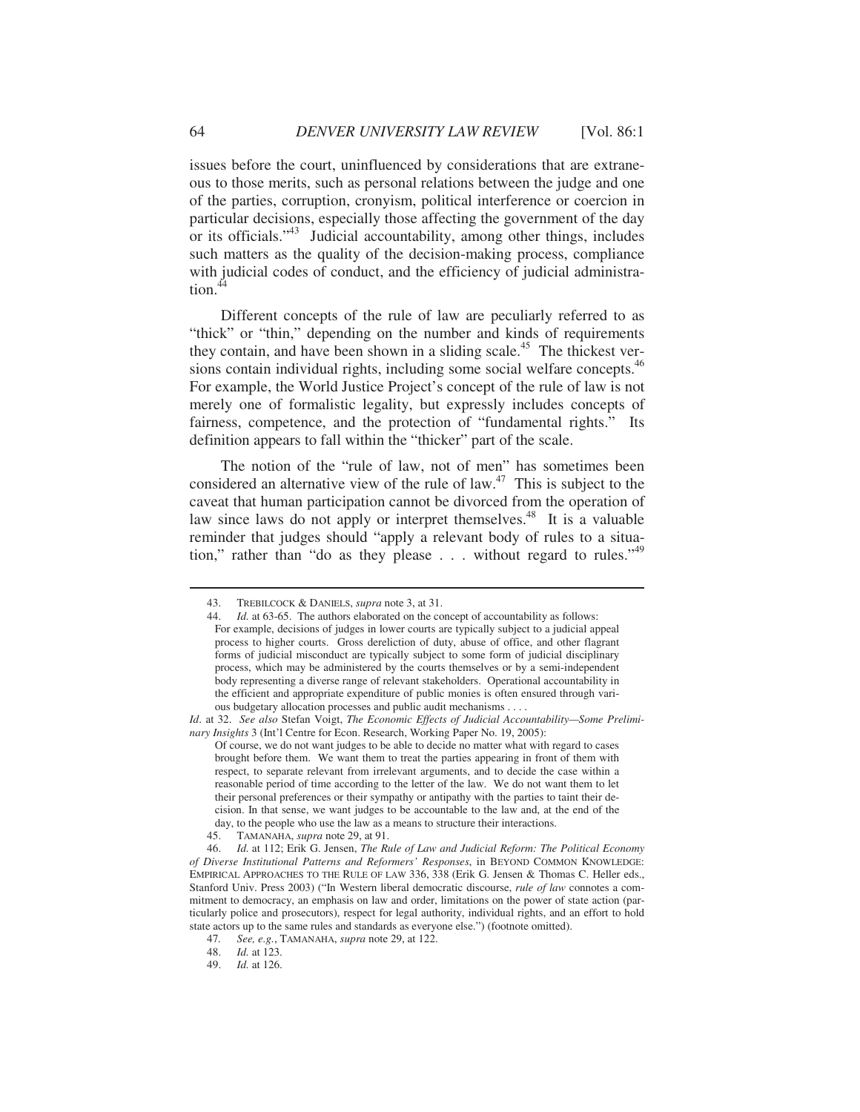issues before the court, uninfluenced by considerations that are extraneous to those merits, such as personal relations between the judge and one of the parties, corruption, cronyism, political interference or coercion in particular decisions, especially those affecting the government of the day or its officials."43 Judicial accountability, among other things, includes such matters as the quality of the decision-making process, compliance with judicial codes of conduct, and the efficiency of judicial administra- $\frac{44}{4}$ 

Different concepts of the rule of law are peculiarly referred to as "thick" or "thin," depending on the number and kinds of requirements they contain, and have been shown in a sliding scale.<sup>45</sup> The thickest versions contain individual rights, including some social welfare concepts.<sup>46</sup> For example, the World Justice Project's concept of the rule of law is not merely one of formalistic legality, but expressly includes concepts of fairness, competence, and the protection of "fundamental rights." Its definition appears to fall within the "thicker" part of the scale.

The notion of the "rule of law, not of men" has sometimes been considered an alternative view of the rule of  $law<sup>47</sup>$ . This is subject to the caveat that human participation cannot be divorced from the operation of law since laws do not apply or interpret themselves.<sup>48</sup> It is a valuable reminder that judges should "apply a relevant body of rules to a situation," rather than "do as they please . . . without regard to rules."<sup>49</sup>

 <sup>43.</sup> TREBILCOCK & DANIELS, *supra* note 3, at 31.

 <sup>44.</sup> *Id.* at 63-65. The authors elaborated on the concept of accountability as follows: For example, decisions of judges in lower courts are typically subject to a judicial appeal process to higher courts. Gross dereliction of duty, abuse of office, and other flagrant forms of judicial misconduct are typically subject to some form of judicial disciplinary process, which may be administered by the courts themselves or by a semi-independent body representing a diverse range of relevant stakeholders. Operational accountability in the efficient and appropriate expenditure of public monies is often ensured through various budgetary allocation processes and public audit mechanisms . . . .

*Id*. at 32. *See also* Stefan Voigt, *The Economic Effects of Judicial Accountability—Some Preliminary Insights* 3 (Int'l Centre for Econ. Research, Working Paper No. 19, 2005):

Of course, we do not want judges to be able to decide no matter what with regard to cases brought before them. We want them to treat the parties appearing in front of them with respect, to separate relevant from irrelevant arguments, and to decide the case within a reasonable period of time according to the letter of the law. We do not want them to let their personal preferences or their sympathy or antipathy with the parties to taint their decision. In that sense, we want judges to be accountable to the law and, at the end of the day, to the people who use the law as a means to structure their interactions.<br>45. TAMANAHA. *supra* note 29. at 91.

 <sup>45.</sup> TAMANAHA, *supra* note 29, at 91.

 <sup>46.</sup> *Id.* at 112; Erik G. Jensen, *The Rule of Law and Judicial Reform: The Political Economy of Diverse Institutional Patterns and Reformers' Responses*, in BEYOND COMMON KNOWLEDGE: EMPIRICAL APPROACHES TO THE RULE OF LAW 336, 338 (Erik G. Jensen & Thomas C. Heller eds., Stanford Univ. Press 2003) ("In Western liberal democratic discourse, *rule of law* connotes a commitment to democracy, an emphasis on law and order, limitations on the power of state action (particularly police and prosecutors), respect for legal authority, individual rights, and an effort to hold state actors up to the same rules and standards as everyone else.") (footnote omitted).

 <sup>47</sup>*. See, e.g.*, TAMANAHA, *supra* note 29, at 122.

 <sup>48.</sup> *Id.* at 123.

 <sup>49.</sup> *Id.* at 126.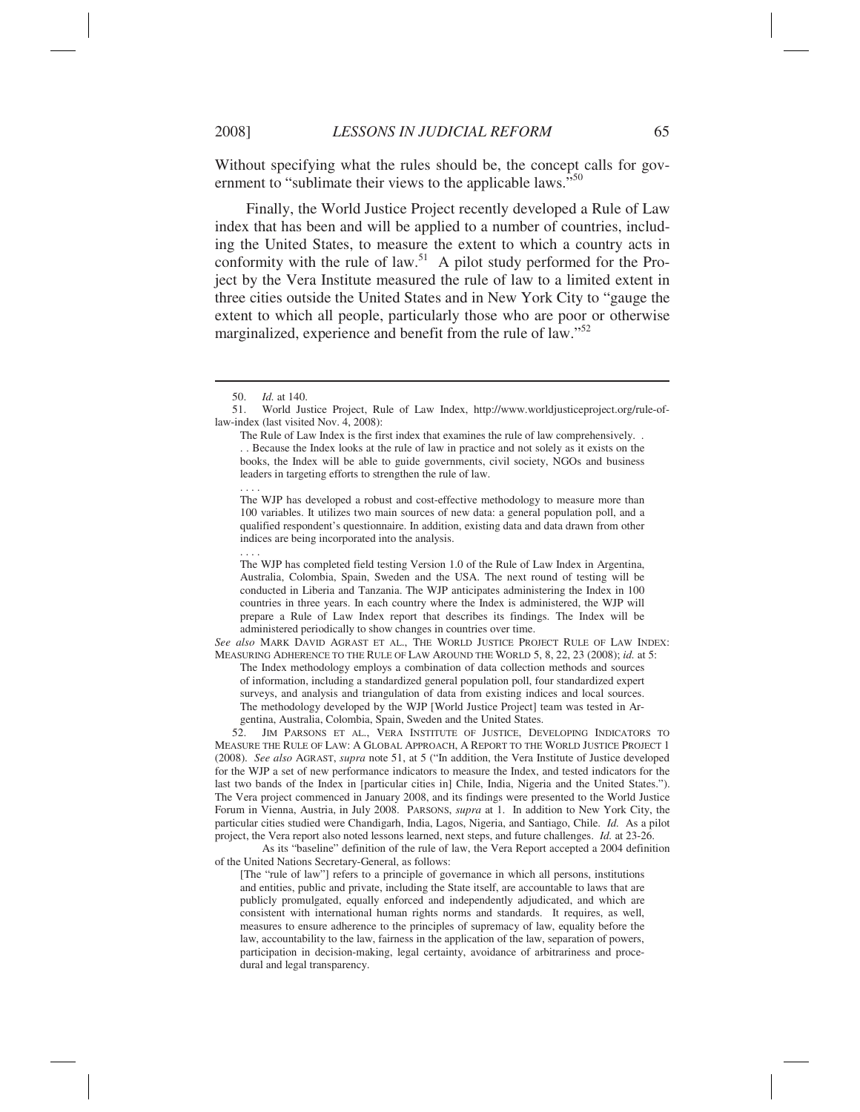Without specifying what the rules should be, the concept calls for government to "sublimate their views to the applicable laws."<sup>50</sup>

Finally, the World Justice Project recently developed a Rule of Law index that has been and will be applied to a number of countries, including the United States, to measure the extent to which a country acts in conformity with the rule of law.<sup>51</sup> A pilot study performed for the Project by the Vera Institute measured the rule of law to a limited extent in three cities outside the United States and in New York City to "gauge the extent to which all people, particularly those who are poor or otherwise marginalized, experience and benefit from the rule of law."<sup>52</sup>

. . . .

. . . .

 $\overline{a}$ 

The Rule of Law Index is the first index that examines the rule of law comprehensively. . . . Because the Index looks at the rule of law in practice and not solely as it exists on the books, the Index will be able to guide governments, civil society, NGOs and business leaders in targeting efforts to strengthen the rule of law.

The WJP has developed a robust and cost-effective methodology to measure more than 100 variables. It utilizes two main sources of new data: a general population poll, and a qualified respondent's questionnaire. In addition, existing data and data drawn from other indices are being incorporated into the analysis.

The WJP has completed field testing Version 1.0 of the Rule of Law Index in Argentina, Australia, Colombia, Spain, Sweden and the USA. The next round of testing will be conducted in Liberia and Tanzania. The WJP anticipates administering the Index in 100 countries in three years. In each country where the Index is administered, the WJP will prepare a Rule of Law Index report that describes its findings. The Index will be administered periodically to show changes in countries over time.

*See also* MARK DAVID AGRAST ET AL., THE WORLD JUSTICE PROJECT RULE OF LAW INDEX: MEASURING ADHERENCE TO THE RULE OF LAW AROUND THE WORLD 5, 8, 22, 23 (2008); *id.* at 5: The Index methodology employs a combination of data collection methods and sources of information, including a standardized general population poll, four standardized expert

surveys, and analysis and triangulation of data from existing indices and local sources. The methodology developed by the WJP [World Justice Project] team was tested in Argentina, Australia, Colombia, Spain, Sweden and the United States.

 52. JIM PARSONS ET AL., VERA INSTITUTE OF JUSTICE, DEVELOPING INDICATORS TO MEASURE THE RULE OF LAW: A GLOBAL APPROACH, A REPORT TO THE WORLD JUSTICE PROJECT 1 (2008). *See also* AGRAST, *supra* note 51, at 5 ("In addition, the Vera Institute of Justice developed for the WJP a set of new performance indicators to measure the Index, and tested indicators for the last two bands of the Index in [particular cities in] Chile, India, Nigeria and the United States."). The Vera project commenced in January 2008, and its findings were presented to the World Justice Forum in Vienna, Austria, in July 2008. PARSONS, *supra* at 1. In addition to New York City, the particular cities studied were Chandigarh, India, Lagos, Nigeria, and Santiago, Chile. *Id.* As a pilot project, the Vera report also noted lessons learned, next steps, and future challenges. *Id.* at 23-26.

 As its "baseline" definition of the rule of law, the Vera Report accepted a 2004 definition of the United Nations Secretary-General, as follows:

[The "rule of law"] refers to a principle of governance in which all persons, institutions and entities, public and private, including the State itself, are accountable to laws that are publicly promulgated, equally enforced and independently adjudicated, and which are consistent with international human rights norms and standards. It requires, as well, measures to ensure adherence to the principles of supremacy of law, equality before the law, accountability to the law, fairness in the application of the law, separation of powers, participation in decision-making, legal certainty, avoidance of arbitrariness and procedural and legal transparency.

 <sup>50.</sup> *Id.* at 140.

 <sup>51.</sup> World Justice Project, Rule of Law Index, http://www.worldjusticeproject.org/rule-oflaw-index (last visited Nov. 4, 2008):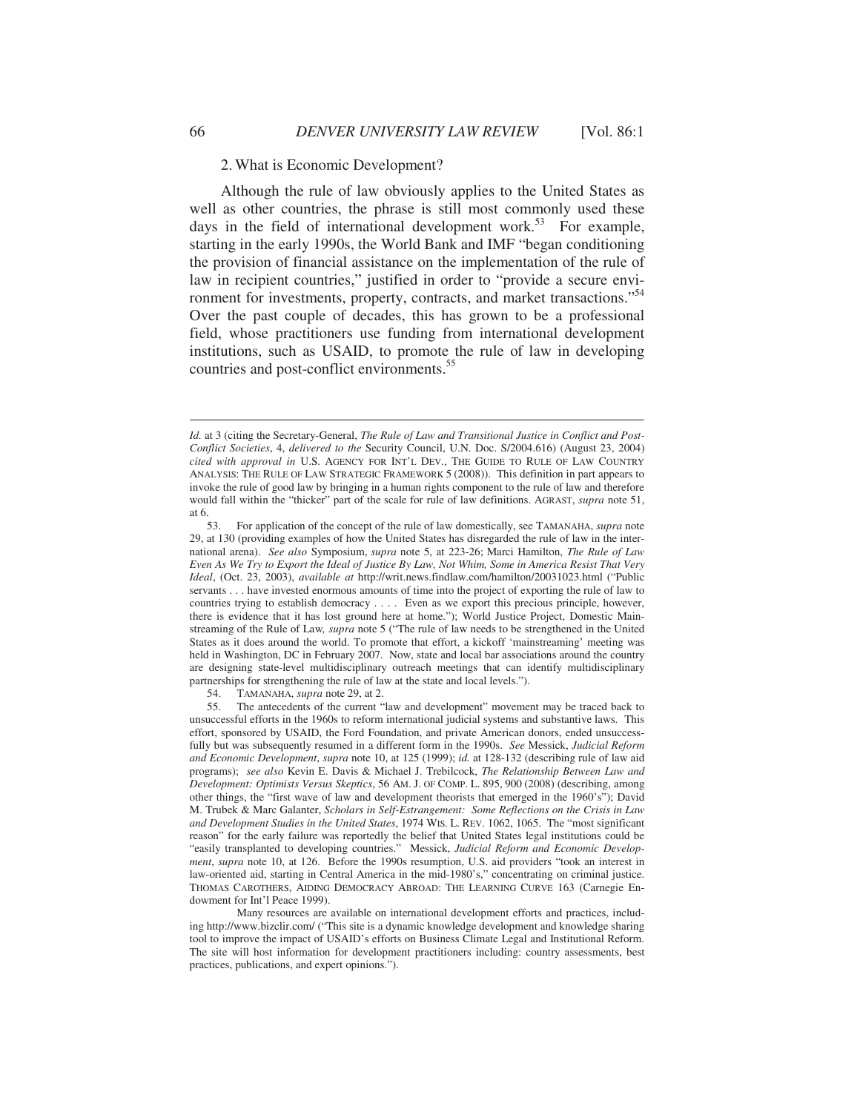2. What is Economic Development?

Although the rule of law obviously applies to the United States as well as other countries, the phrase is still most commonly used these days in the field of international development work.<sup>53</sup> For example, starting in the early 1990s, the World Bank and IMF "began conditioning the provision of financial assistance on the implementation of the rule of law in recipient countries," justified in order to "provide a secure environment for investments, property, contracts, and market transactions."<sup>54</sup> Over the past couple of decades, this has grown to be a professional field, whose practitioners use funding from international development institutions, such as USAID, to promote the rule of law in developing countries and post-conflict environments.<sup>55</sup>

54. TAMANAHA, *supra* note 29, at 2.

 55. The antecedents of the current "law and development" movement may be traced back to unsuccessful efforts in the 1960s to reform international judicial systems and substantive laws. This effort, sponsored by USAID, the Ford Foundation, and private American donors, ended unsuccessfully but was subsequently resumed in a different form in the 1990s. *See* Messick, *Judicial Reform and Economic Development*, *supra* note 10, at 125 (1999); *id.* at 128-132 (describing rule of law aid programs); *see also* Kevin E. Davis & Michael J. Trebilcock, *The Relationship Between Law and Development: Optimists Versus Skeptics*, 56 AM. J. OF COMP. L. 895, 900 (2008) (describing, among other things, the "first wave of law and development theorists that emerged in the 1960's"); David M. Trubek & Marc Galanter, *Scholars in Self-Estrangement: Some Reflections on the Crisis in Law and Development Studies in the United States*, 1974 WIS. L. REV. 1062, 1065. The "most significant reason" for the early failure was reportedly the belief that United States legal institutions could be "easily transplanted to developing countries." Messick, *Judicial Reform and Economic Development*, *supra* note 10, at 126. Before the 1990s resumption, U.S. aid providers "took an interest in law-oriented aid, starting in Central America in the mid-1980's," concentrating on criminal justice. THOMAS CAROTHERS, AIDING DEMOCRACY ABROAD: THE LEARNING CURVE 163 (Carnegie Endowment for Int'l Peace 1999).

 Many resources are available on international development efforts and practices, including http://www.bizclir.com/ ("This site is a dynamic knowledge development and knowledge sharing tool to improve the impact of USAID's efforts on Business Climate Legal and Institutional Reform. The site will host information for development practitioners including: country assessments, best practices, publications, and expert opinions.").

*Id.* at 3 (citing the Secretary-General, *The Rule of Law and Transitional Justice in Conflict and Post-Conflict Societies*, 4, *delivered to the* Security Council, U.N. Doc. S/2004.616) (August 23, 2004) *cited with approval in* U.S. AGENCY FOR INT'L DEV., THE GUIDE TO RULE OF LAW COUNTRY ANALYSIS: THE RULE OF LAW STRATEGIC FRAMEWORK 5 (2008)). This definition in part appears to invoke the rule of good law by bringing in a human rights component to the rule of law and therefore would fall within the "thicker" part of the scale for rule of law definitions. AGRAST, *supra* note 51, at 6.

 <sup>53.</sup> For application of the concept of the rule of law domestically, see TAMANAHA, *supra* note 29, at 130 (providing examples of how the United States has disregarded the rule of law in the international arena). *See also* Symposium, *supra* note 5, at 223-26; Marci Hamilton, *The Rule of Law Even As We Try to Export the Ideal of Justice By Law, Not Whim, Some in America Resist That Very Ideal*, (Oct. 23, 2003), *available at* http://writ.news.findlaw.com/hamilton/20031023.html ("Public servants . . . have invested enormous amounts of time into the project of exporting the rule of law to countries trying to establish democracy . . . . Even as we export this precious principle, however, there is evidence that it has lost ground here at home."); World Justice Project, Domestic Mainstreaming of the Rule of Law*, supra* note 5 ("The rule of law needs to be strengthened in the United States as it does around the world. To promote that effort, a kickoff 'mainstreaming' meeting was held in Washington, DC in February 2007. Now, state and local bar associations around the country are designing state-level multidisciplinary outreach meetings that can identify multidisciplinary partnerships for strengthening the rule of law at the state and local levels.").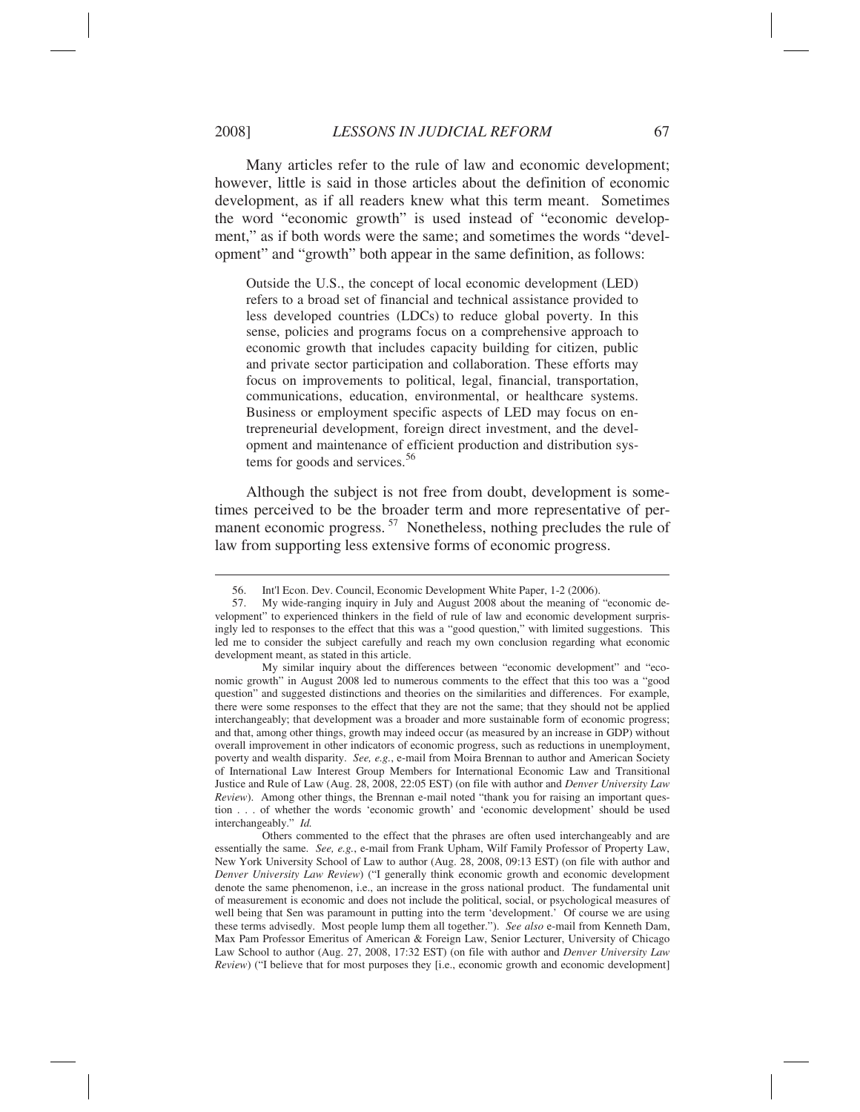Many articles refer to the rule of law and economic development; however, little is said in those articles about the definition of economic development, as if all readers knew what this term meant. Sometimes the word "economic growth" is used instead of "economic development," as if both words were the same; and sometimes the words "development" and "growth" both appear in the same definition, as follows:

Outside the U.S., the concept of local economic development (LED) refers to a broad set of financial and technical assistance provided to less developed countries (LDCs) to reduce global poverty. In this sense, policies and programs focus on a comprehensive approach to economic growth that includes capacity building for citizen, public and private sector participation and collaboration. These efforts may focus on improvements to political, legal, financial, transportation, communications, education, environmental, or healthcare systems. Business or employment specific aspects of LED may focus on entrepreneurial development, foreign direct investment, and the development and maintenance of efficient production and distribution systems for goods and services. $56$ 

Although the subject is not free from doubt, development is sometimes perceived to be the broader term and more representative of permanent economic progress.<sup>57</sup> Nonetheless, nothing precludes the rule of law from supporting less extensive forms of economic progress.

 My similar inquiry about the differences between "economic development" and "economic growth" in August 2008 led to numerous comments to the effect that this too was a "good question" and suggested distinctions and theories on the similarities and differences. For example, there were some responses to the effect that they are not the same; that they should not be applied interchangeably; that development was a broader and more sustainable form of economic progress; and that, among other things, growth may indeed occur (as measured by an increase in GDP) without overall improvement in other indicators of economic progress, such as reductions in unemployment, poverty and wealth disparity. *See, e.g.*, e-mail from Moira Brennan to author and American Society of International Law Interest Group Members for International Economic Law and Transitional Justice and Rule of Law (Aug. 28, 2008, 22:05 EST) (on file with author and *Denver University Law Review*). Among other things, the Brennan e-mail noted "thank you for raising an important question . . . of whether the words 'economic growth' and 'economic development' should be used interchangeably." *Id.*

 Others commented to the effect that the phrases are often used interchangeably and are essentially the same. *See, e.g.*, e-mail from Frank Upham, Wilf Family Professor of Property Law, New York University School of Law to author (Aug. 28, 2008, 09:13 EST) (on file with author and *Denver University Law Review*) ("I generally think economic growth and economic development denote the same phenomenon, i.e., an increase in the gross national product. The fundamental unit of measurement is economic and does not include the political, social, or psychological measures of well being that Sen was paramount in putting into the term 'development.' Of course we are using these terms advisedly. Most people lump them all together."). *See also* e-mail from Kenneth Dam, Max Pam Professor Emeritus of American & Foreign Law, Senior Lecturer, University of Chicago Law School to author (Aug. 27, 2008, 17:32 EST) (on file with author and *Denver University Law Review*) ("I believe that for most purposes they [i.e., economic growth and economic development]

 <sup>56.</sup> Int'l Econ. Dev. Council, Economic Development White Paper, 1-2 (2006).

 <sup>57.</sup> My wide-ranging inquiry in July and August 2008 about the meaning of "economic development" to experienced thinkers in the field of rule of law and economic development surprisingly led to responses to the effect that this was a "good question," with limited suggestions. This led me to consider the subject carefully and reach my own conclusion regarding what economic development meant, as stated in this article.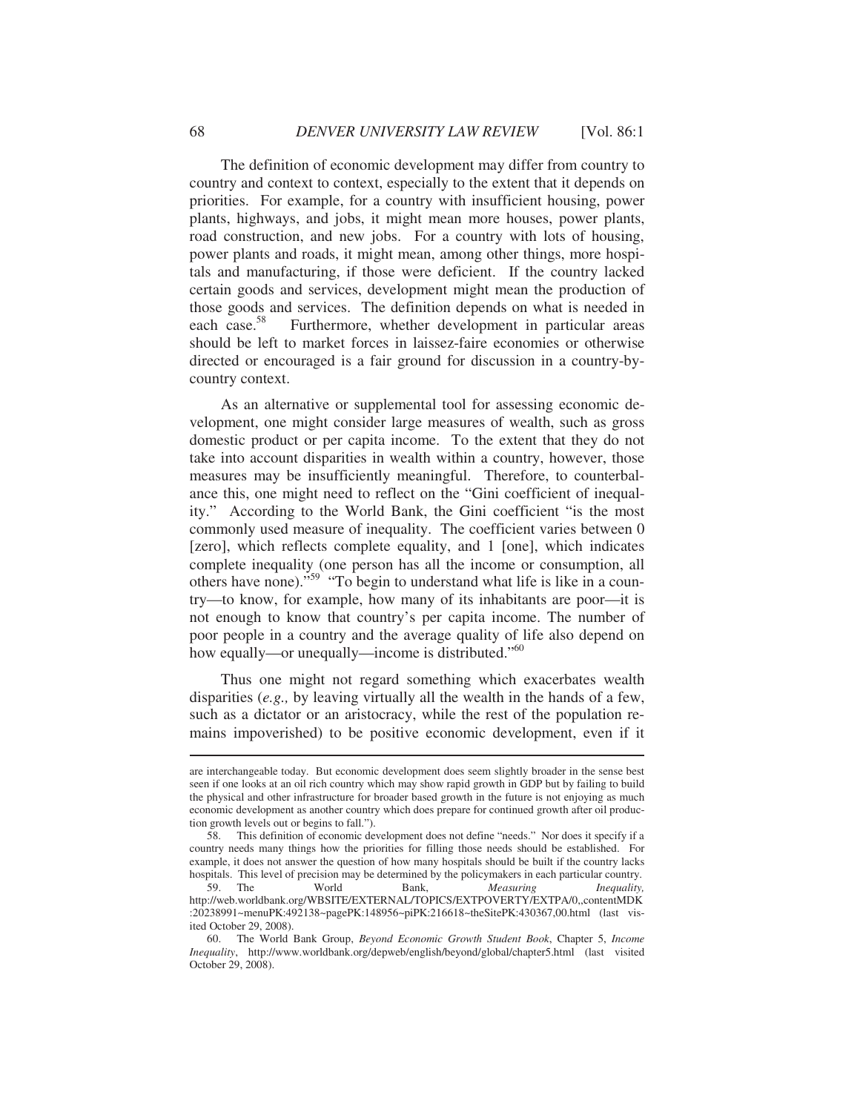The definition of economic development may differ from country to country and context to context, especially to the extent that it depends on priorities. For example, for a country with insufficient housing, power plants, highways, and jobs, it might mean more houses, power plants, road construction, and new jobs. For a country with lots of housing, power plants and roads, it might mean, among other things, more hospitals and manufacturing, if those were deficient. If the country lacked certain goods and services, development might mean the production of those goods and services. The definition depends on what is needed in each case.<sup>58</sup> Furthermore, whether development in particular areas Furthermore, whether development in particular areas should be left to market forces in laissez-faire economies or otherwise directed or encouraged is a fair ground for discussion in a country-bycountry context.

As an alternative or supplemental tool for assessing economic development, one might consider large measures of wealth, such as gross domestic product or per capita income. To the extent that they do not take into account disparities in wealth within a country, however, those measures may be insufficiently meaningful. Therefore, to counterbalance this, one might need to reflect on the "Gini coefficient of inequality." According to the World Bank, the Gini coefficient "is the most commonly used measure of inequality. The coefficient varies between 0 [zero], which reflects complete equality, and 1 [one], which indicates complete inequality (one person has all the income or consumption, all others have none)."59 "To begin to understand what life is like in a country—to know, for example, how many of its inhabitants are poor—it is not enough to know that country's per capita income. The number of poor people in a country and the average quality of life also depend on how equally—or unequally—income is distributed."<sup>60</sup>

Thus one might not regard something which exacerbates wealth disparities (*e.g.,* by leaving virtually all the wealth in the hands of a few, such as a dictator or an aristocracy, while the rest of the population remains impoverished) to be positive economic development, even if it

are interchangeable today. But economic development does seem slightly broader in the sense best seen if one looks at an oil rich country which may show rapid growth in GDP but by failing to build the physical and other infrastructure for broader based growth in the future is not enjoying as much economic development as another country which does prepare for continued growth after oil production growth levels out or begins to fall.").

 <sup>58.</sup> This definition of economic development does not define "needs." Nor does it specify if a country needs many things how the priorities for filling those needs should be established. For example, it does not answer the question of how many hospitals should be built if the country lacks hospitals. This level of precision may be determined by the policymakers in each particular country.<br>
59. The World Bank, Measuring *Inequality*,

 <sup>59.</sup> The World Bank, *Measuring Inequality,* http://web.worldbank.org/WBSITE/EXTERNAL/TOPICS/EXTPOVERTY/EXTPA/0,,contentMDK :20238991~menuPK:492138~pagePK:148956~piPK:216618~theSitePK:430367,00.html (last visited October 29, 2008).

 <sup>60.</sup> The World Bank Group, *Beyond Economic Growth Student Book*, Chapter 5, *Income Inequality*, http://www.worldbank.org/depweb/english/beyond/global/chapter5.html (last visited October 29, 2008).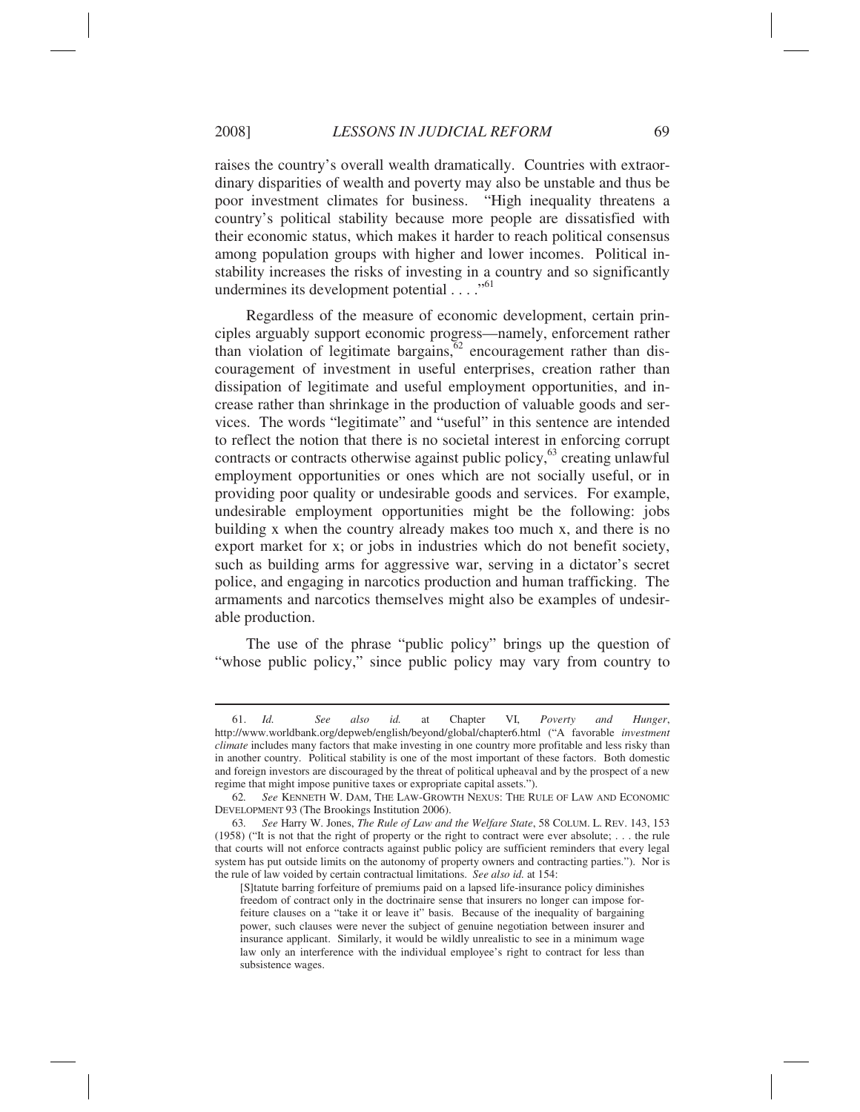raises the country's overall wealth dramatically. Countries with extraordinary disparities of wealth and poverty may also be unstable and thus be poor investment climates for business. "High inequality threatens a country's political stability because more people are dissatisfied with their economic status, which makes it harder to reach political consensus among population groups with higher and lower incomes. Political instability increases the risks of investing in a country and so significantly undermines its development potential  $\ldots$ ."<sup>61</sup>

Regardless of the measure of economic development, certain principles arguably support economic progress—namely, enforcement rather than violation of legitimate bargains,  $62$  encouragement rather than discouragement of investment in useful enterprises, creation rather than dissipation of legitimate and useful employment opportunities, and increase rather than shrinkage in the production of valuable goods and services. The words "legitimate" and "useful" in this sentence are intended to reflect the notion that there is no societal interest in enforcing corrupt contracts or contracts otherwise against public policy,<sup>63</sup> creating unlawful employment opportunities or ones which are not socially useful, or in providing poor quality or undesirable goods and services. For example, undesirable employment opportunities might be the following: jobs building x when the country already makes too much x, and there is no export market for x; or jobs in industries which do not benefit society, such as building arms for aggressive war, serving in a dictator's secret police, and engaging in narcotics production and human trafficking. The armaments and narcotics themselves might also be examples of undesirable production.

The use of the phrase "public policy" brings up the question of "whose public policy," since public policy may vary from country to

 <sup>61.</sup> *Id. See also id.* at Chapter VI, *Poverty and Hunger*, http://www.worldbank.org/depweb/english/beyond/global/chapter6.html ("A favorable *investment climate* includes many factors that make investing in one country more profitable and less risky than in another country. Political stability is one of the most important of these factors. Both domestic and foreign investors are discouraged by the threat of political upheaval and by the prospect of a new regime that might impose punitive taxes or expropriate capital assets.").

 <sup>62</sup>*. See* KENNETH W. DAM, THE LAW-GROWTH NEXUS: THE RULE OF LAW AND ECONOMIC DEVELOPMENT 93 (The Brookings Institution 2006).

 <sup>63</sup>*. See* Harry W. Jones, *The Rule of Law and the Welfare State*, 58 COLUM. L. REV. 143, 153 (1958) ("It is not that the right of property or the right to contract were ever absolute; . . . the rule that courts will not enforce contracts against public policy are sufficient reminders that every legal system has put outside limits on the autonomy of property owners and contracting parties."). Nor is the rule of law voided by certain contractual limitations. *See also id.* at 154:

<sup>[</sup>S]tatute barring forfeiture of premiums paid on a lapsed life-insurance policy diminishes freedom of contract only in the doctrinaire sense that insurers no longer can impose forfeiture clauses on a "take it or leave it" basis. Because of the inequality of bargaining power, such clauses were never the subject of genuine negotiation between insurer and insurance applicant. Similarly, it would be wildly unrealistic to see in a minimum wage law only an interference with the individual employee's right to contract for less than subsistence wages.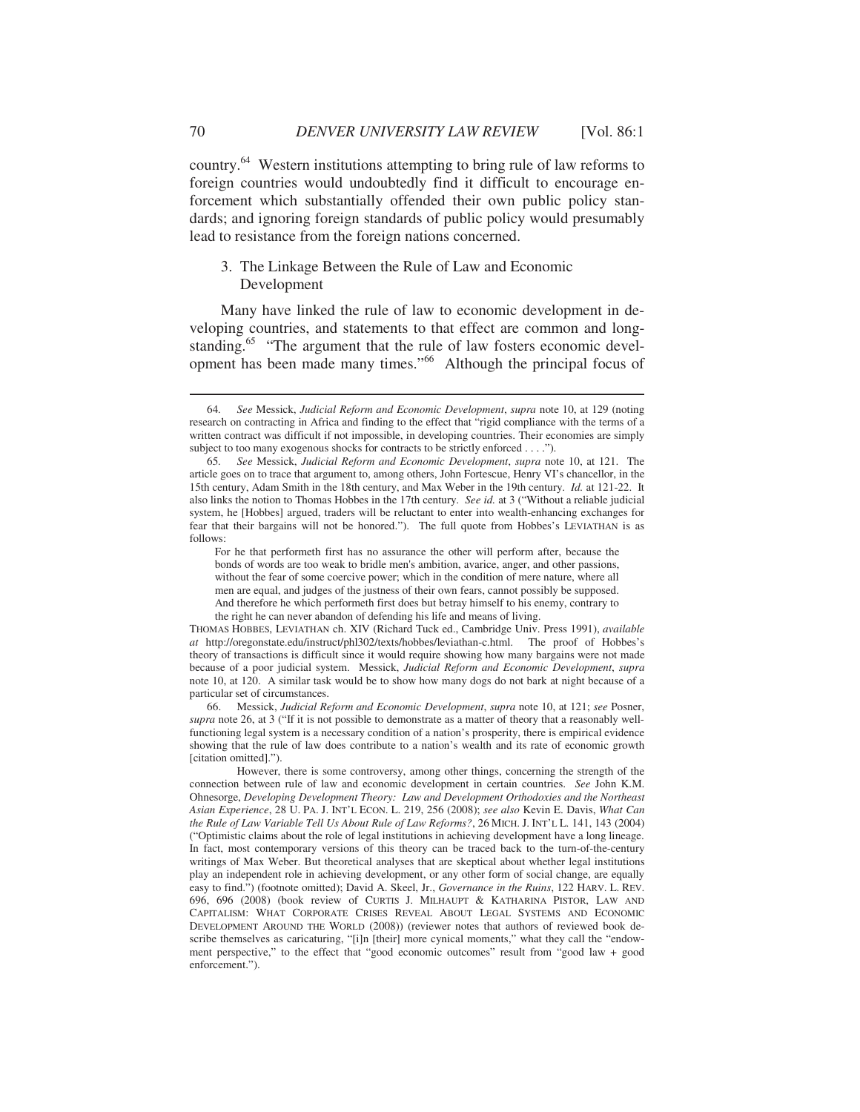country.64 Western institutions attempting to bring rule of law reforms to foreign countries would undoubtedly find it difficult to encourage enforcement which substantially offended their own public policy standards; and ignoring foreign standards of public policy would presumably lead to resistance from the foreign nations concerned.

# 3. The Linkage Between the Rule of Law and Economic Development

Many have linked the rule of law to economic development in developing countries, and statements to that effect are common and longstanding.<sup>65</sup> "The argument that the rule of law fosters economic development has been made many times."66 Although the principal focus of

For he that performeth first has no assurance the other will perform after, because the bonds of words are too weak to bridle men's ambition, avarice, anger, and other passions, without the fear of some coercive power; which in the condition of mere nature, where all men are equal, and judges of the justness of their own fears, cannot possibly be supposed. And therefore he which performeth first does but betray himself to his enemy, contrary to the right he can never abandon of defending his life and means of living.

THOMAS HOBBES, LEVIATHAN ch. XIV (Richard Tuck ed., Cambridge Univ. Press 1991), *available at* http://oregonstate.edu/instruct/phl302/texts/hobbes/leviathan-c.html. The proof of Hobbes's theory of transactions is difficult since it would require showing how many bargains were not made because of a poor judicial system. Messick, *Judicial Reform and Economic Development*, *supra* note 10, at 120. A similar task would be to show how many dogs do not bark at night because of a particular set of circumstances.

 66. Messick, *Judicial Reform and Economic Development*, *supra* note 10, at 121; *see* Posner, *supra* note 26, at 3 ("If it is not possible to demonstrate as a matter of theory that a reasonably wellfunctioning legal system is a necessary condition of a nation's prosperity, there is empirical evidence showing that the rule of law does contribute to a nation's wealth and its rate of economic growth [citation omitted].").

 However, there is some controversy, among other things, concerning the strength of the connection between rule of law and economic development in certain countries. *See* John K.M. Ohnesorge, *Developing Development Theory: Law and Development Orthodoxies and the Northeast Asian Experience*, 28 U. PA. J. INT'L ECON. L. 219, 256 (2008); *see also* Kevin E. Davis, *What Can the Rule of Law Variable Tell Us About Rule of Law Reforms?*, 26 MICH. J. INT'L L. 141, 143 (2004) ("Optimistic claims about the role of legal institutions in achieving development have a long lineage. In fact, most contemporary versions of this theory can be traced back to the turn-of-the-century writings of Max Weber. But theoretical analyses that are skeptical about whether legal institutions play an independent role in achieving development, or any other form of social change, are equally easy to find.") (footnote omitted); David A. Skeel, Jr., *Governance in the Ruins*, 122 HARV. L. REV. 696, 696 (2008) (book review of CURTIS J. MILHAUPT & KATHARINA PISTOR, LAW AND CAPITALISM: WHAT CORPORATE CRISES REVEAL ABOUT LEGAL SYSTEMS AND ECONOMIC DEVELOPMENT AROUND THE WORLD (2008)) (reviewer notes that authors of reviewed book describe themselves as caricaturing, "[i]n [their] more cynical moments," what they call the "endowment perspective," to the effect that "good economic outcomes" result from "good law + good enforcement.").

 <sup>64</sup>*. See* Messick, *Judicial Reform and Economic Development*, *supra* note 10, at 129 (noting research on contracting in Africa and finding to the effect that "rigid compliance with the terms of a written contract was difficult if not impossible, in developing countries. Their economies are simply subject to too many exogenous shocks for contracts to be strictly enforced . . . .").

 <sup>65</sup>*. See* Messick, *Judicial Reform and Economic Development*, *supra* note 10, at 121. The article goes on to trace that argument to, among others, John Fortescue, Henry VI's chancellor, in the 15th century, Adam Smith in the 18th century, and Max Weber in the 19th century. *Id.* at 121-22. It also links the notion to Thomas Hobbes in the 17th century. *See id.* at 3 ("Without a reliable judicial system, he [Hobbes] argued, traders will be reluctant to enter into wealth-enhancing exchanges for fear that their bargains will not be honored."). The full quote from Hobbes's LEVIATHAN is as follows: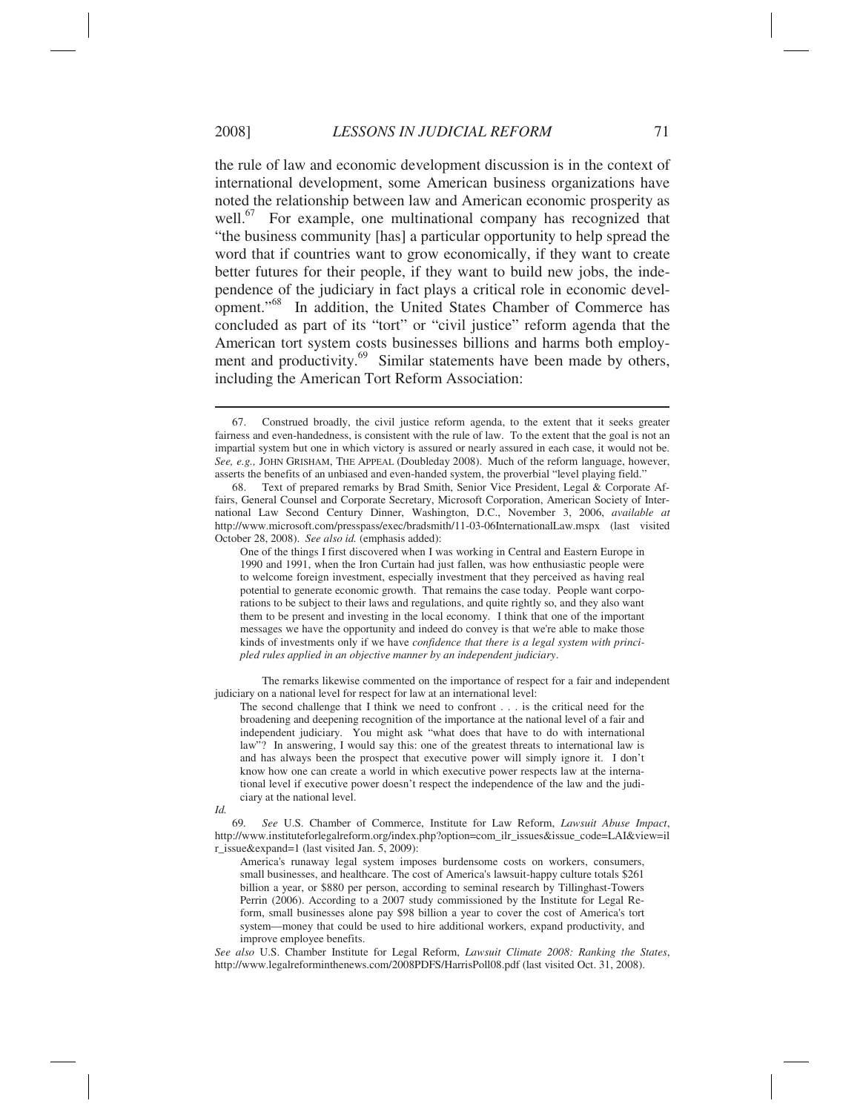the rule of law and economic development discussion is in the context of international development, some American business organizations have noted the relationship between law and American economic prosperity as well. $^{67}$  For example, one multinational company has recognized that "the business community [has] a particular opportunity to help spread the word that if countries want to grow economically, if they want to create better futures for their people, if they want to build new jobs, the independence of the judiciary in fact plays a critical role in economic development."68 In addition, the United States Chamber of Commerce has concluded as part of its "tort" or "civil justice" reform agenda that the American tort system costs businesses billions and harms both employment and productivity.<sup>69</sup> Similar statements have been made by others, including the American Tort Reform Association:

 The remarks likewise commented on the importance of respect for a fair and independent judiciary on a national level for respect for law at an international level:

The second challenge that I think we need to confront . . . is the critical need for the broadening and deepening recognition of the importance at the national level of a fair and independent judiciary. You might ask "what does that have to do with international law"? In answering, I would say this: one of the greatest threats to international law is and has always been the prospect that executive power will simply ignore it. I don't know how one can create a world in which executive power respects law at the international level if executive power doesn't respect the independence of the law and the judiciary at the national level.

*Id.* 

 69*. See* U.S. Chamber of Commerce, Institute for Law Reform, *Lawsuit Abuse Impact*, http://www.instituteforlegalreform.org/index.php?option=com\_ilr\_issues&issue\_code=LAI&view=il r\_issue&expand=1 (last visited Jan. 5, 2009):

America's runaway legal system imposes burdensome costs on workers, consumers, small businesses, and healthcare. The cost of America's lawsuit-happy culture totals \$261 billion a year, or \$880 per person, according to seminal research by Tillinghast-Towers Perrin (2006). According to a 2007 study commissioned by the Institute for Legal Reform, small businesses alone pay \$98 billion a year to cover the cost of America's tort system—money that could be used to hire additional workers, expand productivity, and improve employee benefits.

*See also* U.S. Chamber Institute for Legal Reform, *Lawsuit Climate 2008: Ranking the States*, http://www.legalreforminthenews.com/2008PDFS/HarrisPoll08.pdf (last visited Oct. 31, 2008).

 <sup>67.</sup> Construed broadly, the civil justice reform agenda, to the extent that it seeks greater fairness and even-handedness, is consistent with the rule of law. To the extent that the goal is not an impartial system but one in which victory is assured or nearly assured in each case, it would not be. *See, e.g.,* JOHN GRISHAM, THE APPEAL (Doubleday 2008). Much of the reform language, however, asserts the benefits of an unbiased and even-handed system, the proverbial "level playing field."

 <sup>68.</sup> Text of prepared remarks by Brad Smith, Senior Vice President, Legal & Corporate Affairs, General Counsel and Corporate Secretary, Microsoft Corporation, American Society of International Law Second Century Dinner, Washington, D.C., November 3, 2006, *available at* http://www.microsoft.com/presspass/exec/bradsmith/11-03-06InternationalLaw.mspx (last visited October 28, 2008). *See also id.* (emphasis added):

One of the things I first discovered when I was working in Central and Eastern Europe in 1990 and 1991, when the Iron Curtain had just fallen, was how enthusiastic people were to welcome foreign investment, especially investment that they perceived as having real potential to generate economic growth. That remains the case today. People want corporations to be subject to their laws and regulations, and quite rightly so, and they also want them to be present and investing in the local economy. I think that one of the important messages we have the opportunity and indeed do convey is that we're able to make those kinds of investments only if we have *confidence that there is a legal system with principled rules applied in an objective manner by an independent judiciary*.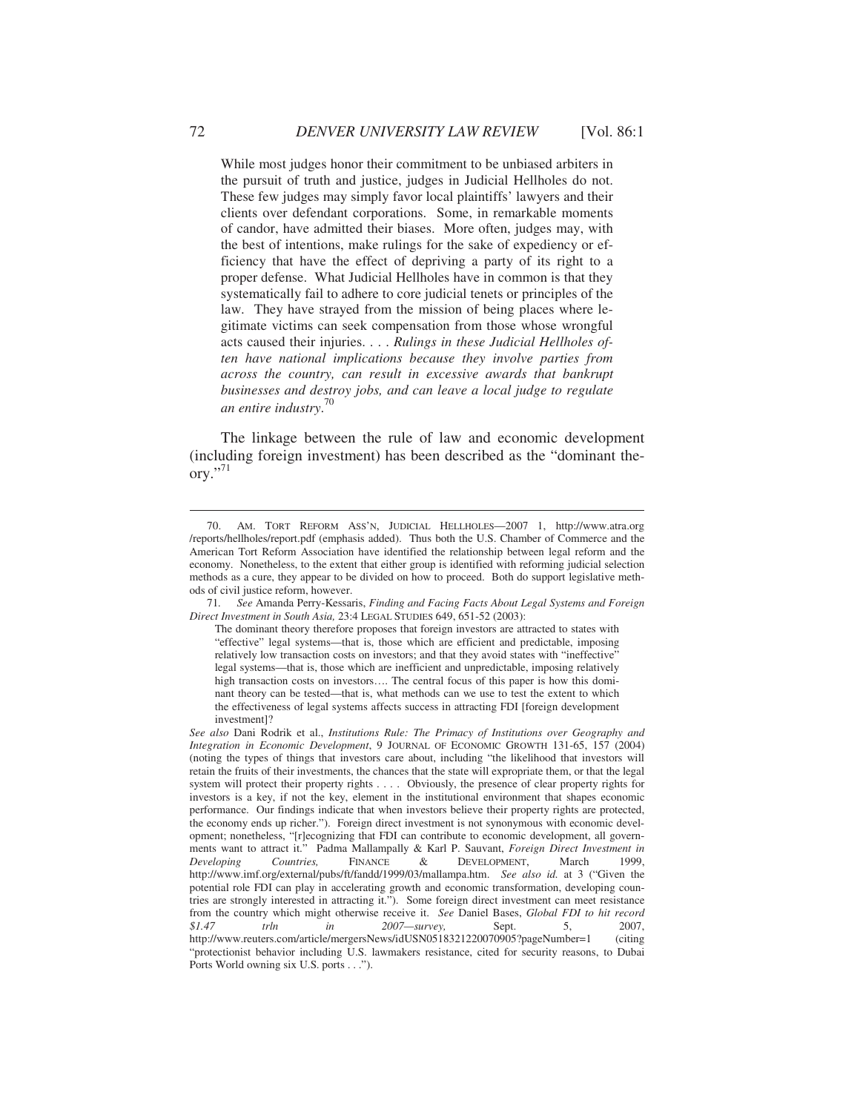While most judges honor their commitment to be unbiased arbiters in the pursuit of truth and justice, judges in Judicial Hellholes do not. These few judges may simply favor local plaintiffs' lawyers and their clients over defendant corporations. Some, in remarkable moments of candor, have admitted their biases. More often, judges may, with the best of intentions, make rulings for the sake of expediency or efficiency that have the effect of depriving a party of its right to a proper defense. What Judicial Hellholes have in common is that they systematically fail to adhere to core judicial tenets or principles of the law. They have strayed from the mission of being places where legitimate victims can seek compensation from those whose wrongful acts caused their injuries. . . . *Rulings in these Judicial Hellholes often have national implications because they involve parties from across the country, can result in excessive awards that bankrupt businesses and destroy jobs, and can leave a local judge to regulate an entire industry*. 70

The linkage between the rule of law and economic development (including foreign investment) has been described as the "dominant the $orv.$ <sup>"71</sup>

 <sup>70.</sup> AM. TORT REFORM ASS'N, JUDICIAL HELLHOLES—2007 1, http://www.atra.org /reports/hellholes/report.pdf (emphasis added). Thus both the U.S. Chamber of Commerce and the American Tort Reform Association have identified the relationship between legal reform and the economy. Nonetheless, to the extent that either group is identified with reforming judicial selection methods as a cure, they appear to be divided on how to proceed. Both do support legislative methods of civil justice reform, however.

 <sup>71</sup>*. See* Amanda Perry-Kessaris, *Finding and Facing Facts About Legal Systems and Foreign Direct Investment in South Asia,* 23:4 LEGAL STUDIES 649, 651-52 (2003):

The dominant theory therefore proposes that foreign investors are attracted to states with "effective" legal systems—that is, those which are efficient and predictable, imposing relatively low transaction costs on investors; and that they avoid states with "ineffective" legal systems—that is, those which are inefficient and unpredictable, imposing relatively high transaction costs on investors…. The central focus of this paper is how this dominant theory can be tested—that is, what methods can we use to test the extent to which the effectiveness of legal systems affects success in attracting FDI [foreign development investment]?

*See also* Dani Rodrik et al., *Institutions Rule: The Primacy of Institutions over Geography and Integration in Economic Development*, 9 JOURNAL OF ECONOMIC GROWTH 131-65, 157 (2004) (noting the types of things that investors care about, including "the likelihood that investors will retain the fruits of their investments, the chances that the state will expropriate them, or that the legal system will protect their property rights . . . . Obviously, the presence of clear property rights for investors is a key, if not the key, element in the institutional environment that shapes economic performance. Our findings indicate that when investors believe their property rights are protected, the economy ends up richer."). Foreign direct investment is not synonymous with economic development; nonetheless, "[r]ecognizing that FDI can contribute to economic development, all governments want to attract it." Padma Mallampally & Karl P. Sauvant, *Foreign Direct Investment in Developing Countries,* FINANCE & DEVELOPMENT, March 1999, http://www.imf.org/external/pubs/ft/fandd/1999/03/mallampa.htm. *See also id.* at 3 ("Given the potential role FDI can play in accelerating growth and economic transformation, developing countries are strongly interested in attracting it."). Some foreign direct investment can meet resistance from the country which might otherwise receive it. *See* Daniel Bases, *Global FDI to hit record \$1.47 trln in 2007—survey,* Sept. 5, 2007, http://www.reuters.com/article/mergersNews/idUSN0518321220070905?pageNumber=1 (citing "protectionist behavior including U.S. lawmakers resistance, cited for security reasons, to Dubai Ports World owning six U.S. ports . . .").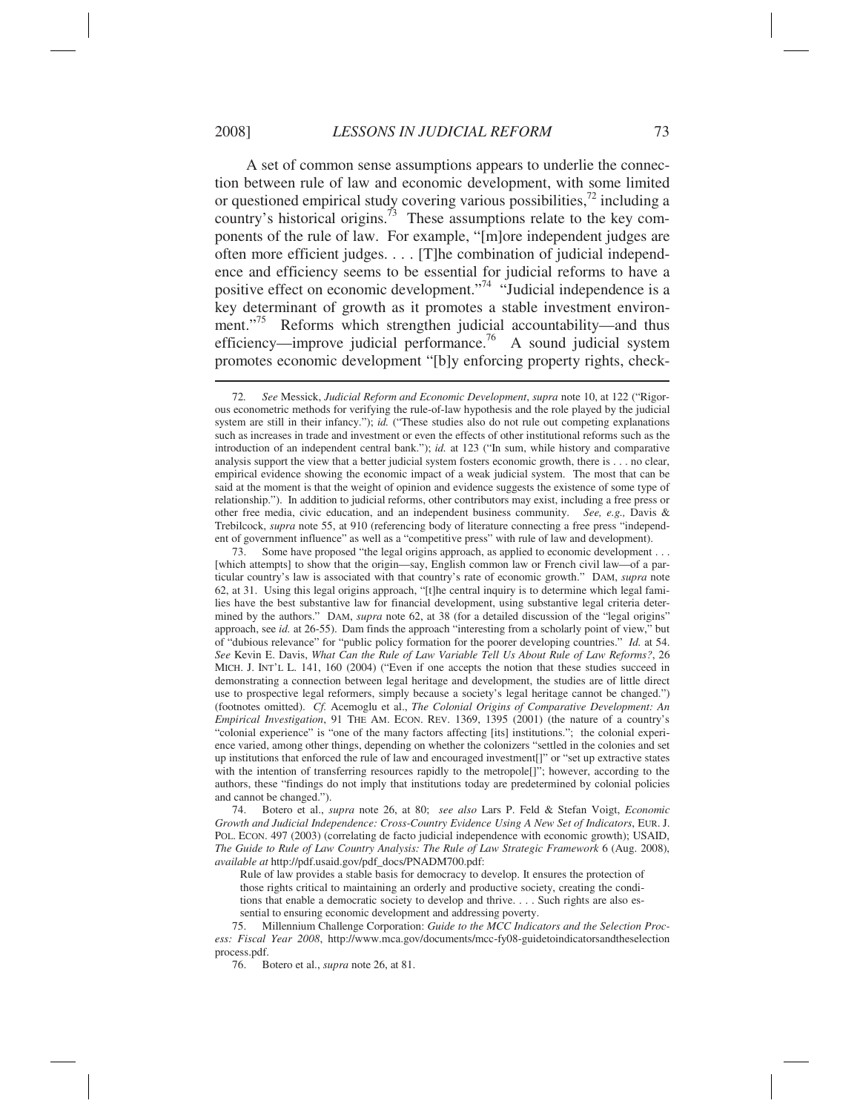A set of common sense assumptions appears to underlie the connection between rule of law and economic development, with some limited or questioned empirical study covering various possibilities,72 including a country's historical origins.<sup>73</sup> These assumptions relate to the key components of the rule of law. For example, "[m]ore independent judges are often more efficient judges. . . . [T]he combination of judicial independence and efficiency seems to be essential for judicial reforms to have a positive effect on economic development."74 "Judicial independence is a key determinant of growth as it promotes a stable investment environment."<sup>75</sup> Reforms which strengthen judicial accountability—and thus efficiency—improve judicial performance.<sup>76</sup> A sound judicial system promotes economic development "[b]y enforcing property rights, check-  $\overline{\phantom{a}}$ 

 73. Some have proposed "the legal origins approach, as applied to economic development . . . [which attempts] to show that the origin—say, English common law or French civil law—of a particular country's law is associated with that country's rate of economic growth." DAM, *supra* note 62, at 31. Using this legal origins approach, "[t]he central inquiry is to determine which legal families have the best substantive law for financial development, using substantive legal criteria determined by the authors." DAM, *supra* note 62, at 38 (for a detailed discussion of the "legal origins" approach, see *id.* at 26-55). Dam finds the approach "interesting from a scholarly point of view," but of "dubious relevance" for "public policy formation for the poorer developing countries." *Id.* at 54. *See* Kevin E. Davis, *What Can the Rule of Law Variable Tell Us About Rule of Law Reforms?*, 26 MICH. J. INT'L L. 141, 160 (2004) ("Even if one accepts the notion that these studies succeed in demonstrating a connection between legal heritage and development, the studies are of little direct use to prospective legal reformers, simply because a society's legal heritage cannot be changed.") (footnotes omitted). *Cf.* Acemoglu et al., *The Colonial Origins of Comparative Development: An Empirical Investigation*, 91 THE AM. ECON. REV. 1369, 1395 (2001) (the nature of a country's "colonial experience" is "one of the many factors affecting [its] institutions."; the colonial experience varied, among other things, depending on whether the colonizers "settled in the colonies and set up institutions that enforced the rule of law and encouraged investment[]" or "set up extractive states with the intention of transferring resources rapidly to the metropole[]"; however, according to the authors, these "findings do not imply that institutions today are predetermined by colonial policies and cannot be changed.").

 74. Botero et al., *supra* note 26, at 80; *see also* Lars P. Feld & Stefan Voigt, *Economic Growth and Judicial Independence: Cross-Country Evidence Using A New Set of Indicators*, EUR. J. POL. ECON. 497 (2003) (correlating de facto judicial independence with economic growth); USAID, *The Guide to Rule of Law Country Analysis: The Rule of Law Strategic Framework* 6 (Aug. 2008), *available at* http://pdf.usaid.gov/pdf\_docs/PNADM700.pdf:

Rule of law provides a stable basis for democracy to develop. It ensures the protection of those rights critical to maintaining an orderly and productive society, creating the conditions that enable a democratic society to develop and thrive. . . . Such rights are also essential to ensuring economic development and addressing poverty.

 75. Millennium Challenge Corporation: *Guide to the MCC Indicators and the Selection Process: Fiscal Year 2008*, http://www.mca.gov/documents/mcc-fy08-guidetoindicatorsandtheselection process.pdf.

76. Botero et al., *supra* note 26, at 81.

 <sup>72</sup>*. See* Messick, *Judicial Reform and Economic Development*, *supra* note 10, at 122 ("Rigorous econometric methods for verifying the rule-of-law hypothesis and the role played by the judicial system are still in their infancy."); *id.* ("These studies also do not rule out competing explanations such as increases in trade and investment or even the effects of other institutional reforms such as the introduction of an independent central bank."); *id.* at 123 ("In sum, while history and comparative analysis support the view that a better judicial system fosters economic growth, there is . . . no clear, empirical evidence showing the economic impact of a weak judicial system. The most that can be said at the moment is that the weight of opinion and evidence suggests the existence of some type of relationship."). In addition to judicial reforms, other contributors may exist, including a free press or other free media, civic education, and an independent business community. *See, e.g.,* Davis & Trebilcock, *supra* note 55, at 910 (referencing body of literature connecting a free press "independent of government influence" as well as a "competitive press" with rule of law and development).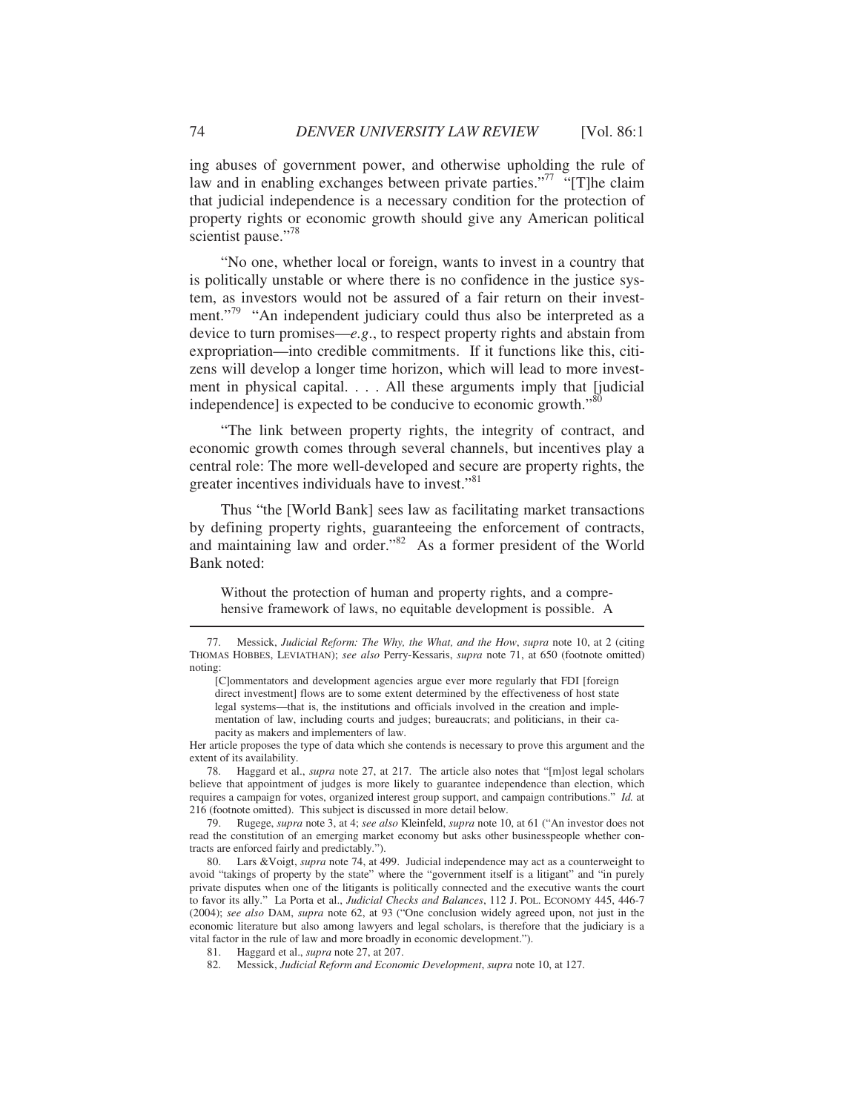ing abuses of government power, and otherwise upholding the rule of law and in enabling exchanges between private parties."<sup>77</sup> "[T]he claim that judicial independence is a necessary condition for the protection of property rights or economic growth should give any American political scientist pause."<sup>78</sup>

"No one, whether local or foreign, wants to invest in a country that is politically unstable or where there is no confidence in the justice system, as investors would not be assured of a fair return on their investment."<sup>79</sup> "An independent judiciary could thus also be interpreted as a device to turn promises—*e.g*., to respect property rights and abstain from expropriation—into credible commitments. If it functions like this, citizens will develop a longer time horizon, which will lead to more investment in physical capital. . . . All these arguments imply that [judicial independence] is expected to be conducive to economic growth."<sup>80</sup>

"The link between property rights, the integrity of contract, and economic growth comes through several channels, but incentives play a central role: The more well-developed and secure are property rights, the greater incentives individuals have to invest."<sup>81</sup>

Thus "the [World Bank] sees law as facilitating market transactions by defining property rights, guaranteeing the enforcement of contracts, and maintaining law and order." $82$  As a former president of the World Bank noted:

Without the protection of human and property rights, and a comprehensive framework of laws, no equitable development is possible. A

Her article proposes the type of data which she contends is necessary to prove this argument and the extent of its availability.

 78. Haggard et al., *supra* note 27, at 217. The article also notes that "[m]ost legal scholars believe that appointment of judges is more likely to guarantee independence than election, which requires a campaign for votes, organized interest group support, and campaign contributions." *Id.* at 216 (footnote omitted). This subject is discussed in more detail below.

 79. Rugege, *supra* note 3, at 4; *see also* Kleinfeld, *supra* note 10, at 61 ("An investor does not read the constitution of an emerging market economy but asks other businesspeople whether contracts are enforced fairly and predictably.").

 80. Lars &Voigt, *supra* note 74, at 499. Judicial independence may act as a counterweight to avoid "takings of property by the state" where the "government itself is a litigant" and "in purely private disputes when one of the litigants is politically connected and the executive wants the court to favor its ally." La Porta et al., *Judicial Checks and Balances*, 112 J. POL. ECONOMY 445, 446-7 (2004); *see also* DAM, *supra* note 62, at 93 ("One conclusion widely agreed upon, not just in the economic literature but also among lawyers and legal scholars, is therefore that the judiciary is a vital factor in the rule of law and more broadly in economic development.").

 <sup>77.</sup> Messick, *Judicial Reform: The Why, the What, and the How*, *supra* note 10, at 2 (citing THOMAS HOBBES, LEVIATHAN); *see also* Perry-Kessaris, *supra* note 71, at 650 (footnote omitted) noting:

<sup>[</sup>C]ommentators and development agencies argue ever more regularly that FDI [foreign direct investment] flows are to some extent determined by the effectiveness of host state legal systems—that is, the institutions and officials involved in the creation and implementation of law, including courts and judges; bureaucrats; and politicians, in their capacity as makers and implementers of law.

 <sup>81.</sup> Haggard et al., *supra* note 27, at 207.

 <sup>82.</sup> Messick, *Judicial Reform and Economic Development*, *supra* note 10, at 127.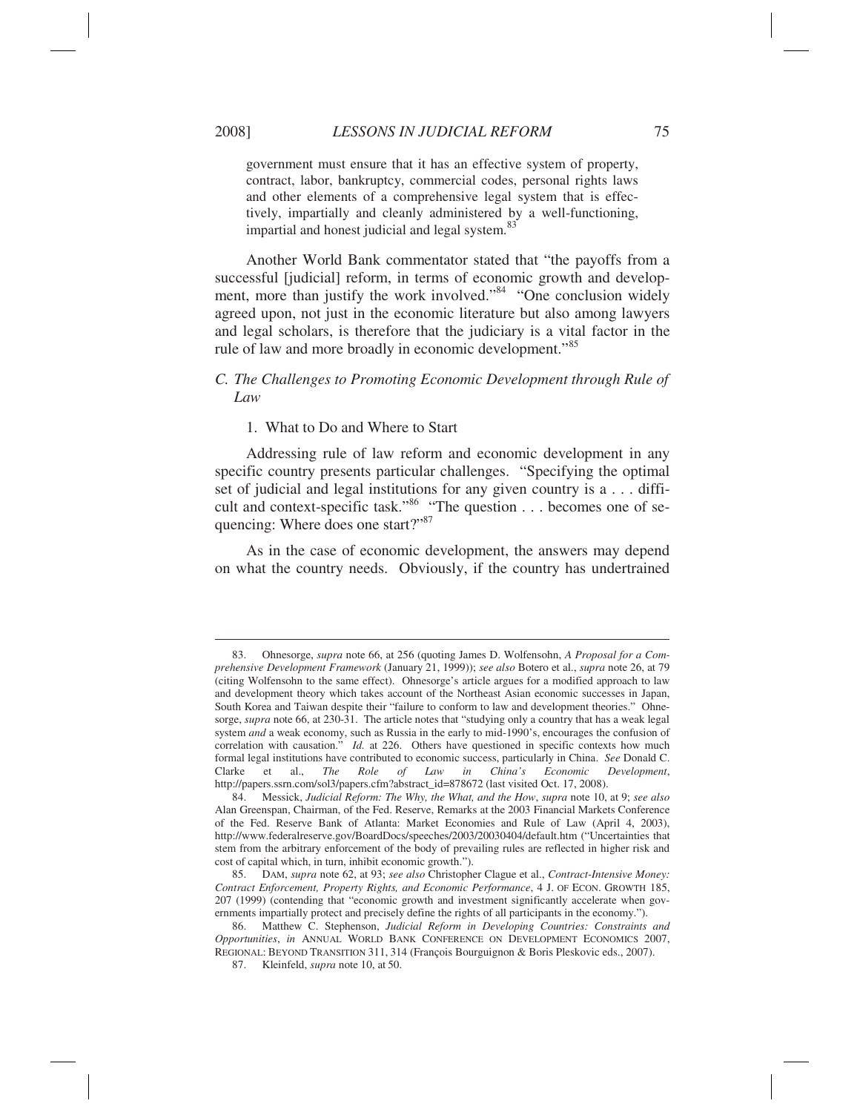$\overline{a}$ 

government must ensure that it has an effective system of property, contract, labor, bankruptcy, commercial codes, personal rights laws and other elements of a comprehensive legal system that is effectively, impartially and cleanly administered by a well-functioning, impartial and honest judicial and legal system.<sup>83</sup>

Another World Bank commentator stated that "the payoffs from a successful [judicial] reform, in terms of economic growth and development, more than justify the work involved."<sup>84</sup> "One conclusion widely agreed upon, not just in the economic literature but also among lawyers and legal scholars, is therefore that the judiciary is a vital factor in the rule of law and more broadly in economic development."<sup>85</sup>

# *C. The Challenges to Promoting Economic Development through Rule of Law*

1. What to Do and Where to Start

Addressing rule of law reform and economic development in any specific country presents particular challenges. "Specifying the optimal set of judicial and legal institutions for any given country is a . . . difficult and context-specific task."<sup>86</sup> "The question . . . becomes one of sequencing: Where does one start?"<sup>87</sup>

As in the case of economic development, the answers may depend on what the country needs. Obviously, if the country has undertrained

 <sup>83.</sup> Ohnesorge, *supra* note 66, at 256 (quoting James D. Wolfensohn, *A Proposal for a Comprehensive Development Framework* (January 21, 1999)); *see also* Botero et al., *supra* note 26, at 79 (citing Wolfensohn to the same effect). Ohnesorge's article argues for a modified approach to law and development theory which takes account of the Northeast Asian economic successes in Japan, South Korea and Taiwan despite their "failure to conform to law and development theories." Ohnesorge, *supra* note 66, at 230-31. The article notes that "studying only a country that has a weak legal system *and* a weak economy, such as Russia in the early to mid-1990's, encourages the confusion of correlation with causation." *Id.* at 226. Others have questioned in specific contexts how much formal legal institutions have contributed to economic success, particularly in China. *See* Donald C. Clarke et al., *The Role of Law in China's Economic Development*, http://papers.ssrn.com/sol3/papers.cfm?abstract\_id=878672 (last visited Oct. 17, 2008).

 <sup>84.</sup> Messick, *Judicial Reform: The Why, the What, and the How*, *supra* note 10, at 9; *see also*  Alan Greenspan, Chairman, of the Fed. Reserve, Remarks at the 2003 Financial Markets Conference of the Fed. Reserve Bank of Atlanta: Market Economies and Rule of Law (April 4, 2003), http://www.federalreserve.gov/BoardDocs/speeches/2003/20030404/default.htm ("Uncertainties that stem from the arbitrary enforcement of the body of prevailing rules are reflected in higher risk and cost of capital which, in turn, inhibit economic growth.").

 <sup>85.</sup> DAM, *supra* note 62, at 93; *see also* Christopher Clague et al., *Contract-Intensive Money: Contract Enforcement, Property Rights, and Economic Performance*, 4 J. OF ECON. GROWTH 185, 207 (1999) (contending that "economic growth and investment significantly accelerate when governments impartially protect and precisely define the rights of all participants in the economy.").

 <sup>86.</sup> Matthew C. Stephenson, *Judicial Reform in Developing Countries: Constraints and Opportunities*, *in* ANNUAL WORLD BANK CONFERENCE ON DEVELOPMENT ECONOMICS 2007, REGIONAL: BEYOND TRANSITION 311, 314 (François Bourguignon & Boris Pleskovic eds., 2007).

 <sup>87.</sup> Kleinfeld, *supra* note 10, at 50.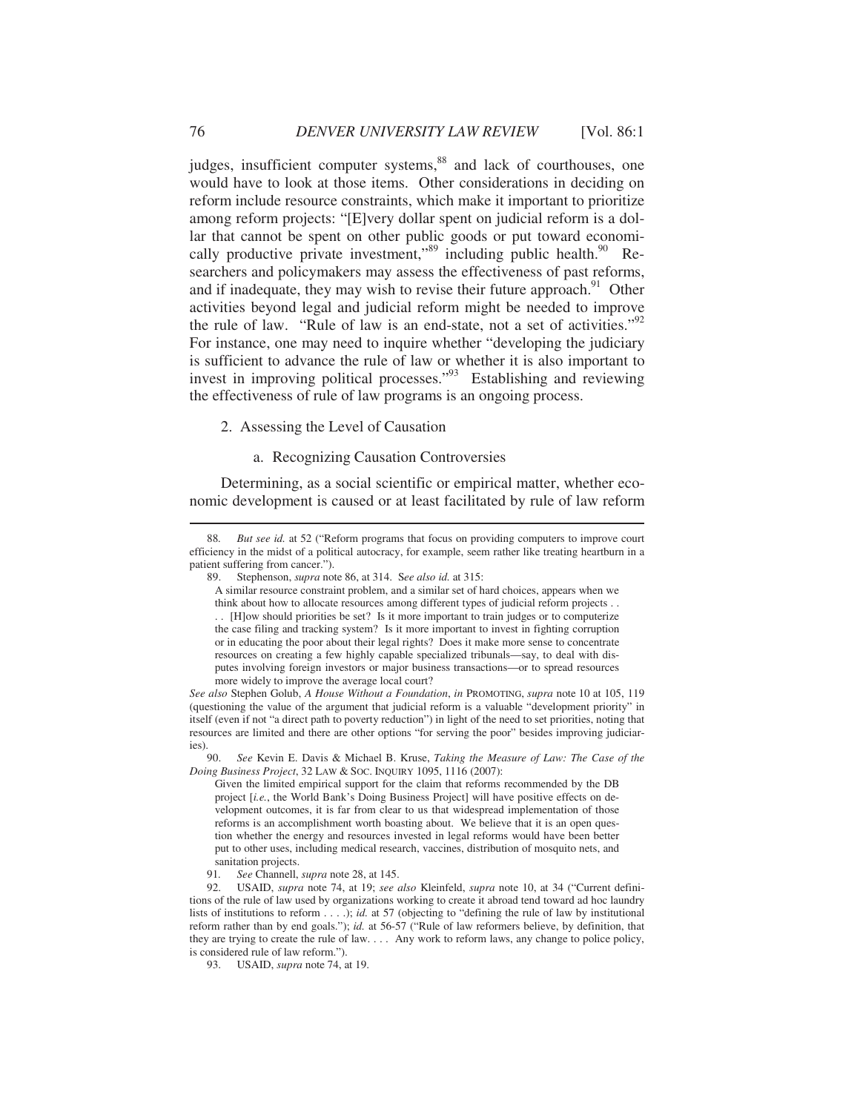judges, insufficient computer systems,<sup>88</sup> and lack of courthouses, one would have to look at those items. Other considerations in deciding on reform include resource constraints, which make it important to prioritize among reform projects: "[E]very dollar spent on judicial reform is a dollar that cannot be spent on other public goods or put toward economically productive private investment," $89$  including public health. $90$  Researchers and policymakers may assess the effectiveness of past reforms, and if inadequate, they may wish to revise their future approach. $91$  Other activities beyond legal and judicial reform might be needed to improve the rule of law. "Rule of law is an end-state, not a set of activities."<sup>92</sup> For instance, one may need to inquire whether "developing the judiciary is sufficient to advance the rule of law or whether it is also important to invest in improving political processes."93 Establishing and reviewing the effectiveness of rule of law programs is an ongoing process.

# 2. Assessing the Level of Causation

#### a. Recognizing Causation Controversies

Determining, as a social scientific or empirical matter, whether economic development is caused or at least facilitated by rule of law reform

or in educating the poor about their legal rights? Does it make more sense to concentrate resources on creating a few highly capable specialized tribunals—say, to deal with disputes involving foreign investors or major business transactions—or to spread resources more widely to improve the average local court?

*See also* Stephen Golub, *A House Without a Foundation*, *in* PROMOTING, *supra* note 10 at 105, 119 (questioning the value of the argument that judicial reform is a valuable "development priority" in itself (even if not "a direct path to poverty reduction") in light of the need to set priorities, noting that resources are limited and there are other options "for serving the poor" besides improving judiciaries).

 90. *See* Kevin E. Davis & Michael B. Kruse, *Taking the Measure of Law: The Case of the Doing Business Project*, 32 LAW & SOC. INQUIRY 1095, 1116 (2007):

Given the limited empirical support for the claim that reforms recommended by the DB project [*i.e.*, the World Bank's Doing Business Project] will have positive effects on development outcomes, it is far from clear to us that widespread implementation of those reforms is an accomplishment worth boasting about. We believe that it is an open question whether the energy and resources invested in legal reforms would have been better put to other uses, including medical research, vaccines, distribution of mosquito nets, and sanitation projects.

91*. See* Channell, *supra* note 28, at 145.

 92. USAID, *supra* note 74, at 19; *see also* Kleinfeld, *supra* note 10, at 34 ("Current definitions of the rule of law used by organizations working to create it abroad tend toward ad hoc laundry lists of institutions to reform . . . .); *id.* at 57 (objecting to "defining the rule of law by institutional reform rather than by end goals."); *id.* at 56-57 ("Rule of law reformers believe, by definition, that they are trying to create the rule of law. . . . Any work to reform laws, any change to police policy, is considered rule of law reform.").

93. USAID, *supra* note 74, at 19.

 <sup>88</sup>*. But see id.* at 52 ("Reform programs that focus on providing computers to improve court efficiency in the midst of a political autocracy, for example, seem rather like treating heartburn in a patient suffering from cancer.").

 <sup>89.</sup> Stephenson, *supra* note 86, at 314. S*ee also id.* at 315:

A similar resource constraint problem, and a similar set of hard choices, appears when we think about how to allocate resources among different types of judicial reform projects . . . . [H]ow should priorities be set? Is it more important to train judges or to computerize the case filing and tracking system? Is it more important to invest in fighting corruption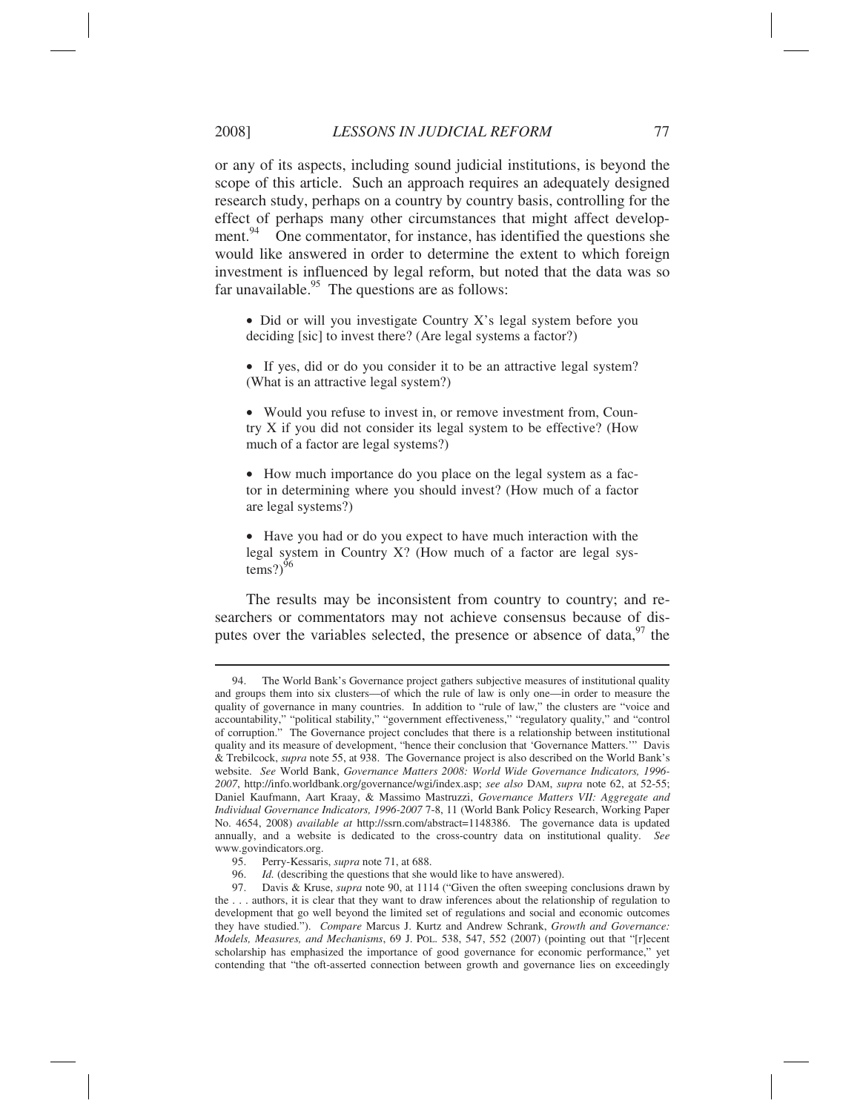or any of its aspects, including sound judicial institutions, is beyond the scope of this article. Such an approach requires an adequately designed research study, perhaps on a country by country basis, controlling for the effect of perhaps many other circumstances that might affect development. $94$  One commentator, for instance, has identified the questions she would like answered in order to determine the extent to which foreign investment is influenced by legal reform, but noted that the data was so far unavailable. $95$  The questions are as follows:

• Did or will you investigate Country X's legal system before you deciding [sic] to invest there? (Are legal systems a factor?)

• If yes, did or do you consider it to be an attractive legal system? (What is an attractive legal system?)

• Would you refuse to invest in, or remove investment from, Country X if you did not consider its legal system to be effective? (How much of a factor are legal systems?)

• How much importance do you place on the legal system as a factor in determining where you should invest? (How much of a factor are legal systems?)

• Have you had or do you expect to have much interaction with the legal system in Country X? (How much of a factor are legal systems?) $96$ 

The results may be inconsistent from country to country; and researchers or commentators may not achieve consensus because of disputes over the variables selected, the presence or absence of data,  $97$  the

 <sup>94.</sup> The World Bank's Governance project gathers subjective measures of institutional quality and groups them into six clusters—of which the rule of law is only one—in order to measure the quality of governance in many countries. In addition to "rule of law," the clusters are "voice and accountability," "political stability," "government effectiveness," "regulatory quality," and "control of corruption." The Governance project concludes that there is a relationship between institutional quality and its measure of development, "hence their conclusion that 'Governance Matters.'" Davis & Trebilcock, *supra* note 55, at 938. The Governance project is also described on the World Bank's website. *See* World Bank, *Governance Matters 2008: World Wide Governance Indicators, 1996- 2007*, http://info.worldbank.org/governance/wgi/index.asp; *see also* DAM, *supra* note 62, at 52-55; Daniel Kaufmann, Aart Kraay, & Massimo Mastruzzi, *Governance Matters VII: Aggregate and Individual Governance Indicators, 1996-2007* 7-8, 11 (World Bank Policy Research, Working Paper No. 4654, 2008) *available at* http://ssrn.com/abstract=1148386. The governance data is updated annually, and a website is dedicated to the cross-country data on institutional quality. *See* www.govindicators.org.

 <sup>95.</sup> Perry-Kessaris, *supra* note 71, at 688.

 <sup>96.</sup> *Id.* (describing the questions that she would like to have answered).

 <sup>97.</sup> Davis & Kruse, *supra* note 90, at 1114 ("Given the often sweeping conclusions drawn by the . . . authors, it is clear that they want to draw inferences about the relationship of regulation to development that go well beyond the limited set of regulations and social and economic outcomes they have studied."). *Compare* Marcus J. Kurtz and Andrew Schrank, *Growth and Governance: Models, Measures, and Mechanisms*, 69 J. POL. 538, 547, 552 (2007) (pointing out that "[r]ecent scholarship has emphasized the importance of good governance for economic performance," yet contending that "the oft-asserted connection between growth and governance lies on exceedingly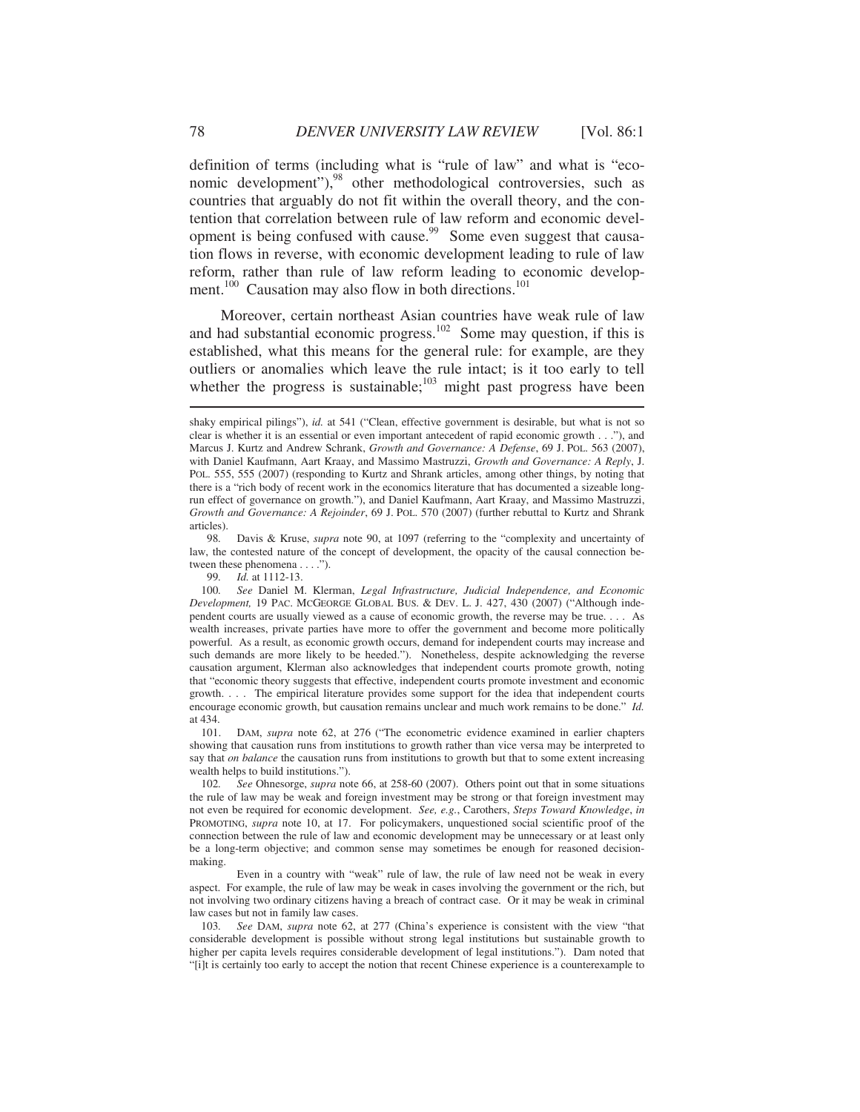definition of terms (including what is "rule of law" and what is "economic development"),<sup>98</sup> other methodological controversies, such as countries that arguably do not fit within the overall theory, and the contention that correlation between rule of law reform and economic development is being confused with cause.<sup>99</sup> Some even suggest that causation flows in reverse, with economic development leading to rule of law reform, rather than rule of law reform leading to economic development.<sup>100</sup> Causation may also flow in both directions.<sup>101</sup>

Moreover, certain northeast Asian countries have weak rule of law and had substantial economic progress.<sup>102</sup> Some may question, if this is established, what this means for the general rule: for example, are they outliers or anomalies which leave the rule intact; is it too early to tell whether the progress is sustainable;<sup>103</sup> might past progress have been

 98*.* Davis & Kruse, *supra* note 90, at 1097 (referring to the "complexity and uncertainty of law, the contested nature of the concept of development, the opacity of the causal connection between these phenomena . . . .").

99*. Id.* at 1112-13.

 101. DAM, *supra* note 62, at 276 ("The econometric evidence examined in earlier chapters showing that causation runs from institutions to growth rather than vice versa may be interpreted to say that *on balance* the causation runs from institutions to growth but that to some extent increasing wealth helps to build institutions.").

 102*. See* Ohnesorge, *supra* note 66, at 258-60 (2007). Others point out that in some situations the rule of law may be weak and foreign investment may be strong or that foreign investment may not even be required for economic development. *See, e.g.*, Carothers, *Steps Toward Knowledge*, *in* PROMOTING, *supra* note 10, at 17. For policymakers, unquestioned social scientific proof of the connection between the rule of law and economic development may be unnecessary or at least only be a long-term objective; and common sense may sometimes be enough for reasoned decisionmaking.

 Even in a country with "weak" rule of law, the rule of law need not be weak in every aspect. For example, the rule of law may be weak in cases involving the government or the rich, but not involving two ordinary citizens having a breach of contract case. Or it may be weak in criminal law cases but not in family law cases.

 103*. See* DAM, *supra* note 62, at 277 (China's experience is consistent with the view "that considerable development is possible without strong legal institutions but sustainable growth to higher per capita levels requires considerable development of legal institutions."). Dam noted that "[i]t is certainly too early to accept the notion that recent Chinese experience is a counterexample to

shaky empirical pilings"), *id.* at 541 ("Clean, effective government is desirable, but what is not so clear is whether it is an essential or even important antecedent of rapid economic growth . . ."), and Marcus J. Kurtz and Andrew Schrank, *Growth and Governance: A Defense*, 69 J. POL. 563 (2007), with Daniel Kaufmann, Aart Kraay, and Massimo Mastruzzi, *Growth and Governance: A Reply*, J. POL. 555, 555 (2007) (responding to Kurtz and Shrank articles, among other things, by noting that there is a "rich body of recent work in the economics literature that has documented a sizeable longrun effect of governance on growth."), and Daniel Kaufmann, Aart Kraay, and Massimo Mastruzzi, *Growth and Governance: A Rejoinder*, 69 J. POL. 570 (2007) (further rebuttal to Kurtz and Shrank articles).

 <sup>100</sup>*. See* Daniel M. Klerman, *Legal Infrastructure, Judicial Independence, and Economic Development,* 19 PAC. MCGEORGE GLOBAL BUS. & DEV. L. J. 427, 430 (2007) ("Although independent courts are usually viewed as a cause of economic growth, the reverse may be true. . . . As wealth increases, private parties have more to offer the government and become more politically powerful. As a result, as economic growth occurs, demand for independent courts may increase and such demands are more likely to be heeded."). Nonetheless, despite acknowledging the reverse causation argument, Klerman also acknowledges that independent courts promote growth, noting that "economic theory suggests that effective, independent courts promote investment and economic growth. . . . The empirical literature provides some support for the idea that independent courts encourage economic growth, but causation remains unclear and much work remains to be done." *Id.* at 434.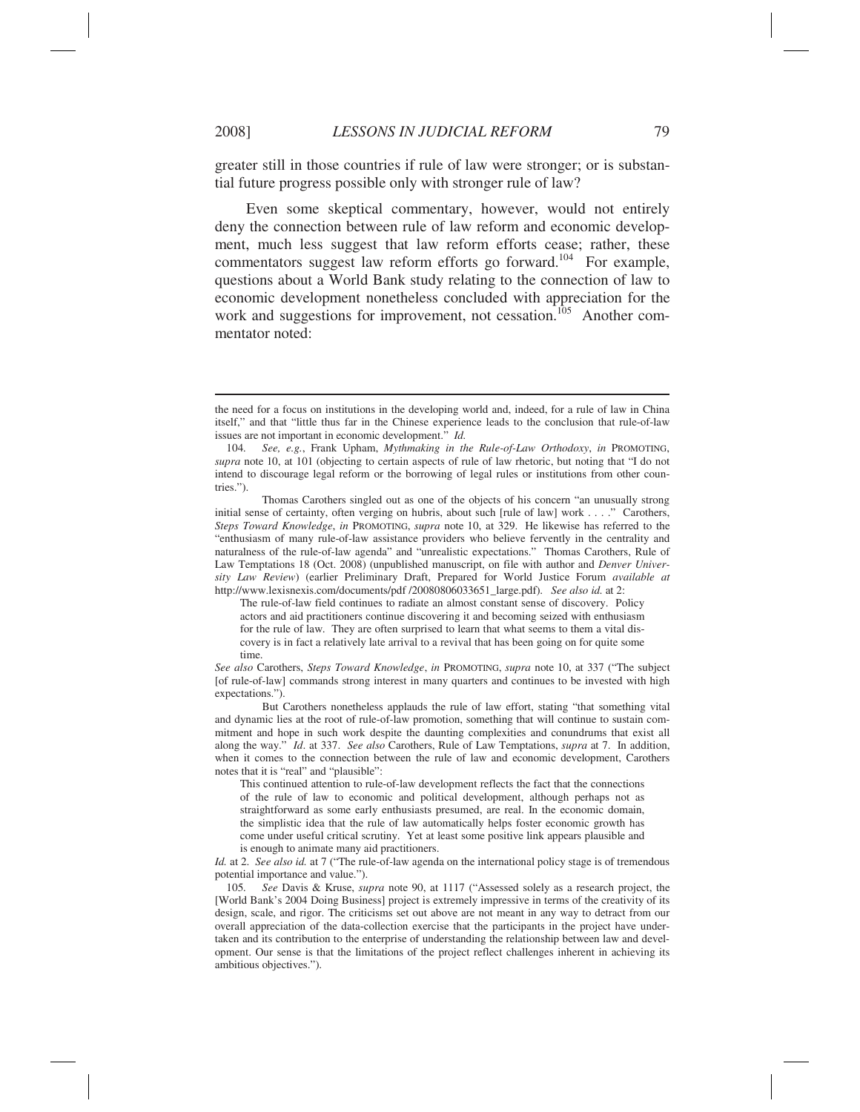$\overline{a}$ 

greater still in those countries if rule of law were stronger; or is substantial future progress possible only with stronger rule of law?

Even some skeptical commentary, however, would not entirely deny the connection between rule of law reform and economic development, much less suggest that law reform efforts cease; rather, these commentators suggest law reform efforts go forward.<sup>104</sup> For example, questions about a World Bank study relating to the connection of law to economic development nonetheless concluded with appreciation for the work and suggestions for improvement, not cessation.<sup>105</sup> Another commentator noted:

The rule-of-law field continues to radiate an almost constant sense of discovery. Policy actors and aid practitioners continue discovering it and becoming seized with enthusiasm for the rule of law. They are often surprised to learn that what seems to them a vital discovery is in fact a relatively late arrival to a revival that has been going on for quite some time.

*See also* Carothers, *Steps Toward Knowledge*, *in* PROMOTING, *supra* note 10, at 337 ("The subject [of rule-of-law] commands strong interest in many quarters and continues to be invested with high expectations.").

 But Carothers nonetheless applauds the rule of law effort, stating "that something vital and dynamic lies at the root of rule-of-law promotion, something that will continue to sustain commitment and hope in such work despite the daunting complexities and conundrums that exist all along the way." *Id*. at 337. *See also* Carothers, Rule of Law Temptations, *supra* at 7. In addition, when it comes to the connection between the rule of law and economic development, Carothers notes that it is "real" and "plausible":

This continued attention to rule-of-law development reflects the fact that the connections of the rule of law to economic and political development, although perhaps not as straightforward as some early enthusiasts presumed, are real. In the economic domain, the simplistic idea that the rule of law automatically helps foster economic growth has come under useful critical scrutiny. Yet at least some positive link appears plausible and is enough to animate many aid practitioners.

*Id.* at 2. *See also id.* at 7 ("The rule-of-law agenda on the international policy stage is of tremendous potential importance and value.").<br>105. See Davis & Kruse. su

105*. See* Davis & Kruse, *supra* note 90, at 1117 ("Assessed solely as a research project, the [World Bank's 2004 Doing Business] project is extremely impressive in terms of the creativity of its design, scale, and rigor. The criticisms set out above are not meant in any way to detract from our overall appreciation of the data-collection exercise that the participants in the project have undertaken and its contribution to the enterprise of understanding the relationship between law and development. Our sense is that the limitations of the project reflect challenges inherent in achieving its ambitious objectives.").

the need for a focus on institutions in the developing world and, indeed, for a rule of law in China itself," and that "little thus far in the Chinese experience leads to the conclusion that rule-of-law issues are not important in economic development." *Id.* 

 <sup>104</sup>*. See, e.g.*, Frank Upham, *Mythmaking in the Rule-of-Law Orthodoxy*, *in* PROMOTING, *supra* note 10, at 101 (objecting to certain aspects of rule of law rhetoric, but noting that "I do not intend to discourage legal reform or the borrowing of legal rules or institutions from other countries.").

Thomas Carothers singled out as one of the objects of his concern "an unusually strong initial sense of certainty, often verging on hubris, about such [rule of law] work . . . ." Carothers, *Steps Toward Knowledge*, *in* PROMOTING, *supra* note 10, at 329. He likewise has referred to the "enthusiasm of many rule-of-law assistance providers who believe fervently in the centrality and naturalness of the rule-of-law agenda" and "unrealistic expectations." Thomas Carothers, Rule of Law Temptations 18 (Oct. 2008) (unpublished manuscript, on file with author and *Denver University Law Review*) (earlier Preliminary Draft, Prepared for World Justice Forum *available at* http://www.lexisnexis.com/documents/pdf /20080806033651\_large.pdf). *See also id.* at 2: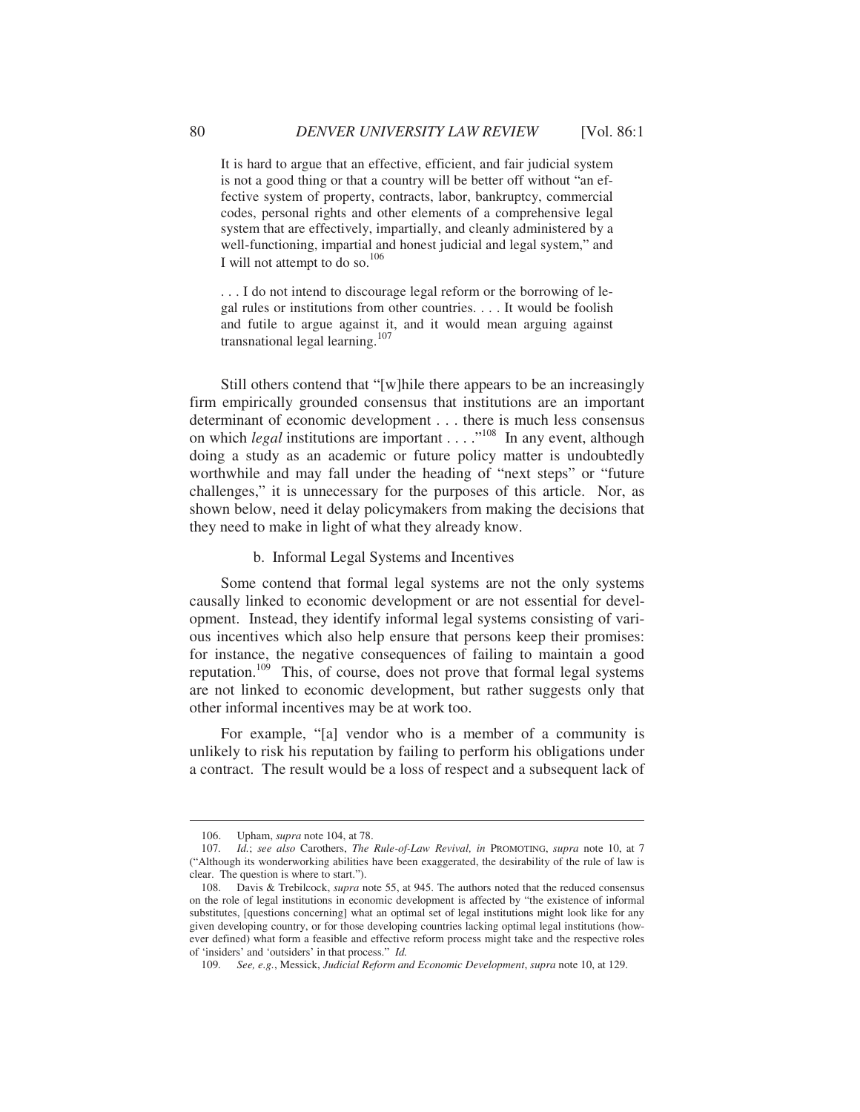It is hard to argue that an effective, efficient, and fair judicial system is not a good thing or that a country will be better off without "an effective system of property, contracts, labor, bankruptcy, commercial codes, personal rights and other elements of a comprehensive legal system that are effectively, impartially, and cleanly administered by a well-functioning, impartial and honest judicial and legal system," and I will not attempt to do so. $^{106}$ 

. . . I do not intend to discourage legal reform or the borrowing of legal rules or institutions from other countries. . . . It would be foolish and futile to argue against it, and it would mean arguing against transnational legal learning.<sup>107</sup>

Still others contend that "[w]hile there appears to be an increasingly firm empirically grounded consensus that institutions are an important determinant of economic development . . . there is much less consensus on which *legal* institutions are important . . . .<sup>"108</sup> In any event, although doing a study as an academic or future policy matter is undoubtedly worthwhile and may fall under the heading of "next steps" or "future challenges," it is unnecessary for the purposes of this article. Nor, as shown below, need it delay policymakers from making the decisions that they need to make in light of what they already know.

b. Informal Legal Systems and Incentives

Some contend that formal legal systems are not the only systems causally linked to economic development or are not essential for development. Instead, they identify informal legal systems consisting of various incentives which also help ensure that persons keep their promises: for instance, the negative consequences of failing to maintain a good reputation.109 This, of course, does not prove that formal legal systems are not linked to economic development, but rather suggests only that other informal incentives may be at work too.

For example, "[a] vendor who is a member of a community is unlikely to risk his reputation by failing to perform his obligations under a contract. The result would be a loss of respect and a subsequent lack of

 <sup>106.</sup> Upham, *supra* note 104, at 78.

 <sup>107</sup>*. Id.*; *see also* Carothers, *The Rule-of-Law Revival, in* PROMOTING, *supra* note 10, at 7 ("Although its wonderworking abilities have been exaggerated, the desirability of the rule of law is clear. The question is where to start.").

 <sup>108.</sup> Davis & Trebilcock, *supra* note 55, at 945. The authors noted that the reduced consensus on the role of legal institutions in economic development is affected by "the existence of informal substitutes, [questions concerning] what an optimal set of legal institutions might look like for any given developing country, or for those developing countries lacking optimal legal institutions (however defined) what form a feasible and effective reform process might take and the respective roles of 'insiders' and 'outsiders' in that process." *Id.*

 <sup>109</sup>*. See, e.g.*, Messick, *Judicial Reform and Economic Development*, *supra* note 10, at 129.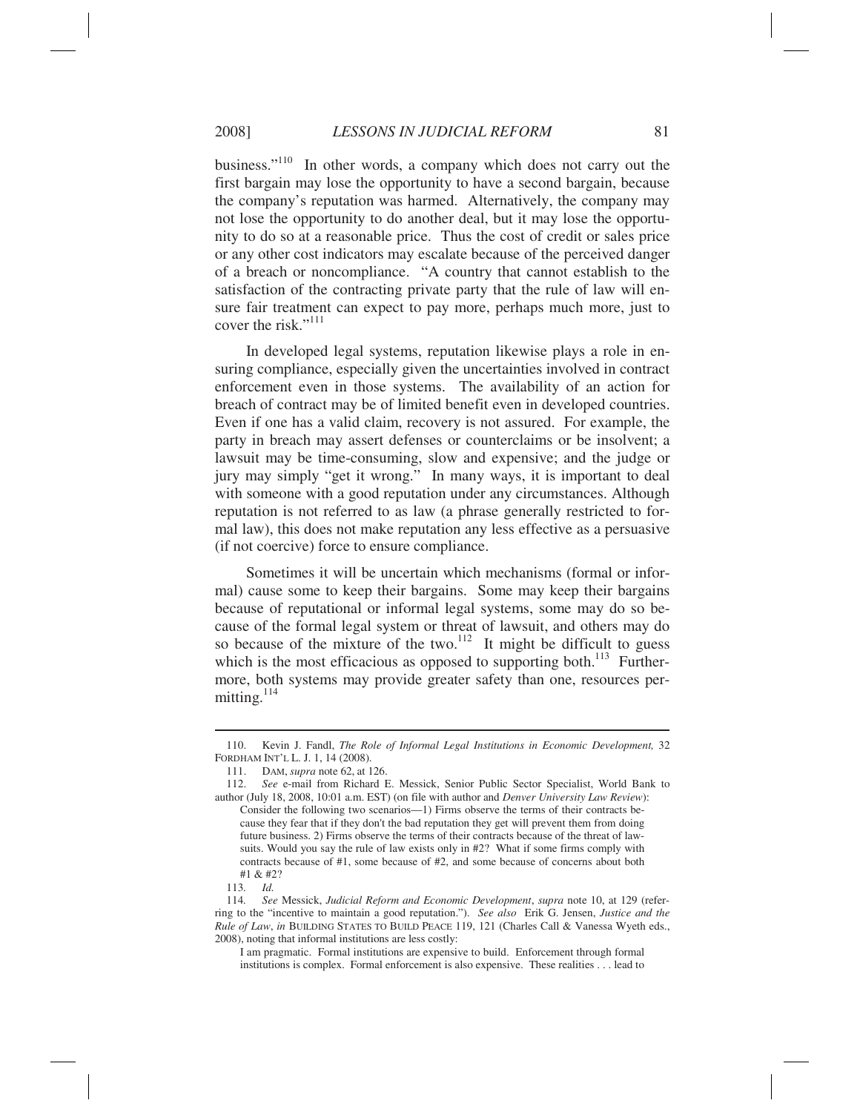business."110 In other words, a company which does not carry out the first bargain may lose the opportunity to have a second bargain, because the company's reputation was harmed. Alternatively, the company may not lose the opportunity to do another deal, but it may lose the opportunity to do so at a reasonable price. Thus the cost of credit or sales price or any other cost indicators may escalate because of the perceived danger of a breach or noncompliance. "A country that cannot establish to the satisfaction of the contracting private party that the rule of law will ensure fair treatment can expect to pay more, perhaps much more, just to cover the risk."<sup>111</sup>

In developed legal systems, reputation likewise plays a role in ensuring compliance, especially given the uncertainties involved in contract enforcement even in those systems. The availability of an action for breach of contract may be of limited benefit even in developed countries. Even if one has a valid claim, recovery is not assured. For example, the party in breach may assert defenses or counterclaims or be insolvent; a lawsuit may be time-consuming, slow and expensive; and the judge or jury may simply "get it wrong." In many ways, it is important to deal with someone with a good reputation under any circumstances. Although reputation is not referred to as law (a phrase generally restricted to formal law), this does not make reputation any less effective as a persuasive (if not coercive) force to ensure compliance.

Sometimes it will be uncertain which mechanisms (formal or informal) cause some to keep their bargains. Some may keep their bargains because of reputational or informal legal systems, some may do so because of the formal legal system or threat of lawsuit, and others may do so because of the mixture of the two.<sup>112</sup> It might be difficult to guess which is the most efficacious as opposed to supporting both. $^{113}$  Furthermore, both systems may provide greater safety than one, resources permitting. $114$ 

 <sup>110.</sup> Kevin J. Fandl, *The Role of Informal Legal Institutions in Economic Development,* 32 FORDHAM INT'L L. J. 1, 14 (2008).

 <sup>111.</sup> DAM, *supra* note 62, at 126.

<sup>112.</sup> *See* e-mail from Richard E. Messick, Senior Public Sector Specialist, World Bank to author (July 18, 2008, 10:01 a.m. EST) (on file with author and *Denver University Law Review*): Consider the following two scenarios—1) Firms observe the terms of their contracts because they fear that if they don't the bad reputation they get will prevent them from doing future business. 2) Firms observe the terms of their contracts because of the threat of lawsuits. Would you say the rule of law exists only in #2? What if some firms comply with contracts because of #1, some because of #2, and some because of concerns about both #1 & #2?

<sup>113</sup>*. Id.* 

 <sup>114</sup>*. See* Messick, *Judicial Reform and Economic Development*, *supra* note 10, at 129 (referring to the "incentive to maintain a good reputation."). *See also* Erik G. Jensen, *Justice and the Rule of Law*, *in* BUILDING STATES TO BUILD PEACE 119, 121 (Charles Call & Vanessa Wyeth eds., 2008), noting that informal institutions are less costly:

I am pragmatic. Formal institutions are expensive to build. Enforcement through formal institutions is complex. Formal enforcement is also expensive. These realities . . . lead to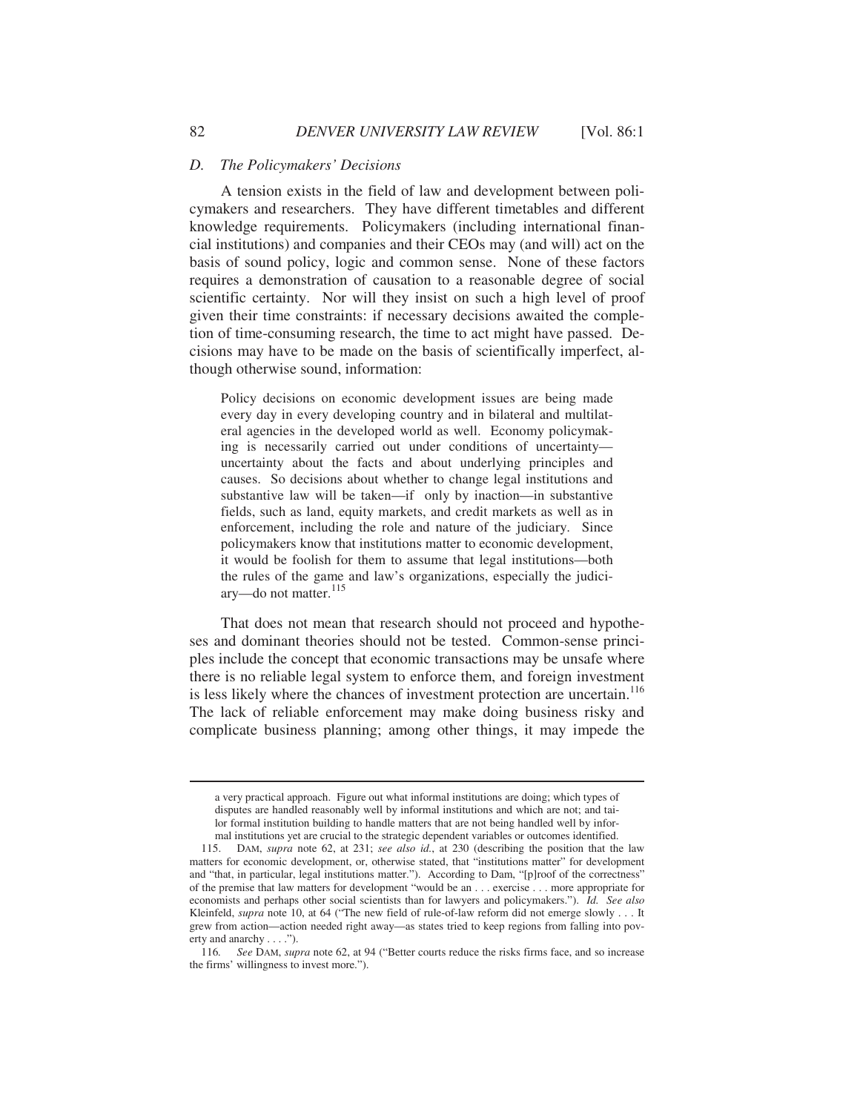#### *D. The Policymakers' Decisions*

A tension exists in the field of law and development between policymakers and researchers. They have different timetables and different knowledge requirements. Policymakers (including international financial institutions) and companies and their CEOs may (and will) act on the basis of sound policy, logic and common sense. None of these factors requires a demonstration of causation to a reasonable degree of social scientific certainty. Nor will they insist on such a high level of proof given their time constraints: if necessary decisions awaited the completion of time-consuming research, the time to act might have passed. Decisions may have to be made on the basis of scientifically imperfect, although otherwise sound, information:

Policy decisions on economic development issues are being made every day in every developing country and in bilateral and multilateral agencies in the developed world as well. Economy policymaking is necessarily carried out under conditions of uncertainty uncertainty about the facts and about underlying principles and causes. So decisions about whether to change legal institutions and substantive law will be taken—if only by inaction—in substantive fields, such as land, equity markets, and credit markets as well as in enforcement, including the role and nature of the judiciary. Since policymakers know that institutions matter to economic development, it would be foolish for them to assume that legal institutions—both the rules of the game and law's organizations, especially the judiciary-do not matter.<sup>115</sup>

That does not mean that research should not proceed and hypotheses and dominant theories should not be tested. Common-sense principles include the concept that economic transactions may be unsafe where there is no reliable legal system to enforce them, and foreign investment is less likely where the chances of investment protection are uncertain.<sup>116</sup> The lack of reliable enforcement may make doing business risky and complicate business planning; among other things, it may impede the

a very practical approach. Figure out what informal institutions are doing; which types of disputes are handled reasonably well by informal institutions and which are not; and tailor formal institution building to handle matters that are not being handled well by informal institutions yet are crucial to the strategic dependent variables or outcomes identified.

 <sup>115.</sup> DAM, *supra* note 62, at 231; *see also id.*, at 230 (describing the position that the law matters for economic development, or, otherwise stated, that "institutions matter" for development and "that, in particular, legal institutions matter."). According to Dam, "[p]roof of the correctness" of the premise that law matters for development "would be an . . . exercise . . . more appropriate for economists and perhaps other social scientists than for lawyers and policymakers."). *Id. See also*  Kleinfeld, *supra* note 10, at 64 ("The new field of rule-of-law reform did not emerge slowly . . . It grew from action—action needed right away—as states tried to keep regions from falling into poverty and anarchy . . . .").

 <sup>116</sup>*. See* DAM, *supra* note 62, at 94 ("Better courts reduce the risks firms face, and so increase the firms' willingness to invest more.").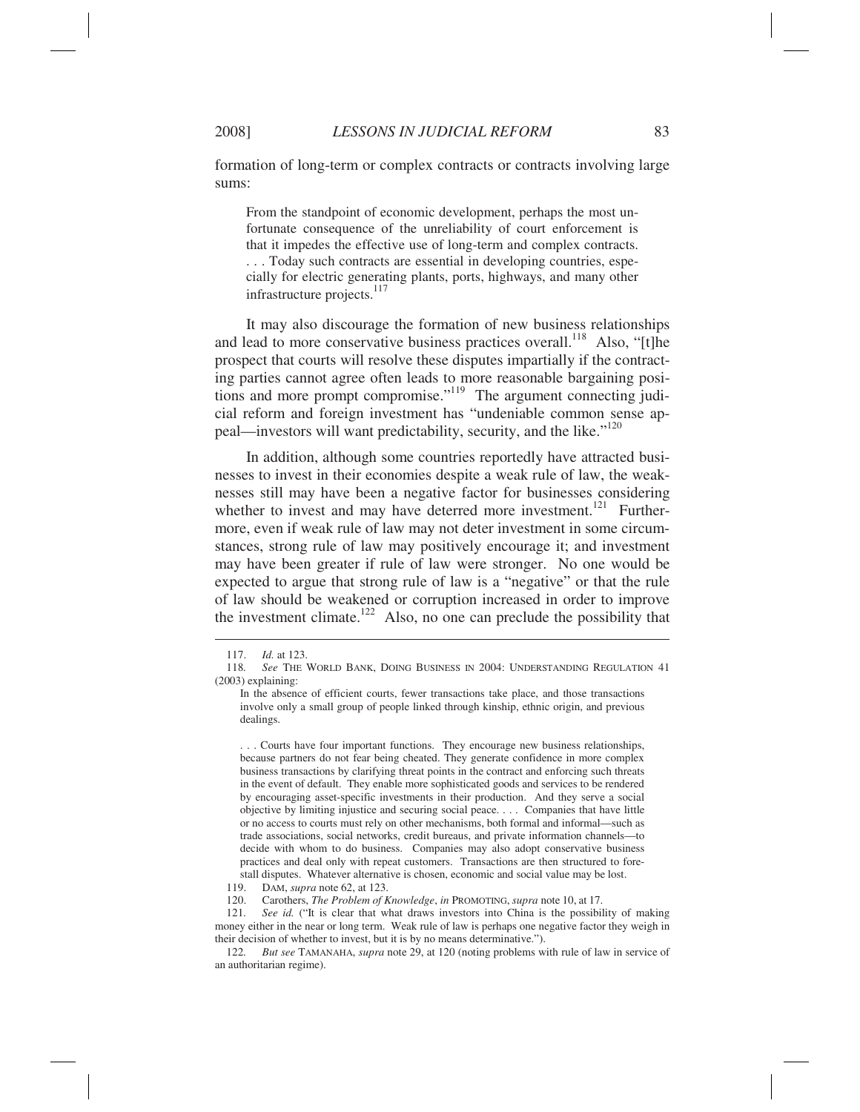formation of long-term or complex contracts or contracts involving large sums:

From the standpoint of economic development, perhaps the most unfortunate consequence of the unreliability of court enforcement is that it impedes the effective use of long-term and complex contracts. . . . Today such contracts are essential in developing countries, especially for electric generating plants, ports, highways, and many other infrastructure projects.<sup>117</sup>

It may also discourage the formation of new business relationships and lead to more conservative business practices overall.<sup>118</sup> Also, "It the prospect that courts will resolve these disputes impartially if the contracting parties cannot agree often leads to more reasonable bargaining positions and more prompt compromise."119 The argument connecting judicial reform and foreign investment has "undeniable common sense appeal—investors will want predictability, security, and the like."<sup>120</sup>

In addition, although some countries reportedly have attracted businesses to invest in their economies despite a weak rule of law, the weaknesses still may have been a negative factor for businesses considering whether to invest and may have deterred more investment.<sup>121</sup> Furthermore, even if weak rule of law may not deter investment in some circumstances, strong rule of law may positively encourage it; and investment may have been greater if rule of law were stronger. No one would be expected to argue that strong rule of law is a "negative" or that the rule of law should be weakened or corruption increased in order to improve the investment climate.<sup>122</sup> Also, no one can preclude the possibility that

. . . Courts have four important functions. They encourage new business relationships, because partners do not fear being cheated. They generate confidence in more complex business transactions by clarifying threat points in the contract and enforcing such threats in the event of default. They enable more sophisticated goods and services to be rendered by encouraging asset-specific investments in their production. And they serve a social objective by limiting injustice and securing social peace. . . . Companies that have little or no access to courts must rely on other mechanisms, both formal and informal—such as trade associations, social networks, credit bureaus, and private information channels—to decide with whom to do business. Companies may also adopt conservative business practices and deal only with repeat customers. Transactions are then structured to forestall disputes. Whatever alternative is chosen, economic and social value may be lost.

119. DAM, *supra* note 62, at 123.

120. Carothers, *The Problem of Knowledge*, *in* PROMOTING, *supra* note 10, at 17.

 121*. See id.* ("It is clear that what draws investors into China is the possibility of making money either in the near or long term. Weak rule of law is perhaps one negative factor they weigh in their decision of whether to invest, but it is by no means determinative.").

 122*. But see* TAMANAHA, *supra* note 29, at 120 (noting problems with rule of law in service of an authoritarian regime).

 <sup>117.</sup> *Id.* at 123.

 <sup>118</sup>*. See* THE WORLD BANK, DOING BUSINESS IN 2004: UNDERSTANDING REGULATION 41 (2003) explaining:

In the absence of efficient courts, fewer transactions take place, and those transactions involve only a small group of people linked through kinship, ethnic origin, and previous dealings.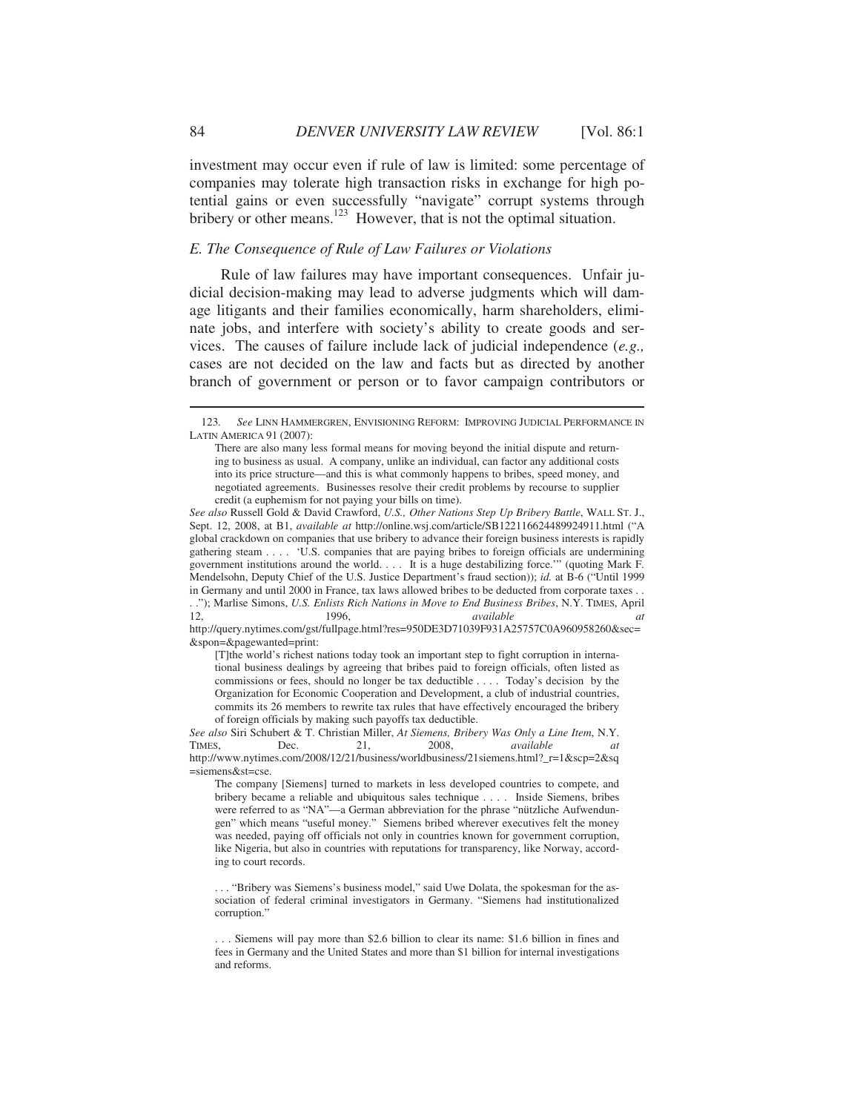investment may occur even if rule of law is limited: some percentage of companies may tolerate high transaction risks in exchange for high potential gains or even successfully "navigate" corrupt systems through bribery or other means.<sup>123</sup> However, that is not the optimal situation.

# *E. The Consequence of Rule of Law Failures or Violations*

Rule of law failures may have important consequences. Unfair judicial decision-making may lead to adverse judgments which will damage litigants and their families economically, harm shareholders, eliminate jobs, and interfere with society's ability to create goods and services. The causes of failure include lack of judicial independence (*e.g.,* cases are not decided on the law and facts but as directed by another branch of government or person or to favor campaign contributors or

. ."); Marlise Simons, *U.S. Enlists Rich Nations in Move to End Business Bribes*, N.Y. TIMES, April 12, 1996, *available at*

http://query.nytimes.com/gst/fullpage.html?res=950DE3D71039F931A25757C0A960958260&sec= &spon=&pagewanted=print:

[T]the world's richest nations today took an important step to fight corruption in international business dealings by agreeing that bribes paid to foreign officials, often listed as commissions or fees, should no longer be tax deductible . . . . Today's decision by the Organization for Economic Cooperation and Development, a club of industrial countries, commits its 26 members to rewrite tax rules that have effectively encouraged the bribery of foreign officials by making such payoffs tax deductible.

 <sup>123</sup>*. See* LINN HAMMERGREN, ENVISIONING REFORM: IMPROVING JUDICIAL PERFORMANCE IN LATIN AMERICA 91 (2007):

There are also many less formal means for moving beyond the initial dispute and returning to business as usual. A company, unlike an individual, can factor any additional costs into its price structure—and this is what commonly happens to bribes, speed money, and negotiated agreements. Businesses resolve their credit problems by recourse to supplier credit (a euphemism for not paying your bills on time).

*See also* Russell Gold & David Crawford, *U.S., Other Nations Step Up Bribery Battle*, WALL ST. J., Sept. 12, 2008, at B1, *available at* http://online.wsj.com/article/SB122116624489924911.html ("A global crackdown on companies that use bribery to advance their foreign business interests is rapidly gathering steam . . . . 'U.S. companies that are paying bribes to foreign officials are undermining government institutions around the world. . . . It is a huge destabilizing force.'" (quoting Mark F. Mendelsohn, Deputy Chief of the U.S. Justice Department's fraud section)); *id.* at B-6 ("Until 1999 in Germany and until 2000 in France, tax laws allowed bribes to be deducted from corporate taxes . .

*See also* Siri Schubert & T. Christian Miller, *At Siemens, Bribery Was Only a Line Item*, N.Y. TIMES, Dec. 21, 2008, *available at* http://www.nytimes.com/2008/12/21/business/worldbusiness/21siemens.html?\_r=1&scp=2&sq =siemens&st=cse.

The company [Siemens] turned to markets in less developed countries to compete, and bribery became a reliable and ubiquitous sales technique . . . . Inside Siemens, bribes were referred to as "NA"—a German abbreviation for the phrase "nützliche Aufwendungen" which means "useful money." Siemens bribed wherever executives felt the money was needed, paying off officials not only in countries known for government corruption, like Nigeria, but also in countries with reputations for transparency, like Norway, according to court records.

<sup>. . . &</sup>quot;Bribery was Siemens's business model," said Uwe Dolata, the spokesman for the association of federal criminal investigators in Germany. "Siemens had institutionalized corruption."

<sup>. . .</sup> Siemens will pay more than \$2.6 billion to clear its name: \$1.6 billion in fines and fees in Germany and the United States and more than \$1 billion for internal investigations and reforms.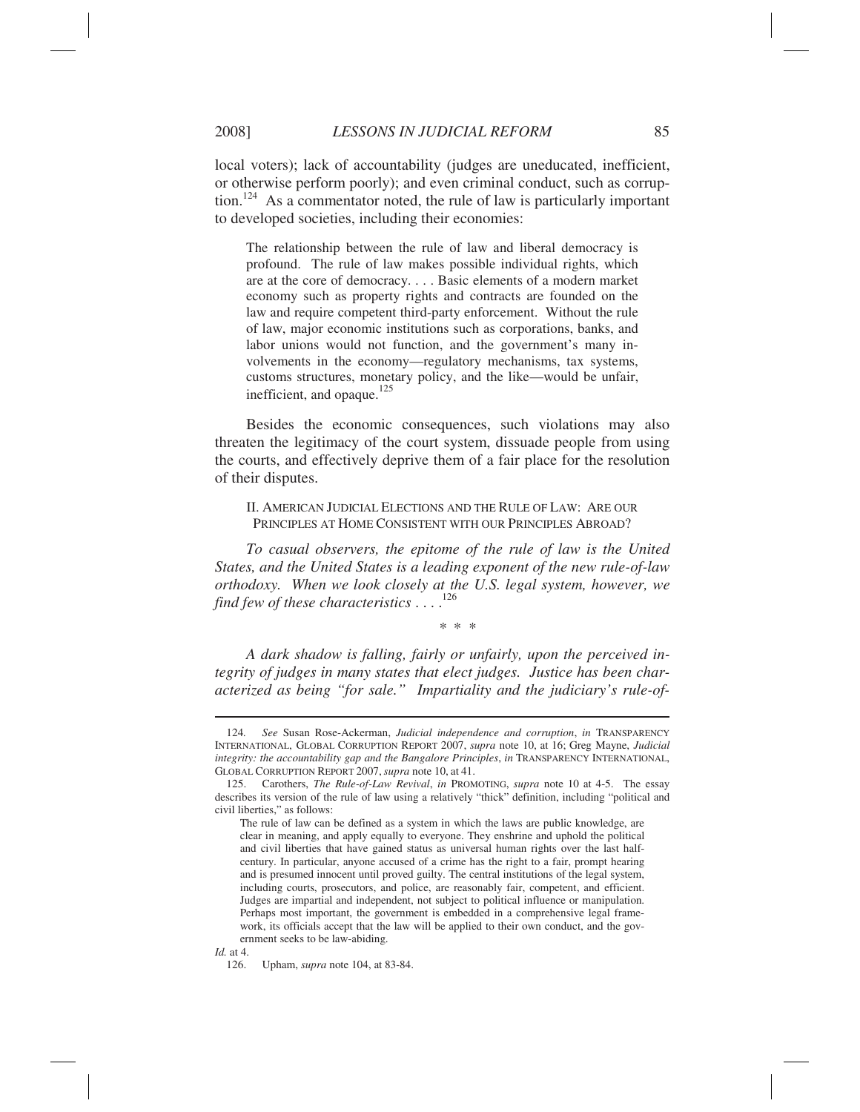local voters); lack of accountability (judges are uneducated, inefficient, or otherwise perform poorly); and even criminal conduct, such as corruption.<sup>124</sup> As a commentator noted, the rule of law is particularly important to developed societies, including their economies:

The relationship between the rule of law and liberal democracy is profound. The rule of law makes possible individual rights, which are at the core of democracy. . . . Basic elements of a modern market economy such as property rights and contracts are founded on the law and require competent third-party enforcement. Without the rule of law, major economic institutions such as corporations, banks, and labor unions would not function, and the government's many involvements in the economy—regulatory mechanisms, tax systems, customs structures, monetary policy, and the like—would be unfair, inefficient, and opaque.<sup>125</sup>

Besides the economic consequences, such violations may also threaten the legitimacy of the court system, dissuade people from using the courts, and effectively deprive them of a fair place for the resolution of their disputes.

II. AMERICAN JUDICIAL ELECTIONS AND THE RULE OF LAW: ARE OUR PRINCIPLES AT HOME CONSISTENT WITH OUR PRINCIPLES ABROAD?

*To casual observers, the epitome of the rule of law is the United States, and the United States is a leading exponent of the new rule-of-law orthodoxy. When we look closely at the U.S. legal system, however, we find few of these characteristics* . . . .126

\* \* \*

*A dark shadow is falling, fairly or unfairly, upon the perceived integrity of judges in many states that elect judges. Justice has been characterized as being "for sale." Impartiality and the judiciary's rule-of-*

 <sup>124</sup>*. See* Susan Rose-Ackerman, *Judicial independence and corruption*, *in* TRANSPARENCY INTERNATIONAL, GLOBAL CORRUPTION REPORT 2007, *supra* note 10, at 16; Greg Mayne, *Judicial integrity: the accountability gap and the Bangalore Principles*, *in* TRANSPARENCY INTERNATIONAL, GLOBAL CORRUPTION REPORT 2007,*supra* note 10, at 41.

 <sup>125.</sup> Carothers, *The Rule-of-Law Revival*, *in* PROMOTING, *supra* note 10 at 4-5. The essay describes its version of the rule of law using a relatively "thick" definition, including "political and civil liberties," as follows:

The rule of law can be defined as a system in which the laws are public knowledge, are clear in meaning, and apply equally to everyone. They enshrine and uphold the political and civil liberties that have gained status as universal human rights over the last halfcentury. In particular, anyone accused of a crime has the right to a fair, prompt hearing and is presumed innocent until proved guilty. The central institutions of the legal system, including courts, prosecutors, and police, are reasonably fair, competent, and efficient. Judges are impartial and independent, not subject to political influence or manipulation. Perhaps most important, the government is embedded in a comprehensive legal framework, its officials accept that the law will be applied to their own conduct, and the government seeks to be law-abiding.

*Id.* at 4.

 <sup>126.</sup> Upham, *supra* note 104, at 83-84.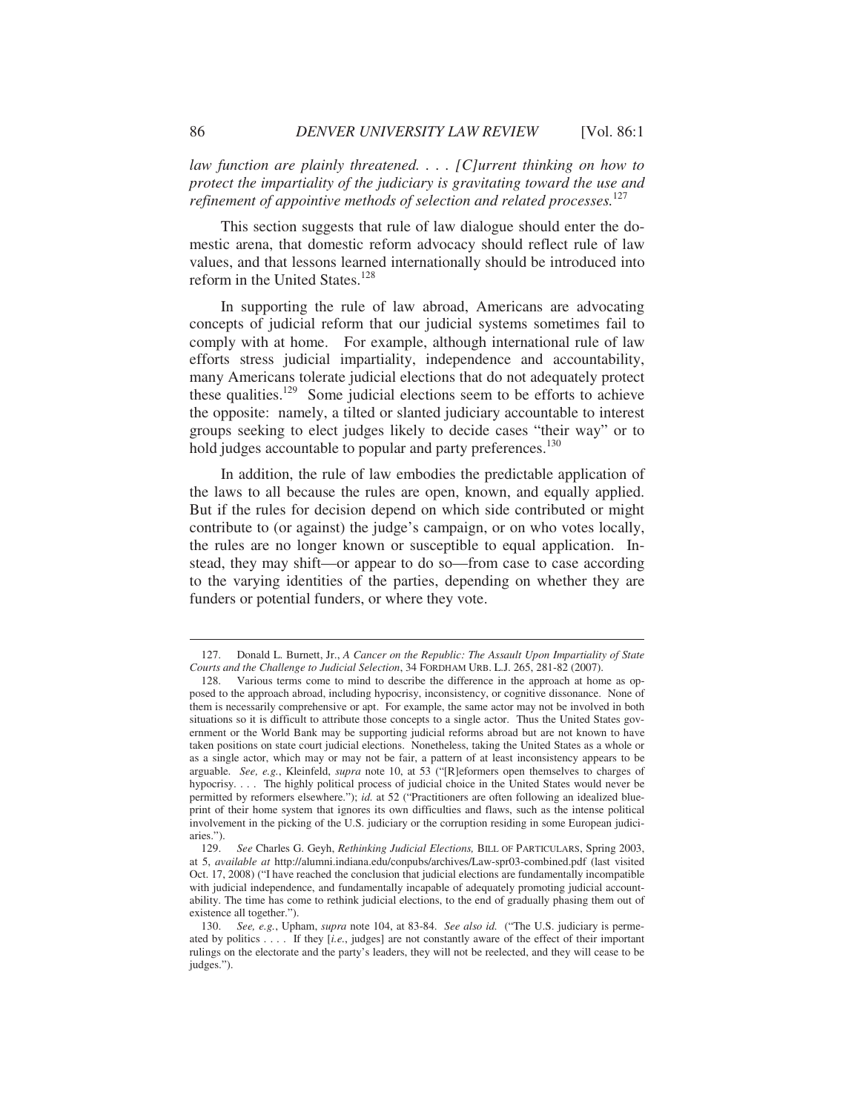*law function are plainly threatened. . . . [C]urrent thinking on how to protect the impartiality of the judiciary is gravitating toward the use and refinement of appointive methods of selection and related processes.*<sup>127</sup>

This section suggests that rule of law dialogue should enter the domestic arena, that domestic reform advocacy should reflect rule of law values, and that lessons learned internationally should be introduced into reform in the United States.<sup>128</sup>

In supporting the rule of law abroad, Americans are advocating concepts of judicial reform that our judicial systems sometimes fail to comply with at home. For example, although international rule of law efforts stress judicial impartiality, independence and accountability, many Americans tolerate judicial elections that do not adequately protect these qualities.129 Some judicial elections seem to be efforts to achieve the opposite: namely, a tilted or slanted judiciary accountable to interest groups seeking to elect judges likely to decide cases "their way" or to hold judges accountable to popular and party preferences.<sup>130</sup>

In addition, the rule of law embodies the predictable application of the laws to all because the rules are open, known, and equally applied. But if the rules for decision depend on which side contributed or might contribute to (or against) the judge's campaign, or on who votes locally, the rules are no longer known or susceptible to equal application. Instead, they may shift—or appear to do so—from case to case according to the varying identities of the parties, depending on whether they are funders or potential funders, or where they vote.

 <sup>127.</sup> Donald L. Burnett, Jr., *A Cancer on the Republic: The Assault Upon Impartiality of State Courts and the Challenge to Judicial Selection*, 34 FORDHAM URB. L.J. 265, 281-82 (2007).

 <sup>128.</sup> Various terms come to mind to describe the difference in the approach at home as opposed to the approach abroad, including hypocrisy, inconsistency, or cognitive dissonance. None of them is necessarily comprehensive or apt. For example, the same actor may not be involved in both situations so it is difficult to attribute those concepts to a single actor. Thus the United States government or the World Bank may be supporting judicial reforms abroad but are not known to have taken positions on state court judicial elections. Nonetheless, taking the United States as a whole or as a single actor, which may or may not be fair, a pattern of at least inconsistency appears to be arguable. *See, e.g.*, Kleinfeld, *supra* note 10, at 53 ("[R]eformers open themselves to charges of hypocrisy. . . . The highly political process of judicial choice in the United States would never be permitted by reformers elsewhere."); *id.* at 52 ("Practitioners are often following an idealized blueprint of their home system that ignores its own difficulties and flaws, such as the intense political involvement in the picking of the U.S. judiciary or the corruption residing in some European judiciaries.").

 <sup>129.</sup> *See* Charles G. Geyh, *Rethinking Judicial Elections,* BILL OF PARTICULARS, Spring 2003, at 5, *available at* http://alumni.indiana.edu/conpubs/archives/Law-spr03-combined.pdf (last visited Oct. 17, 2008) ("I have reached the conclusion that judicial elections are fundamentally incompatible with judicial independence, and fundamentally incapable of adequately promoting judicial accountability. The time has come to rethink judicial elections, to the end of gradually phasing them out of existence all together.").

 <sup>130.</sup> *See, e.g.*, Upham, *supra* note 104, at 83-84. *See also id.* ("The U.S. judiciary is permeated by politics . . . . If they [*i.e.*, judges] are not constantly aware of the effect of their important rulings on the electorate and the party's leaders, they will not be reelected, and they will cease to be judges.").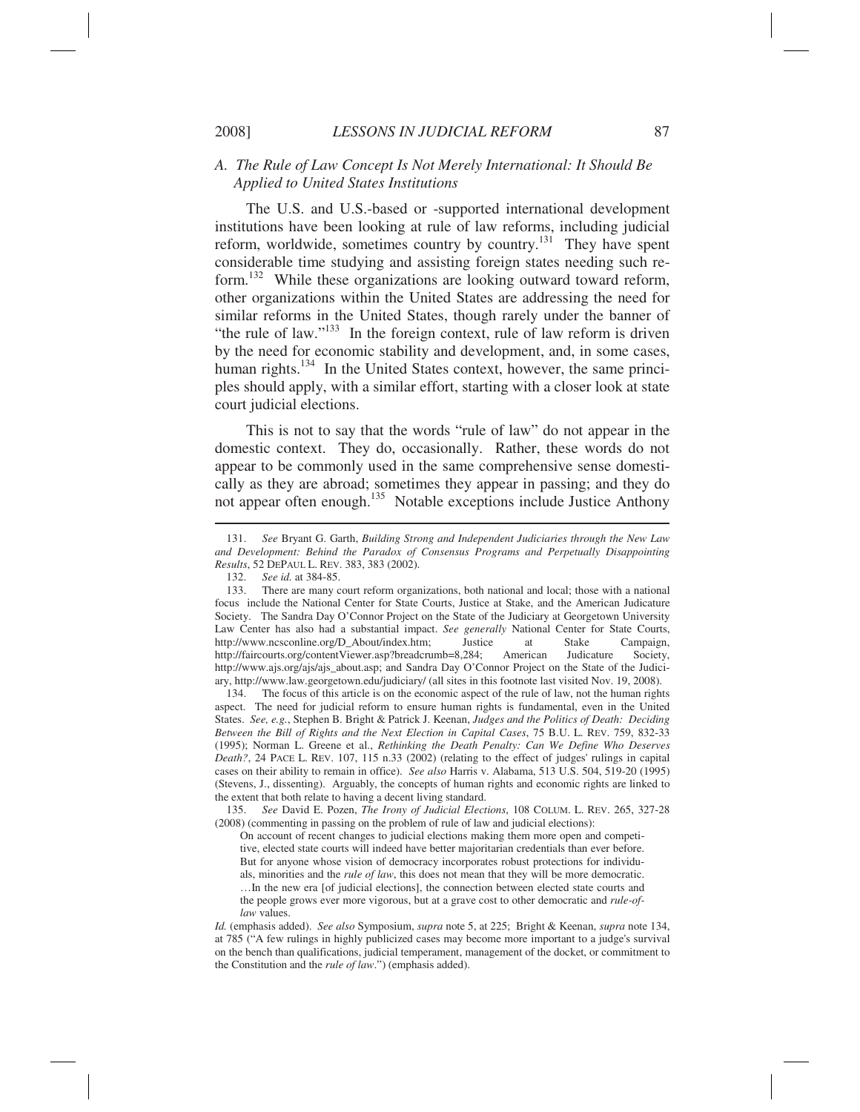## *A. The Rule of Law Concept Is Not Merely International: It Should Be Applied to United States Institutions*

The U.S. and U.S.-based or -supported international development institutions have been looking at rule of law reforms, including judicial reform, worldwide, sometimes country by country.<sup>131</sup> They have spent considerable time studying and assisting foreign states needing such reform.132 While these organizations are looking outward toward reform, other organizations within the United States are addressing the need for similar reforms in the United States, though rarely under the banner of "the rule of law."<sup>133</sup> In the foreign context, rule of law reform is driven by the need for economic stability and development, and, in some cases, human rights.<sup>134</sup> In the United States context, however, the same principles should apply, with a similar effort, starting with a closer look at state court judicial elections.

This is not to say that the words "rule of law" do not appear in the domestic context. They do, occasionally. Rather, these words do not appear to be commonly used in the same comprehensive sense domestically as they are abroad; sometimes they appear in passing; and they do not appear often enough.<sup>135</sup> Notable exceptions include Justice Anthony

 135. *See* David E. Pozen, *The Irony of Judicial Elections*, 108 COLUM. L. REV. 265, 327-28 (2008) (commenting in passing on the problem of rule of law and judicial elections):

On account of recent changes to judicial elections making them more open and competitive, elected state courts will indeed have better majoritarian credentials than ever before. But for anyone whose vision of democracy incorporates robust protections for individuals, minorities and the *rule of law*, this does not mean that they will be more democratic. …In the new era [of judicial elections], the connection between elected state courts and the people grows ever more vigorous, but at a grave cost to other democratic and *rule-oflaw* values.

 <sup>131.</sup> *See* Bryant G. Garth, *Building Strong and Independent Judiciaries through the New Law and Development: Behind the Paradox of Consensus Programs and Perpetually Disappointing Results*, 52 DEPAUL L. REV. 383, 383 (2002).

 <sup>132.</sup> *See id.* at 384-85.

 <sup>133.</sup> There are many court reform organizations, both national and local; those with a national focus include the National Center for State Courts, Justice at Stake, and the American Judicature Society. The Sandra Day O'Connor Project on the State of the Judiciary at Georgetown University Law Center has also had a substantial impact. *See generally* National Center for State Courts, http://www.ncsconline.org/D\_About/index.htm; Justice at Stake Campaign, http://faircourts.org/contentViewer.asp?breadcrumb=8,284; American Judicature Society, http://www.ajs.org/ajs/ajs\_about.asp; and Sandra Day O'Connor Project on the State of the Judiciary, http://www.law.georgetown.edu/judiciary/ (all sites in this footnote last visited Nov. 19, 2008).

 <sup>134.</sup> The focus of this article is on the economic aspect of the rule of law, not the human rights aspect. The need for judicial reform to ensure human rights is fundamental, even in the United States. *See, e.g.*, Stephen B. Bright & Patrick J. Keenan, *Judges and the Politics of Death: Deciding Between the Bill of Rights and the Next Election in Capital Cases*, 75 B.U. L. REV. 759, 832-33 (1995); Norman L. Greene et al., *Rethinking the Death Penalty: Can We Define Who Deserves Death?*, 24 PACE L. REV. 107, 115 n.33 (2002) (relating to the effect of judges' rulings in capital cases on their ability to remain in office). *See also* Harris v. Alabama, 513 U.S. 504, 519-20 (1995) (Stevens, J., dissenting). Arguably, the concepts of human rights and economic rights are linked to the extent that both relate to having a decent living standard.

*Id.* (emphasis added). *See also* Symposium, *supra* note 5, at 225; Bright & Keenan, *supra* note 134, at 785 ("A few rulings in highly publicized cases may become more important to a judge's survival on the bench than qualifications, judicial temperament, management of the docket, or commitment to the Constitution and the *rule of law*.") (emphasis added).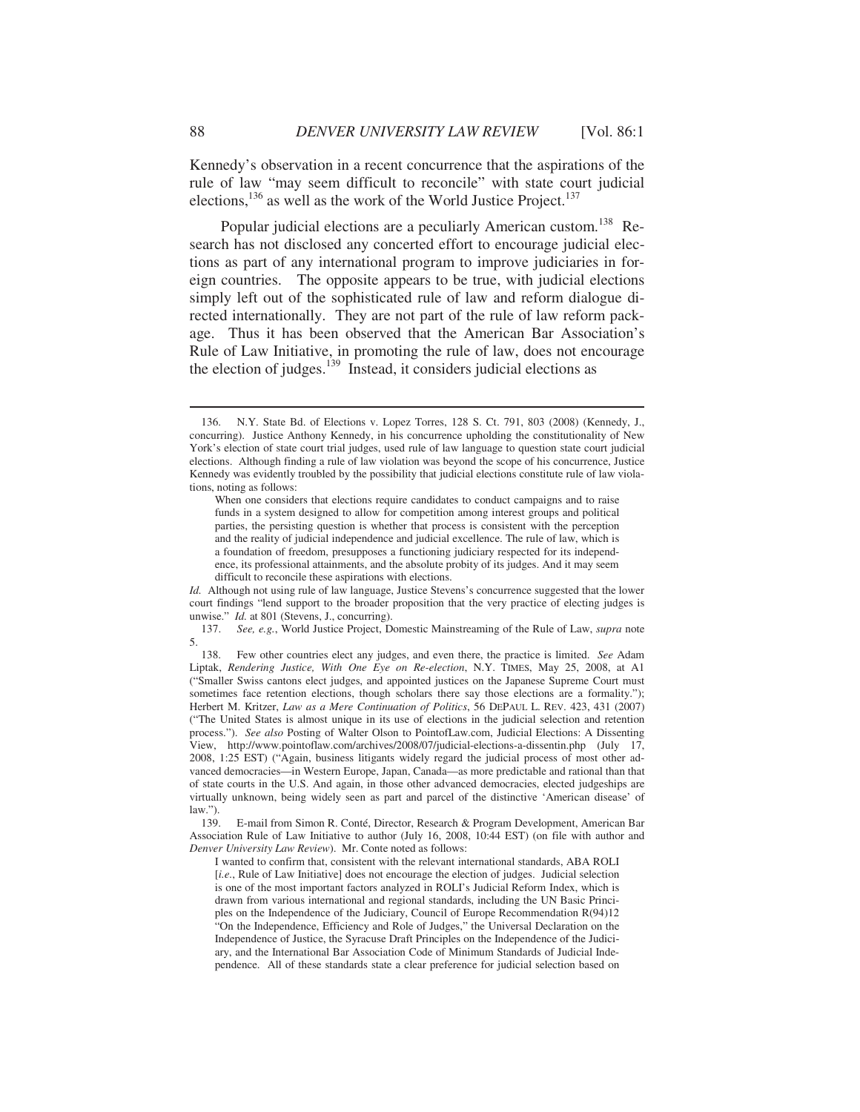Kennedy's observation in a recent concurrence that the aspirations of the rule of law "may seem difficult to reconcile" with state court judicial elections, $^{136}$  as well as the work of the World Justice Project.<sup>137</sup>

Popular judicial elections are a peculiarly American custom.<sup>138</sup> Research has not disclosed any concerted effort to encourage judicial elections as part of any international program to improve judiciaries in foreign countries. The opposite appears to be true, with judicial elections simply left out of the sophisticated rule of law and reform dialogue directed internationally. They are not part of the rule of law reform package. Thus it has been observed that the American Bar Association's Rule of Law Initiative, in promoting the rule of law, does not encourage the election of judges.<sup>139</sup> Instead, it considers judicial elections as

*Id.* Although not using rule of law language, Justice Stevens's concurrence suggested that the lower court findings "lend support to the broader proposition that the very practice of electing judges is unwise." *Id.* at 801 (Stevens, J., concurring).

 137. *See, e.g.*, World Justice Project, Domestic Mainstreaming of the Rule of Law, *supra* note 5.

 138. Few other countries elect any judges, and even there, the practice is limited. *See* Adam Liptak, *Rendering Justice, With One Eye on Re-election*, N.Y. TIMES, May 25, 2008, at A1 ("Smaller Swiss cantons elect judges, and appointed justices on the Japanese Supreme Court must sometimes face retention elections, though scholars there say those elections are a formality."); Herbert M. Kritzer, *Law as a Mere Continuation of Politics*, 56 DEPAUL L. REV. 423, 431 (2007) ("The United States is almost unique in its use of elections in the judicial selection and retention process."). *See also* Posting of Walter Olson to PointofLaw.com, Judicial Elections: A Dissenting View, http://www.pointoflaw.com/archives/2008/07/judicial-elections-a-dissentin.php (July 17, 2008, 1:25 EST) ("Again, business litigants widely regard the judicial process of most other advanced democracies—in Western Europe, Japan, Canada—as more predictable and rational than that of state courts in the U.S. And again, in those other advanced democracies, elected judgeships are virtually unknown, being widely seen as part and parcel of the distinctive 'American disease' of  $\frac{\text{law."}}{139}$ .

E-mail from Simon R. Conté, Director, Research & Program Development, American Bar Association Rule of Law Initiative to author (July 16, 2008, 10:44 EST) (on file with author and *Denver University Law Review*). Mr. Conte noted as follows:

I wanted to confirm that, consistent with the relevant international standards, ABA ROLI [*i.e.*, Rule of Law Initiative] does not encourage the election of judges. Judicial selection is one of the most important factors analyzed in ROLI's Judicial Reform Index, which is drawn from various international and regional standards, including the UN Basic Principles on the Independence of the Judiciary, Council of Europe Recommendation R(94)12 "On the Independence, Efficiency and Role of Judges," the Universal Declaration on the Independence of Justice, the Syracuse Draft Principles on the Independence of the Judiciary, and the International Bar Association Code of Minimum Standards of Judicial Independence. All of these standards state a clear preference for judicial selection based on

 <sup>136.</sup> N.Y. State Bd. of Elections v. Lopez Torres, 128 S. Ct. 791, 803 (2008) (Kennedy, J., concurring). Justice Anthony Kennedy, in his concurrence upholding the constitutionality of New York's election of state court trial judges, used rule of law language to question state court judicial elections. Although finding a rule of law violation was beyond the scope of his concurrence, Justice Kennedy was evidently troubled by the possibility that judicial elections constitute rule of law violations, noting as follows:

When one considers that elections require candidates to conduct campaigns and to raise funds in a system designed to allow for competition among interest groups and political parties, the persisting question is whether that process is consistent with the perception and the reality of judicial independence and judicial excellence. The rule of law, which is a foundation of freedom, presupposes a functioning judiciary respected for its independence, its professional attainments, and the absolute probity of its judges. And it may seem difficult to reconcile these aspirations with elections.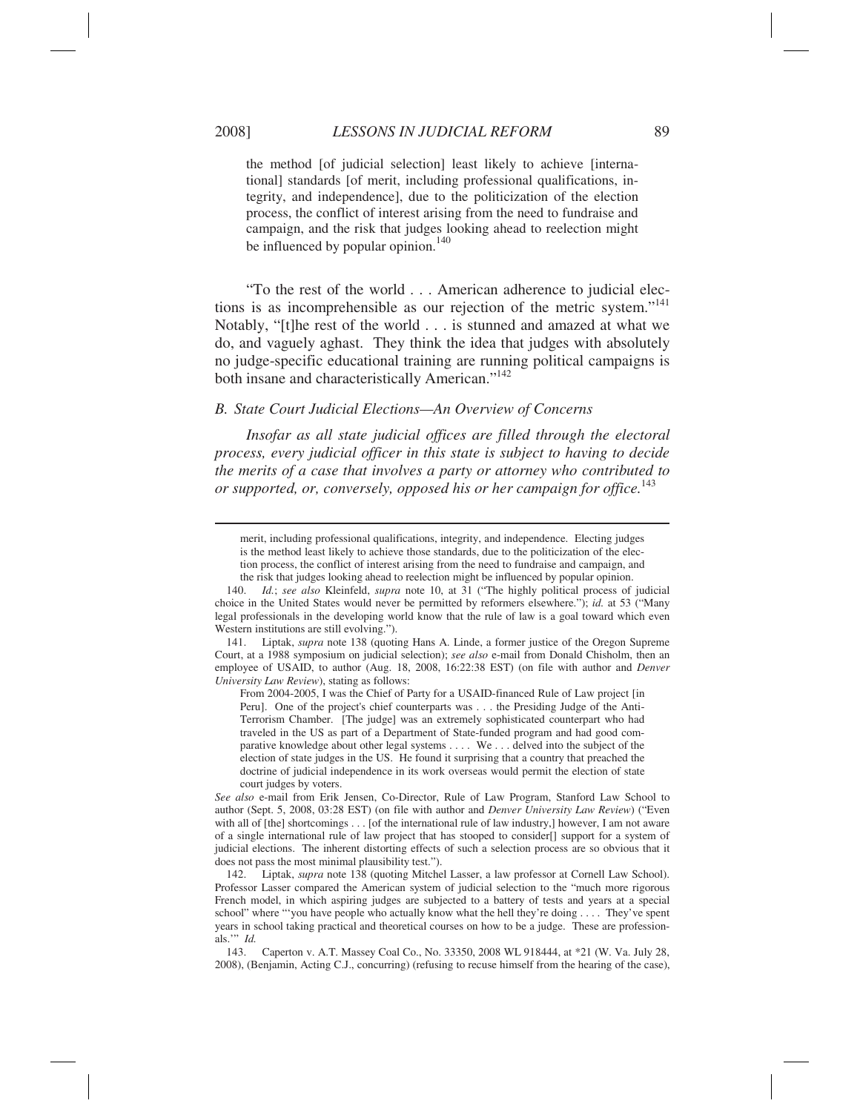$\overline{a}$ 

the method [of judicial selection] least likely to achieve [international] standards [of merit, including professional qualifications, integrity, and independence], due to the politicization of the election process, the conflict of interest arising from the need to fundraise and campaign, and the risk that judges looking ahead to reelection might be influenced by popular opinion.<sup>140</sup>

"To the rest of the world . . . American adherence to judicial elections is as incomprehensible as our rejection of the metric system."<sup>141</sup> Notably, "[t]he rest of the world . . . is stunned and amazed at what we do, and vaguely aghast. They think the idea that judges with absolutely no judge-specific educational training are running political campaigns is both insane and characteristically American."<sup>142</sup>

## *B. State Court Judicial Elections—An Overview of Concerns*

*Insofar as all state judicial offices are filled through the electoral process, every judicial officer in this state is subject to having to decide the merits of a case that involves a party or attorney who contributed to or supported, or, conversely, opposed his or her campaign for office.*<sup>143</sup>

merit, including professional qualifications, integrity, and independence. Electing judges is the method least likely to achieve those standards, due to the politicization of the election process, the conflict of interest arising from the need to fundraise and campaign, and the risk that judges looking ahead to reelection might be influenced by popular opinion.

 141. Liptak, *supra* note 138 (quoting Hans A. Linde, a former justice of the Oregon Supreme Court, at a 1988 symposium on judicial selection); *see also* e-mail from Donald Chisholm, then an employee of USAID, to author (Aug. 18, 2008, 16:22:38 EST) (on file with author and *Denver University Law Review*), stating as follows:

From 2004-2005, I was the Chief of Party for a USAID-financed Rule of Law project [in Peru]. One of the project's chief counterparts was . . . the Presiding Judge of the Anti-Terrorism Chamber. [The judge] was an extremely sophisticated counterpart who had traveled in the US as part of a Department of State-funded program and had good comparative knowledge about other legal systems . . . . We . . . delved into the subject of the election of state judges in the US. He found it surprising that a country that preached the doctrine of judicial independence in its work overseas would permit the election of state court judges by voters.

*See also* e-mail from Erik Jensen, Co-Director, Rule of Law Program, Stanford Law School to author (Sept. 5, 2008, 03:28 EST) (on file with author and *Denver University Law Review*) ("Even with all of [the] shortcomings . . . [of the international rule of law industry,] however, I am not aware of a single international rule of law project that has stooped to consider[] support for a system of judicial elections. The inherent distorting effects of such a selection process are so obvious that it does not pass the most minimal plausibility test.").

 142. Liptak, *supra* note 138 (quoting Mitchel Lasser, a law professor at Cornell Law School). Professor Lasser compared the American system of judicial selection to the "much more rigorous French model, in which aspiring judges are subjected to a battery of tests and years at a special school" where "'you have people who actually know what the hell they're doing . . . . They've spent years in school taking practical and theoretical courses on how to be a judge. These are professionals.'" *Id.*

 143. Caperton v. A.T. Massey Coal Co., No. 33350, 2008 WL 918444, at \*21 (W. Va. July 28, 2008), (Benjamin, Acting C.J., concurring) (refusing to recuse himself from the hearing of the case),

 <sup>140.</sup> *Id.*; *see also* Kleinfeld, *supra* note 10, at 31 ("The highly political process of judicial choice in the United States would never be permitted by reformers elsewhere."); *id.* at 53 ("Many legal professionals in the developing world know that the rule of law is a goal toward which even Western institutions are still evolving.").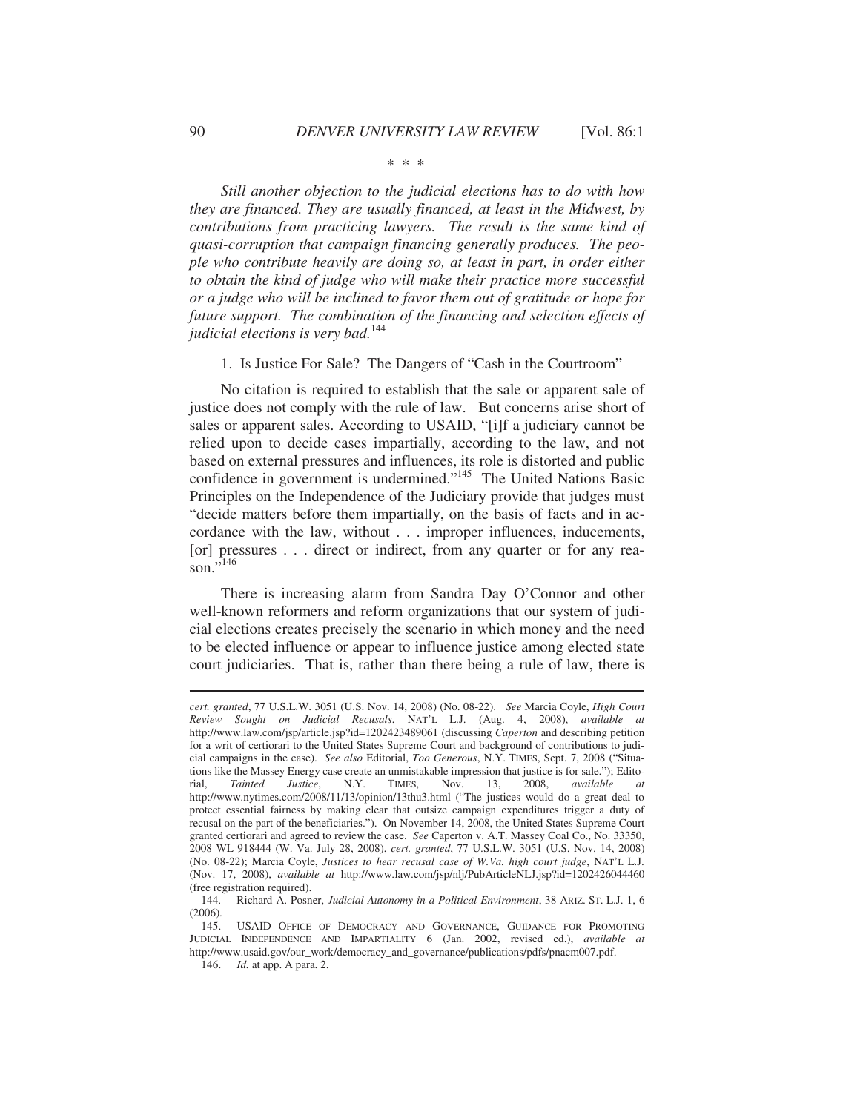#### \* \* \*

*Still another objection to the judicial elections has to do with how they are financed. They are usually financed, at least in the Midwest, by contributions from practicing lawyers. The result is the same kind of quasi-corruption that campaign financing generally produces. The people who contribute heavily are doing so, at least in part, in order either to obtain the kind of judge who will make their practice more successful or a judge who will be inclined to favor them out of gratitude or hope for future support. The combination of the financing and selection effects of judicial elections is very bad.*<sup>144</sup>

1. Is Justice For Sale? The Dangers of "Cash in the Courtroom"

No citation is required to establish that the sale or apparent sale of justice does not comply with the rule of law. But concerns arise short of sales or apparent sales. According to USAID, "[i]f a judiciary cannot be relied upon to decide cases impartially, according to the law, and not based on external pressures and influences, its role is distorted and public confidence in government is undermined."<sup>145</sup> The United Nations Basic Principles on the Independence of the Judiciary provide that judges must "decide matters before them impartially, on the basis of facts and in accordance with the law, without . . . improper influences, inducements, [or] pressures . . . direct or indirect, from any quarter or for any reason." $\overline{1}$ <sup>146</sup>

There is increasing alarm from Sandra Day O'Connor and other well-known reformers and reform organizations that our system of judicial elections creates precisely the scenario in which money and the need to be elected influence or appear to influence justice among elected state court judiciaries. That is, rather than there being a rule of law, there is

*cert. granted*, 77 U.S.L.W. 3051 (U.S. Nov. 14, 2008) (No. 08-22). *See* Marcia Coyle, *High Court Review Sought on Judicial Recusals*, NAT'L L.J. (Aug. 4, 2008), *available at* http://www.law.com/jsp/article.jsp?id=1202423489061 (discussing *Caperton* and describing petition for a writ of certiorari to the United States Supreme Court and background of contributions to judicial campaigns in the case). *See also* Editorial, *Too Generous*, N.Y. TIMES, Sept. 7, 2008 ("Situations like the Massey Energy case create an unmistakable impression that justice is for sale."); Editorial, *Tainted Justice*, N.Y. TIMES, Nov. 13, 2008, *available at* http://www.nytimes.com/2008/11/13/opinion/13thu3.html ("The justices would do a great deal to protect essential fairness by making clear that outsize campaign expenditures trigger a duty of recusal on the part of the beneficiaries."). On November 14, 2008, the United States Supreme Court granted certiorari and agreed to review the case. *See* Caperton v. A.T. Massey Coal Co., No. 33350, 2008 WL 918444 (W. Va. July 28, 2008), *cert. granted*, 77 U.S.L.W. 3051 (U.S. Nov. 14, 2008) (No. 08-22); Marcia Coyle, *Justices to hear recusal case of W.Va. high court judge*, NAT'L L.J. (Nov. 17, 2008), *available at* http://www.law.com/jsp/nlj/PubArticleNLJ.jsp?id=1202426044460 (free registration required).<br>144. Richard A. Posn

 <sup>144.</sup> Richard A. Posner, *Judicial Autonomy in a Political Environment*, 38 ARIZ. ST. L.J. 1, 6 (2006).

 <sup>145.</sup> USAID OFFICE OF DEMOCRACY AND GOVERNANCE, GUIDANCE FOR PROMOTING JUDICIAL INDEPENDENCE AND IMPARTIALITY 6 (Jan. 2002, revised ed.), *available at* http://www.usaid.gov/our\_work/democracy\_and\_governance/publications/pdfs/pnacm007.pdf.

 <sup>146.</sup> *Id.* at app. A para. 2.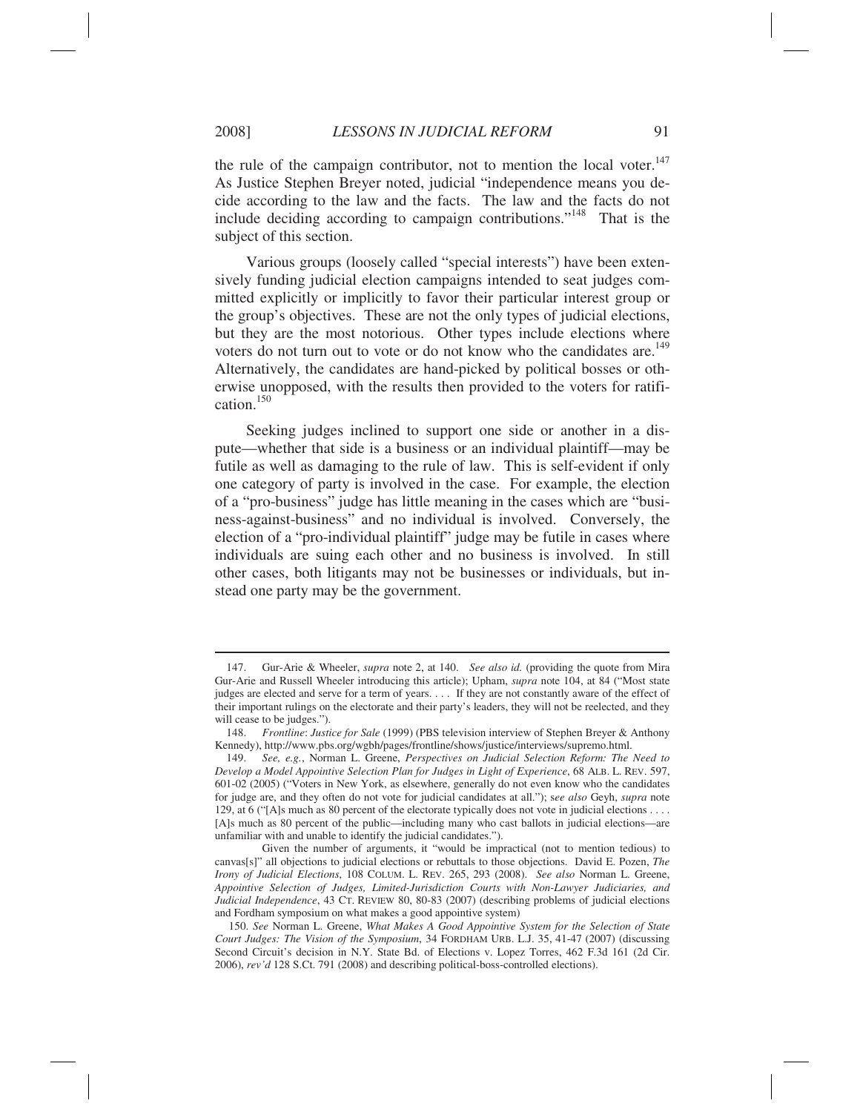$\overline{a}$ 

the rule of the campaign contributor, not to mention the local voter.<sup>147</sup> As Justice Stephen Breyer noted, judicial "independence means you decide according to the law and the facts. The law and the facts do not include deciding according to campaign contributions."148 That is the subject of this section.

Various groups (loosely called "special interests") have been extensively funding judicial election campaigns intended to seat judges committed explicitly or implicitly to favor their particular interest group or the group's objectives. These are not the only types of judicial elections, but they are the most notorious. Other types include elections where voters do not turn out to vote or do not know who the candidates are.<sup>149</sup> Alternatively, the candidates are hand-picked by political bosses or otherwise unopposed, with the results then provided to the voters for ratification.150

Seeking judges inclined to support one side or another in a dispute—whether that side is a business or an individual plaintiff—may be futile as well as damaging to the rule of law. This is self-evident if only one category of party is involved in the case. For example, the election of a "pro-business" judge has little meaning in the cases which are "business-against-business" and no individual is involved. Conversely, the election of a "pro-individual plaintiff" judge may be futile in cases where individuals are suing each other and no business is involved. In still other cases, both litigants may not be businesses or individuals, but instead one party may be the government.

 <sup>147.</sup> Gur-Arie & Wheeler, *supra* note 2, at 140. *See also id.* (providing the quote from Mira Gur-Arie and Russell Wheeler introducing this article); Upham, *supra* note 104, at 84 ("Most state judges are elected and serve for a term of years. . . . If they are not constantly aware of the effect of their important rulings on the electorate and their party's leaders, they will not be reelected, and they will cease to be judges.").

 <sup>148.</sup> *Frontline*: *Justice for Sale* (1999) (PBS television interview of Stephen Breyer & Anthony Kennedy), http://www.pbs.org/wgbh/pages/frontline/shows/justice/interviews/supremo.html.

 <sup>149.</sup> *See, e.g.*, Norman L. Greene, *Perspectives on Judicial Selection Reform: The Need to Develop a Model Appointive Selection Plan for Judges in Light of Experience*, 68 ALB. L. REV. 597, 601-02 (2005) ("Voters in New York, as elsewhere, generally do not even know who the candidates for judge are, and they often do not vote for judicial candidates at all."); s*ee also* Geyh, *supra* note 129, at 6 ("[A]s much as 80 percent of the electorate typically does not vote in judicial elections . . . . [A]s much as 80 percent of the public—including many who cast ballots in judicial elections—are unfamiliar with and unable to identify the judicial candidates.").

Given the number of arguments, it "would be impractical (not to mention tedious) to canvas[s]" all objections to judicial elections or rebuttals to those objections. David E. Pozen, *The Irony of Judicial Elections*, 108 COLUM. L. REV. 265, 293 (2008). *See also* Norman L. Greene, *Appointive Selection of Judges, Limited-Jurisdiction Courts with Non-Lawyer Judiciaries, and Judicial Independence*, 43 CT. REVIEW 80, 80-83 (2007) (describing problems of judicial elections and Fordham symposium on what makes a good appointive system)

 <sup>150.</sup> *See* Norman L. Greene, *What Makes A Good Appointive System for the Selection of State Court Judges: The Vision of the Symposium*, 34 FORDHAM URB. L.J. 35, 41-47 (2007) (discussing Second Circuit's decision in N.Y. State Bd. of Elections v. Lopez Torres, 462 F.3d 161 (2d Cir. 2006), *rev'd* 128 S.Ct. 791 (2008) and describing political-boss-controlled elections).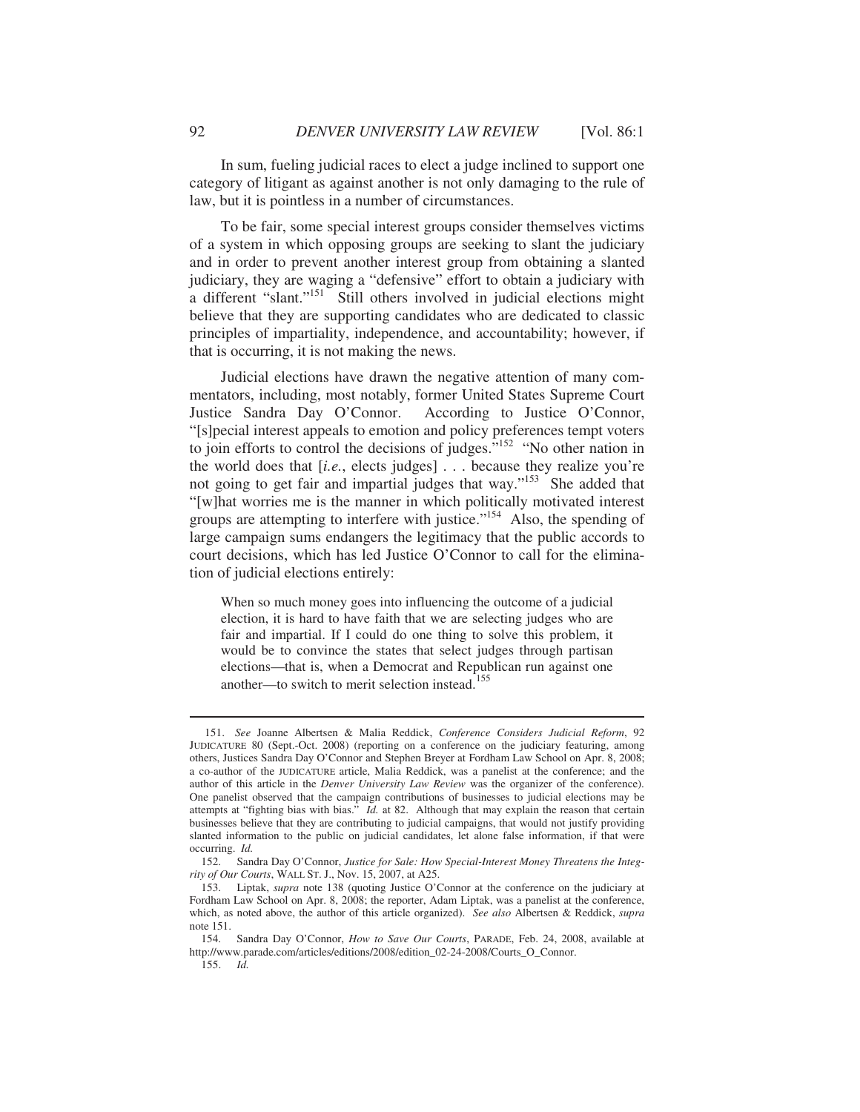In sum, fueling judicial races to elect a judge inclined to support one category of litigant as against another is not only damaging to the rule of law, but it is pointless in a number of circumstances.

To be fair, some special interest groups consider themselves victims of a system in which opposing groups are seeking to slant the judiciary and in order to prevent another interest group from obtaining a slanted judiciary, they are waging a "defensive" effort to obtain a judiciary with a different "slant."<sup>151</sup> Still others involved in judicial elections might believe that they are supporting candidates who are dedicated to classic principles of impartiality, independence, and accountability; however, if that is occurring, it is not making the news.

Judicial elections have drawn the negative attention of many commentators, including, most notably, former United States Supreme Court Justice Sandra Day O'Connor. According to Justice O'Connor, "[s]pecial interest appeals to emotion and policy preferences tempt voters to join efforts to control the decisions of judges.<sup> $152$ </sup> "No other nation in the world does that [*i.e.*, elects judges] . . . because they realize you're not going to get fair and impartial judges that way."<sup>153</sup> She added that "[w]hat worries me is the manner in which politically motivated interest groups are attempting to interfere with justice."154 Also, the spending of large campaign sums endangers the legitimacy that the public accords to court decisions, which has led Justice O'Connor to call for the elimination of judicial elections entirely:

When so much money goes into influencing the outcome of a judicial election, it is hard to have faith that we are selecting judges who are fair and impartial. If I could do one thing to solve this problem, it would be to convince the states that select judges through partisan elections—that is, when a Democrat and Republican run against one another—to switch to merit selection instead.<sup>155</sup>

<sup>151.</sup> *See* Joanne Albertsen & Malia Reddick, *Conference Considers Judicial Reform*, 92 JUDICATURE 80 (Sept.-Oct. 2008) (reporting on a conference on the judiciary featuring, among others, Justices Sandra Day O'Connor and Stephen Breyer at Fordham Law School on Apr. 8, 2008; a co-author of the JUDICATURE article, Malia Reddick, was a panelist at the conference; and the author of this article in the *Denver University Law Review* was the organizer of the conference). One panelist observed that the campaign contributions of businesses to judicial elections may be attempts at "fighting bias with bias." *Id.* at 82. Although that may explain the reason that certain businesses believe that they are contributing to judicial campaigns, that would not justify providing slanted information to the public on judicial candidates, let alone false information, if that were occurring. *Id.*

Sandra Day O'Connor, *Justice for Sale: How Special-Interest Money Threatens the Integrity of Our Courts*, WALL ST. J., Nov. 15, 2007, at A25.

 <sup>153.</sup> Liptak, *supra* note 138 (quoting Justice O'Connor at the conference on the judiciary at Fordham Law School on Apr. 8, 2008; the reporter, Adam Liptak, was a panelist at the conference, which, as noted above, the author of this article organized). *See also* Albertsen & Reddick, *supra* note 151.

 <sup>154.</sup> Sandra Day O'Connor, *How to Save Our Courts*, PARADE, Feb. 24, 2008, available at http://www.parade.com/articles/editions/2008/edition\_02-24-2008/Courts\_O\_Connor.

 <sup>155.</sup> *Id.*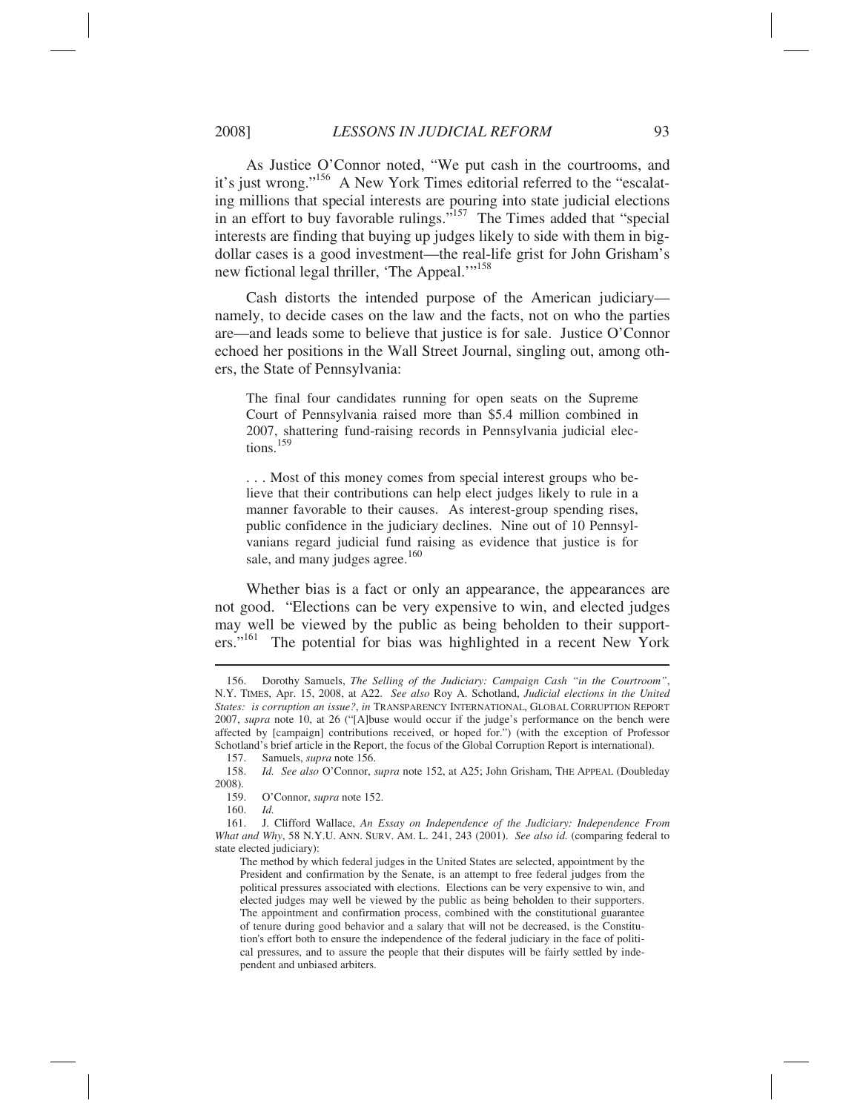As Justice O'Connor noted, "We put cash in the courtrooms, and it's just wrong."156 A New York Times editorial referred to the "escalating millions that special interests are pouring into state judicial elections in an effort to buy favorable rulings."<sup>157</sup> The Times added that "special" interests are finding that buying up judges likely to side with them in bigdollar cases is a good investment—the real-life grist for John Grisham's new fictional legal thriller, 'The Appeal.'"<sup>158</sup>

Cash distorts the intended purpose of the American judiciary namely, to decide cases on the law and the facts, not on who the parties are—and leads some to believe that justice is for sale. Justice O'Connor echoed her positions in the Wall Street Journal, singling out, among others, the State of Pennsylvania:

The final four candidates running for open seats on the Supreme Court of Pennsylvania raised more than \$5.4 million combined in 2007, shattering fund-raising records in Pennsylvania judicial elections.<sup>159</sup>

. . . Most of this money comes from special interest groups who believe that their contributions can help elect judges likely to rule in a manner favorable to their causes. As interest-group spending rises, public confidence in the judiciary declines. Nine out of 10 Pennsylvanians regard judicial fund raising as evidence that justice is for sale, and many judges agree. $160$ 

Whether bias is a fact or only an appearance, the appearances are not good. "Elections can be very expensive to win, and elected judges may well be viewed by the public as being beholden to their supporters."<sup>161</sup> The potential for bias was highlighted in a recent New York

 <sup>156.</sup> Dorothy Samuels, *The Selling of the Judiciary: Campaign Cash "in the Courtroom"*, N.Y. TIMES, Apr. 15, 2008, at A22. *See also* Roy A. Schotland, *Judicial elections in the United States: is corruption an issue?*, *in* TRANSPARENCY INTERNATIONAL, GLOBAL CORRUPTION REPORT 2007, *supra* note 10, at 26 ("[A]buse would occur if the judge's performance on the bench were affected by [campaign] contributions received, or hoped for.") (with the exception of Professor Schotland's brief article in the Report, the focus of the Global Corruption Report is international).

 <sup>157.</sup> Samuels, *supra* note 156.

 <sup>158.</sup> *Id. See also* O'Connor, *supra* note 152, at A25; John Grisham, THE APPEAL (Doubleday 2008).

 <sup>159.</sup> O'Connor, *supra* note 152.

 <sup>160.</sup> *Id.*

 <sup>161.</sup> J. Clifford Wallace, *An Essay on Independence of the Judiciary: Independence From What and Why*, 58 N.Y.U. ANN. SURV. AM. L. 241, 243 (2001). *See also id.* (comparing federal to state elected judiciary):

The method by which federal judges in the United States are selected, appointment by the President and confirmation by the Senate, is an attempt to free federal judges from the political pressures associated with elections. Elections can be very expensive to win, and elected judges may well be viewed by the public as being beholden to their supporters. The appointment and confirmation process, combined with the constitutional guarantee of tenure during good behavior and a salary that will not be decreased, is the Constitution's effort both to ensure the independence of the federal judiciary in the face of political pressures, and to assure the people that their disputes will be fairly settled by independent and unbiased arbiters.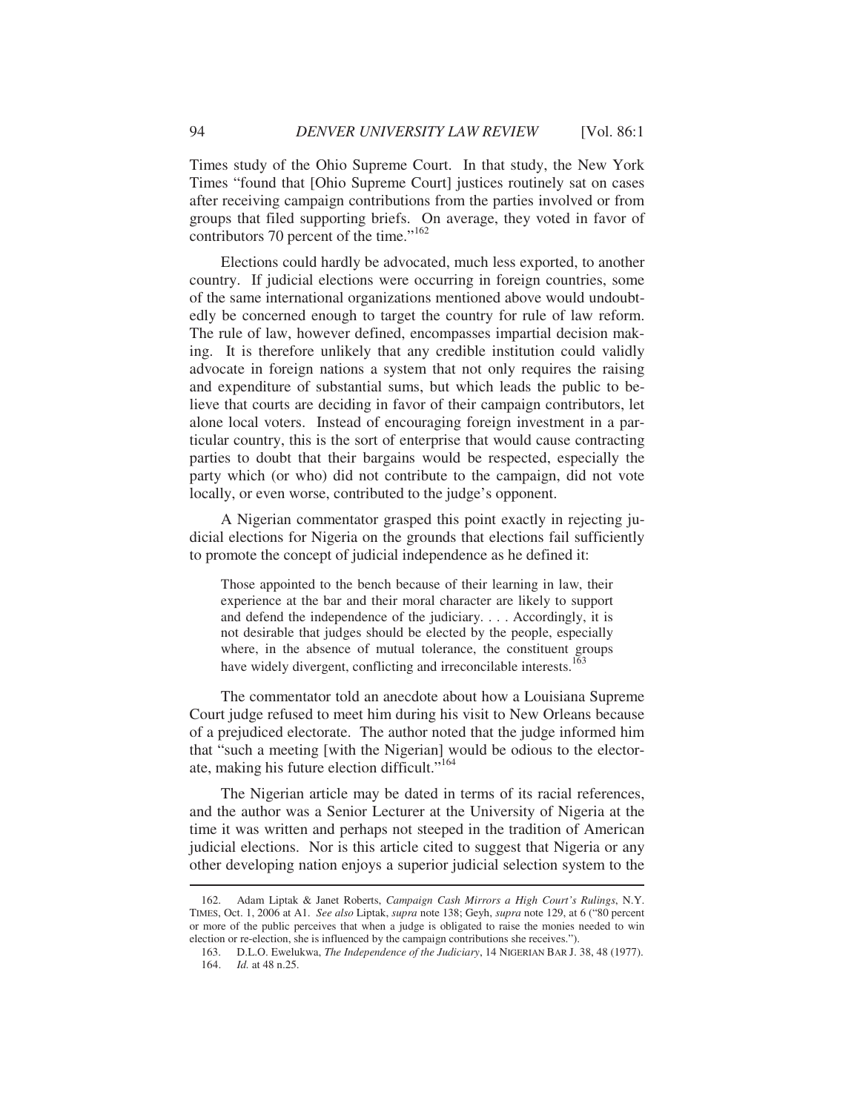Times study of the Ohio Supreme Court. In that study, the New York Times "found that [Ohio Supreme Court] justices routinely sat on cases after receiving campaign contributions from the parties involved or from groups that filed supporting briefs. On average, they voted in favor of contributors 70 percent of the time."<sup>162</sup>

Elections could hardly be advocated, much less exported, to another country. If judicial elections were occurring in foreign countries, some of the same international organizations mentioned above would undoubtedly be concerned enough to target the country for rule of law reform. The rule of law, however defined, encompasses impartial decision making. It is therefore unlikely that any credible institution could validly advocate in foreign nations a system that not only requires the raising and expenditure of substantial sums, but which leads the public to believe that courts are deciding in favor of their campaign contributors, let alone local voters. Instead of encouraging foreign investment in a particular country, this is the sort of enterprise that would cause contracting parties to doubt that their bargains would be respected, especially the party which (or who) did not contribute to the campaign, did not vote locally, or even worse, contributed to the judge's opponent.

A Nigerian commentator grasped this point exactly in rejecting judicial elections for Nigeria on the grounds that elections fail sufficiently to promote the concept of judicial independence as he defined it:

Those appointed to the bench because of their learning in law, their experience at the bar and their moral character are likely to support and defend the independence of the judiciary. . . . Accordingly, it is not desirable that judges should be elected by the people, especially where, in the absence of mutual tolerance, the constituent groups have widely divergent, conflicting and irreconcilable interests.<sup>163</sup>

The commentator told an anecdote about how a Louisiana Supreme Court judge refused to meet him during his visit to New Orleans because of a prejudiced electorate. The author noted that the judge informed him that "such a meeting [with the Nigerian] would be odious to the electorate, making his future election difficult."164

The Nigerian article may be dated in terms of its racial references, and the author was a Senior Lecturer at the University of Nigeria at the time it was written and perhaps not steeped in the tradition of American judicial elections. Nor is this article cited to suggest that Nigeria or any other developing nation enjoys a superior judicial selection system to the  $\overline{a}$ 

 <sup>162.</sup> Adam Liptak & Janet Roberts, *Campaign Cash Mirrors a High Court's Rulings*, N.Y. TIMES, Oct. 1, 2006 at A1. *See also* Liptak, *supra* note 138; Geyh, *supra* note 129, at 6 ("80 percent or more of the public perceives that when a judge is obligated to raise the monies needed to win election or re-election, she is influenced by the campaign contributions she receives.").

 <sup>163.</sup> D.L.O. Ewelukwa, *The Independence of the Judiciary*, 14 NIGERIAN BAR J. 38, 48 (1977). 164. *Id.* at 48 n.25.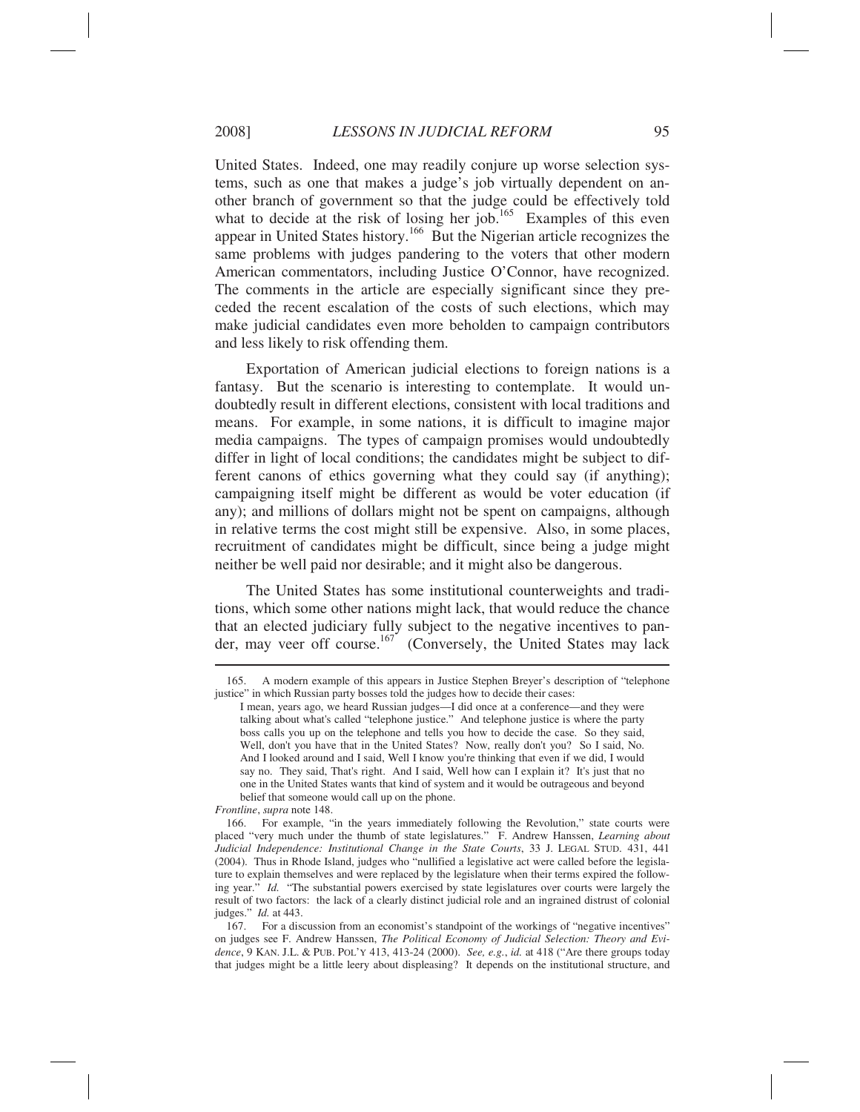United States. Indeed, one may readily conjure up worse selection systems, such as one that makes a judge's job virtually dependent on another branch of government so that the judge could be effectively told what to decide at the risk of losing her job.<sup>165</sup> Examples of this even appear in United States history.166 But the Nigerian article recognizes the same problems with judges pandering to the voters that other modern American commentators, including Justice O'Connor, have recognized. The comments in the article are especially significant since they preceded the recent escalation of the costs of such elections, which may make judicial candidates even more beholden to campaign contributors and less likely to risk offending them.

Exportation of American judicial elections to foreign nations is a fantasy. But the scenario is interesting to contemplate. It would undoubtedly result in different elections, consistent with local traditions and means. For example, in some nations, it is difficult to imagine major media campaigns. The types of campaign promises would undoubtedly differ in light of local conditions; the candidates might be subject to different canons of ethics governing what they could say (if anything); campaigning itself might be different as would be voter education (if any); and millions of dollars might not be spent on campaigns, although in relative terms the cost might still be expensive. Also, in some places, recruitment of candidates might be difficult, since being a judge might neither be well paid nor desirable; and it might also be dangerous.

The United States has some institutional counterweights and traditions, which some other nations might lack, that would reduce the chance that an elected judiciary fully subject to the negative incentives to pander, may veer off course.<sup>167</sup> (Conversely, the United States may lack

 <sup>165.</sup> A modern example of this appears in Justice Stephen Breyer's description of "telephone justice" in which Russian party bosses told the judges how to decide their cases:

I mean, years ago, we heard Russian judges—I did once at a conference—and they were talking about what's called "telephone justice." And telephone justice is where the party boss calls you up on the telephone and tells you how to decide the case. So they said, Well, don't you have that in the United States? Now, really don't you? So I said, No. And I looked around and I said, Well I know you're thinking that even if we did, I would say no. They said, That's right. And I said, Well how can I explain it? It's just that no one in the United States wants that kind of system and it would be outrageous and beyond belief that someone would call up on the phone.

*Frontline*, *supra* note 148.

 <sup>166.</sup> For example, "in the years immediately following the Revolution," state courts were placed "very much under the thumb of state legislatures." F. Andrew Hanssen, *Learning about Judicial Independence: Institutional Change in the State Courts*, 33 J. LEGAL STUD. 431, 441 (2004). Thus in Rhode Island, judges who "nullified a legislative act were called before the legislature to explain themselves and were replaced by the legislature when their terms expired the following year." *Id.* "The substantial powers exercised by state legislatures over courts were largely the result of two factors: the lack of a clearly distinct judicial role and an ingrained distrust of colonial judges." *Id.* at 443.

 <sup>167.</sup> For a discussion from an economist's standpoint of the workings of "negative incentives" on judges see F. Andrew Hanssen, *The Political Economy of Judicial Selection: Theory and Evidence*, 9 KAN. J.L. & PUB. POL'Y 413, 413-24 (2000). *See, e.g.*, *id.* at 418 ("Are there groups today that judges might be a little leery about displeasing? It depends on the institutional structure, and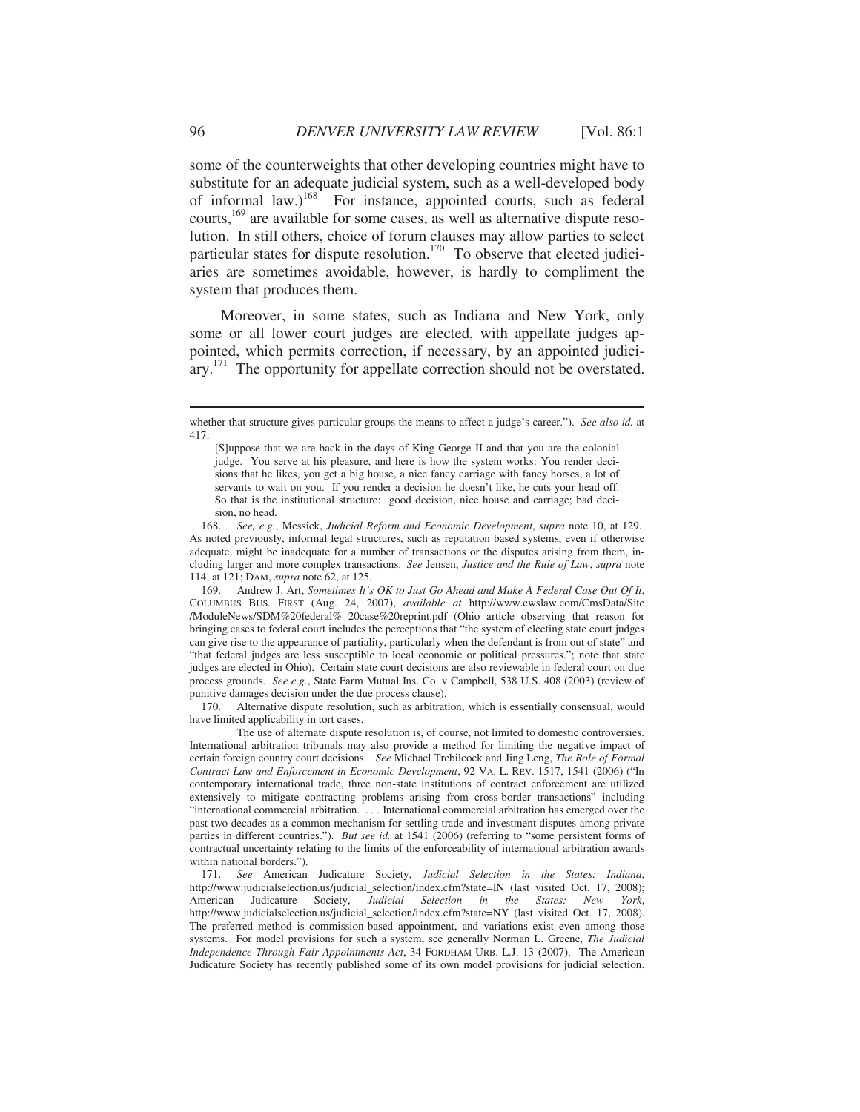some of the counterweights that other developing countries might have to substitute for an adequate judicial system, such as a well-developed body of informal law.)<sup>168</sup> For instance, appointed courts, such as federal courts,<sup>169</sup> are available for some cases, as well as alternative dispute resolution. In still others, choice of forum clauses may allow parties to select particular states for dispute resolution.<sup>170</sup> To observe that elected judiciaries are sometimes avoidable, however, is hardly to compliment the system that produces them.

Moreover, in some states, such as Indiana and New York, only some or all lower court judges are elected, with appellate judges appointed, which permits correction, if necessary, by an appointed judiciary.<sup>171</sup> The opportunity for appellate correction should not be overstated.

 169. Andrew J. Art, *Sometimes It's OK to Just Go Ahead and Make A Federal Case Out Of It*, COLUMBUS BUS. FIRST (Aug. 24, 2007), *available at* http://www.cwslaw.com/CmsData/Site /ModuleNews/SDM%20federal% 20case%20reprint.pdf (Ohio article observing that reason for bringing cases to federal court includes the perceptions that "the system of electing state court judges can give rise to the appearance of partiality, particularly when the defendant is from out of state" and "that federal judges are less susceptible to local economic or political pressures."; note that state judges are elected in Ohio). Certain state court decisions are also reviewable in federal court on due process grounds. *See e.g.*, State Farm Mutual Ins. Co. v Campbell, 538 U.S. 408 (2003) (review of punitive damages decision under the due process clause).

 170. Alternative dispute resolution, such as arbitration, which is essentially consensual, would have limited applicability in tort cases.

 The use of alternate dispute resolution is, of course, not limited to domestic controversies. International arbitration tribunals may also provide a method for limiting the negative impact of certain foreign country court decisions. *See* Michael Trebilcock and Jing Leng, *The Role of Formal Contract Law and Enforcement in Economic Development*, 92 VA. L. REV. 1517, 1541 (2006) ("In contemporary international trade, three non-state institutions of contract enforcement are utilized extensively to mitigate contracting problems arising from cross-border transactions" including "international commercial arbitration. . . . International commercial arbitration has emerged over the past two decades as a common mechanism for settling trade and investment disputes among private parties in different countries."). *But see id.* at 1541 (2006) (referring to "some persistent forms of contractual uncertainty relating to the limits of the enforceability of international arbitration awards within national borders.").

 171. *See* American Judicature Society, *Judicial Selection in the States: Indiana*, http://www.judicialselection.us/judicial\_selection/index.cfm?state=IN (last visited Oct. 17, 2008);<br>American Judicature Society, *Judicial Selection in the States: New York*, American Judicature Society, *Judicial Selection in the States: New York*, http://www.judicialselection.us/judicial\_selection/index.cfm?state=NY (last visited Oct. 17, 2008). The preferred method is commission-based appointment, and variations exist even among those systems. For model provisions for such a system, see generally Norman L. Greene, *The Judicial Independence Through Fair Appointments Act*, 34 FORDHAM URB. L.J. 13 (2007). The American Judicature Society has recently published some of its own model provisions for judicial selection.

whether that structure gives particular groups the means to affect a judge's career."). *See also id.* at 417:

<sup>[</sup>S]uppose that we are back in the days of King George II and that you are the colonial judge. You serve at his pleasure, and here is how the system works: You render decisions that he likes, you get a big house, a nice fancy carriage with fancy horses, a lot of servants to wait on you. If you render a decision he doesn't like, he cuts your head off. So that is the institutional structure: good decision, nice house and carriage; bad decision, no head.

 <sup>168.</sup> *See, e.g.*, Messick, *Judicial Reform and Economic Development*, *supra* note 10, at 129. As noted previously, informal legal structures, such as reputation based systems, even if otherwise adequate, might be inadequate for a number of transactions or the disputes arising from them, including larger and more complex transactions. *See* Jensen, *Justice and the Rule of Law*, *supra* note 114, at 121; DAM, *supra* note 62, at 125.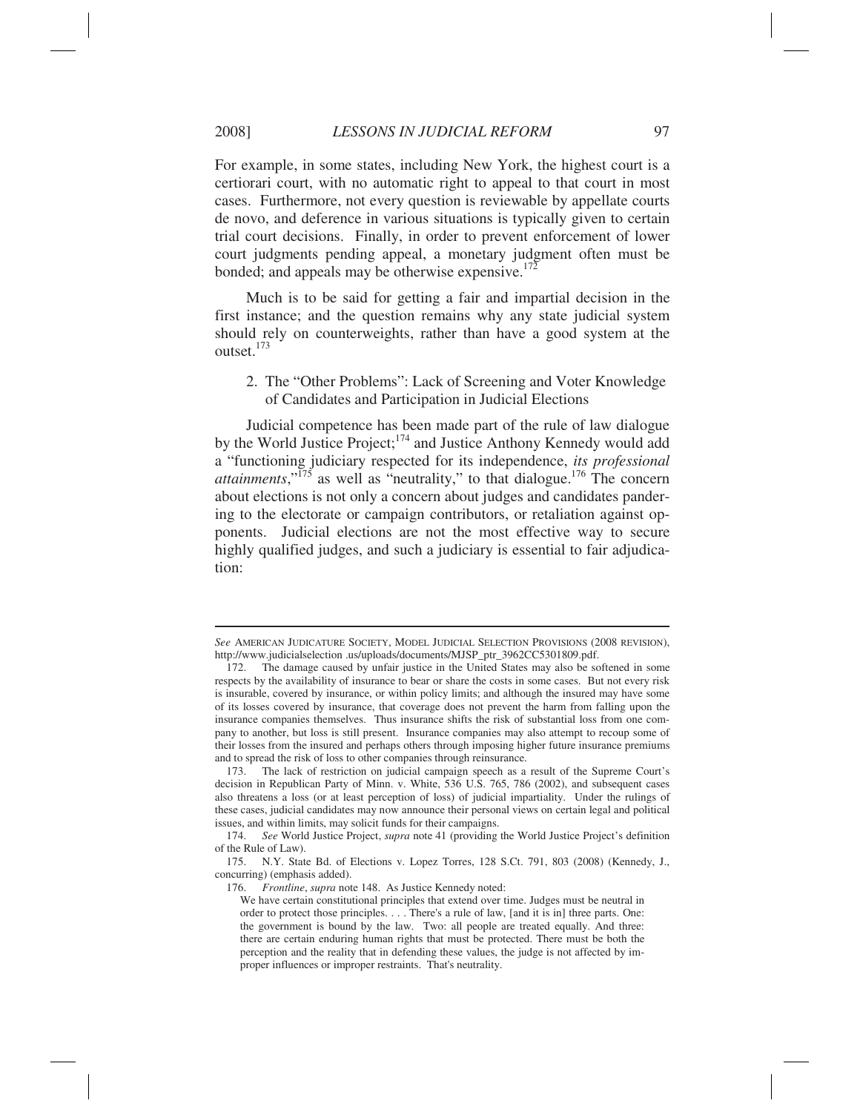For example, in some states, including New York, the highest court is a certiorari court, with no automatic right to appeal to that court in most cases. Furthermore, not every question is reviewable by appellate courts de novo, and deference in various situations is typically given to certain trial court decisions. Finally, in order to prevent enforcement of lower court judgments pending appeal, a monetary judgment often must be bonded; and appeals may be otherwise expensive.<sup>172</sup>

Much is to be said for getting a fair and impartial decision in the first instance; and the question remains why any state judicial system should rely on counterweights, rather than have a good system at the outset.<sup>173</sup>

2. The "Other Problems": Lack of Screening and Voter Knowledge of Candidates and Participation in Judicial Elections

Judicial competence has been made part of the rule of law dialogue by the World Justice Project;<sup>174</sup> and Justice Anthony Kennedy would add a "functioning judiciary respected for its independence, *its professional attainments*," $\frac{175}{3}$  as well as "neutrality," to that dialogue.<sup>176</sup> The concern about elections is not only a concern about judges and candidates pandering to the electorate or campaign contributors, or retaliation against opponents. Judicial elections are not the most effective way to secure highly qualified judges, and such a judiciary is essential to fair adjudication:

*See* AMERICAN JUDICATURE SOCIETY, MODEL JUDICIAL SELECTION PROVISIONS (2008 REVISION), http://www.judicialselection .us/uploads/documents/MJSP\_ptr\_3962CC5301809.pdf.<br>172. The damage caused by unfair justice in the United States may also be so

The damage caused by unfair justice in the United States may also be softened in some respects by the availability of insurance to bear or share the costs in some cases. But not every risk is insurable, covered by insurance, or within policy limits; and although the insured may have some of its losses covered by insurance, that coverage does not prevent the harm from falling upon the insurance companies themselves. Thus insurance shifts the risk of substantial loss from one company to another, but loss is still present. Insurance companies may also attempt to recoup some of their losses from the insured and perhaps others through imposing higher future insurance premiums and to spread the risk of loss to other companies through reinsurance.

 <sup>173.</sup> The lack of restriction on judicial campaign speech as a result of the Supreme Court's decision in Republican Party of Minn. v. White, 536 U.S. 765, 786 (2002), and subsequent cases also threatens a loss (or at least perception of loss) of judicial impartiality. Under the rulings of these cases, judicial candidates may now announce their personal views on certain legal and political issues, and within limits, may solicit funds for their campaigns.

 <sup>174.</sup> *See* World Justice Project, *supra* note 41 (providing the World Justice Project's definition of the Rule of Law).

 <sup>175.</sup> N.Y. State Bd. of Elections v. Lopez Torres, 128 S.Ct. 791, 803 (2008) (Kennedy, J., concurring) (emphasis added).

 <sup>176.</sup> *Frontline*, *supra* note 148. As Justice Kennedy noted:

We have certain constitutional principles that extend over time. Judges must be neutral in order to protect those principles. . . . There's a rule of law, [and it is in] three parts. One: the government is bound by the law. Two: all people are treated equally. And three: there are certain enduring human rights that must be protected. There must be both the perception and the reality that in defending these values, the judge is not affected by improper influences or improper restraints. That's neutrality.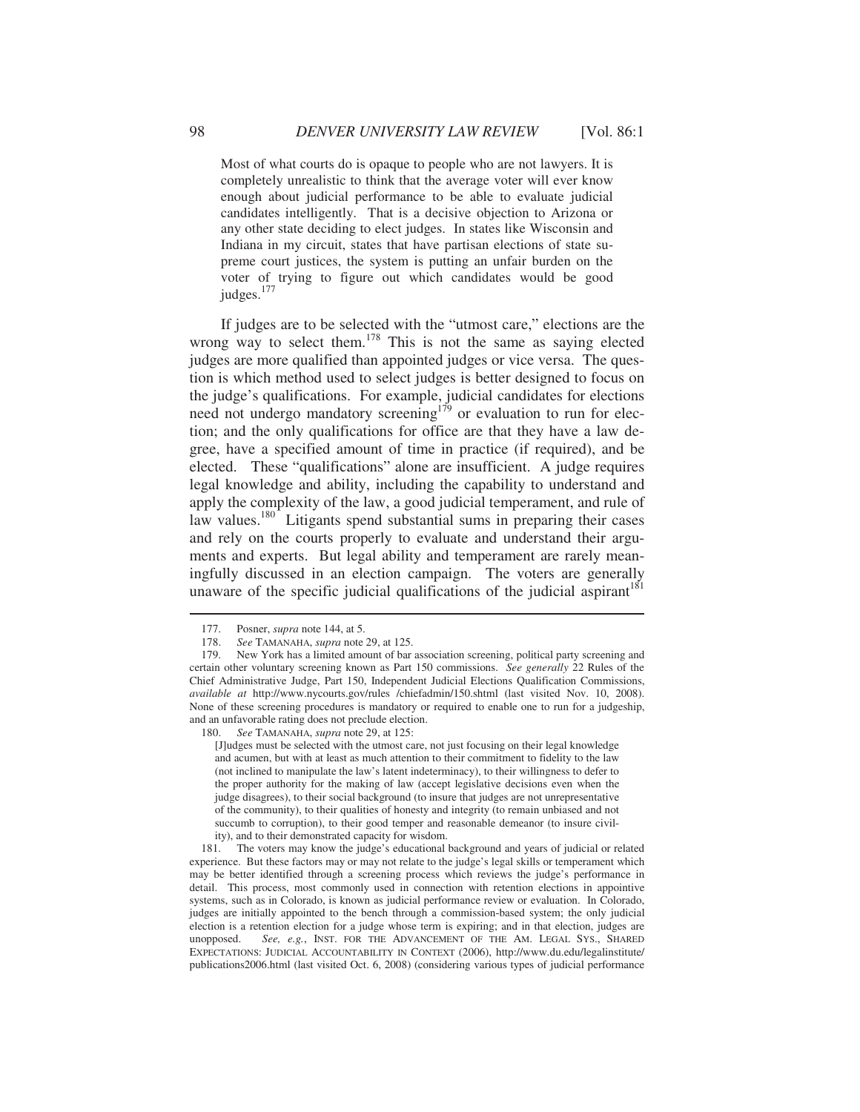Most of what courts do is opaque to people who are not lawyers. It is completely unrealistic to think that the average voter will ever know enough about judicial performance to be able to evaluate judicial candidates intelligently. That is a decisive objection to Arizona or any other state deciding to elect judges. In states like Wisconsin and Indiana in my circuit, states that have partisan elections of state supreme court justices, the system is putting an unfair burden on the voter of trying to figure out which candidates would be good judges.<sup>177</sup>

If judges are to be selected with the "utmost care," elections are the wrong way to select them.<sup>178</sup> This is not the same as saying elected judges are more qualified than appointed judges or vice versa. The question is which method used to select judges is better designed to focus on the judge's qualifications. For example, judicial candidates for elections need not undergo mandatory screening<sup>179</sup> or evaluation to run for election; and the only qualifications for office are that they have a law degree, have a specified amount of time in practice (if required), and be elected. These "qualifications" alone are insufficient. A judge requires legal knowledge and ability, including the capability to understand and apply the complexity of the law, a good judicial temperament, and rule of law values.<sup>180</sup> Litigants spend substantial sums in preparing their cases and rely on the courts properly to evaluate and understand their arguments and experts. But legal ability and temperament are rarely meaningfully discussed in an election campaign. The voters are generally unaware of the specific judicial qualifications of the judicial aspirant $1^{81}$ 

 $\overline{a}$ 

180. *See* TAMANAHA, *supra* note 29, at 125:

[J]udges must be selected with the utmost care, not just focusing on their legal knowledge and acumen, but with at least as much attention to their commitment to fidelity to the law (not inclined to manipulate the law's latent indeterminacy), to their willingness to defer to the proper authority for the making of law (accept legislative decisions even when the judge disagrees), to their social background (to insure that judges are not unrepresentative of the community), to their qualities of honesty and integrity (to remain unbiased and not succumb to corruption), to their good temper and reasonable demeanor (to insure civility), and to their demonstrated capacity for wisdom.

 181. The voters may know the judge's educational background and years of judicial or related experience. But these factors may or may not relate to the judge's legal skills or temperament which may be better identified through a screening process which reviews the judge's performance in detail. This process, most commonly used in connection with retention elections in appointive systems, such as in Colorado, is known as judicial performance review or evaluation. In Colorado, judges are initially appointed to the bench through a commission-based system; the only judicial election is a retention election for a judge whose term is expiring; and in that election, judges are unopposed. *See, e.g.*, INST. FOR THE ADVANCEMENT OF THE AM. LEGAL SYS., SHARED EXPECTATIONS: JUDICIAL ACCOUNTABILITY IN CONTEXT (2006), http://www.du.edu/legalinstitute/ publications2006.html (last visited Oct. 6, 2008) (considering various types of judicial performance

<sup>177.</sup> Posner, *supra* note 144, at 5.<br>178. See TAMANAHA, *supra* note

See TAMANAHA, *supra* note 29, at 125.

 <sup>179.</sup> New York has a limited amount of bar association screening, political party screening and certain other voluntary screening known as Part 150 commissions. *See generally* 22 Rules of the Chief Administrative Judge, Part 150, Independent Judicial Elections Qualification Commissions, *available at* http://www.nycourts.gov/rules /chiefadmin/150.shtml (last visited Nov. 10, 2008). None of these screening procedures is mandatory or required to enable one to run for a judgeship, and an unfavorable rating does not preclude election.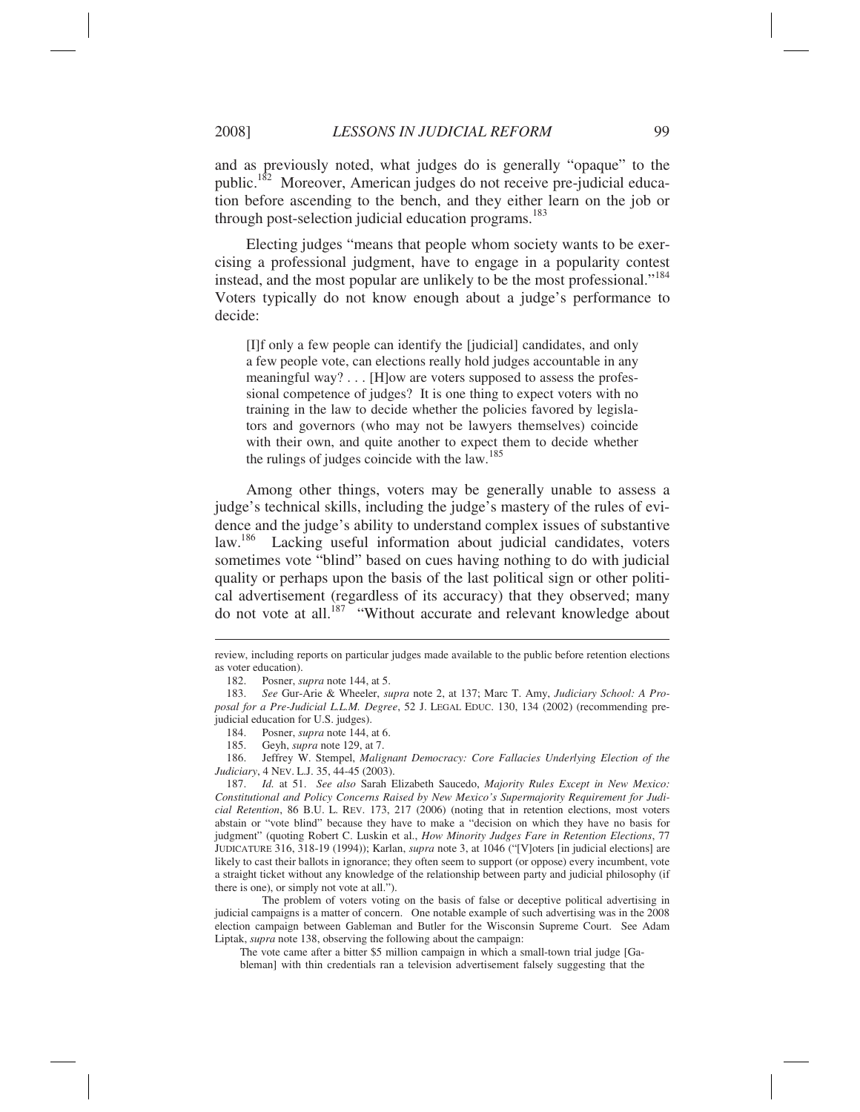and as previously noted, what judges do is generally "opaque" to the public.<sup>182</sup> Moreover, American judges do not receive pre-judicial education before ascending to the bench, and they either learn on the job or through post-selection judicial education programs.<sup>183</sup>

Electing judges "means that people whom society wants to be exercising a professional judgment, have to engage in a popularity contest instead, and the most popular are unlikely to be the most professional."184 Voters typically do not know enough about a judge's performance to decide:

[I]f only a few people can identify the [judicial] candidates, and only a few people vote, can elections really hold judges accountable in any meaningful way? . . . [H]ow are voters supposed to assess the professional competence of judges? It is one thing to expect voters with no training in the law to decide whether the policies favored by legislators and governors (who may not be lawyers themselves) coincide with their own, and quite another to expect them to decide whether the rulings of judges coincide with the law.<sup>185</sup>

Among other things, voters may be generally unable to assess a judge's technical skills, including the judge's mastery of the rules of evidence and the judge's ability to understand complex issues of substantive law.<sup>186</sup> Lacking useful information about judicial candidates, voters sometimes vote "blind" based on cues having nothing to do with judicial quality or perhaps upon the basis of the last political sign or other political advertisement (regardless of its accuracy) that they observed; many do not vote at all.<sup>187</sup> "Without accurate and relevant knowledge about

 $\overline{a}$ 

 The problem of voters voting on the basis of false or deceptive political advertising in judicial campaigns is a matter of concern. One notable example of such advertising was in the 2008 election campaign between Gableman and Butler for the Wisconsin Supreme Court. See Adam Liptak, *supra* note 138, observing the following about the campaign:

The vote came after a bitter \$5 million campaign in which a small-town trial judge [Gableman] with thin credentials ran a television advertisement falsely suggesting that the

review, including reports on particular judges made available to the public before retention elections as voter education).

 <sup>182.</sup> Posner, *supra* note 144, at 5.

 <sup>183.</sup> *See* Gur-Arie & Wheeler, *supra* note 2, at 137; Marc T. Amy, *Judiciary School: A Proposal for a Pre-Judicial L.L.M. Degree*, 52 J. LEGAL EDUC. 130, 134 (2002) (recommending prejudicial education for U.S. judges).

 <sup>184.</sup> Posner, *supra* note 144, at 6.

 <sup>185.</sup> Geyh, *supra* note 129, at 7.

 <sup>186.</sup> Jeffrey W. Stempel, *Malignant Democracy: Core Fallacies Underlying Election of the Judiciary*, 4 NEV. L.J. 35, 44-45 (2003).

 <sup>187.</sup> *Id.* at 51. *See also* Sarah Elizabeth Saucedo, *Majority Rules Except in New Mexico: Constitutional and Policy Concerns Raised by New Mexico's Supermajority Requirement for Judicial Retention*, 86 B.U. L. REV. 173, 217 (2006) (noting that in retention elections, most voters abstain or "vote blind" because they have to make a "decision on which they have no basis for judgment" (quoting Robert C. Luskin et al., *How Minority Judges Fare in Retention Elections*, 77 JUDICATURE 316, 318-19 (1994)); Karlan, *supra* note 3, at 1046 ("[V]oters [in judicial elections] are likely to cast their ballots in ignorance; they often seem to support (or oppose) every incumbent, vote a straight ticket without any knowledge of the relationship between party and judicial philosophy (if there is one), or simply not vote at all.").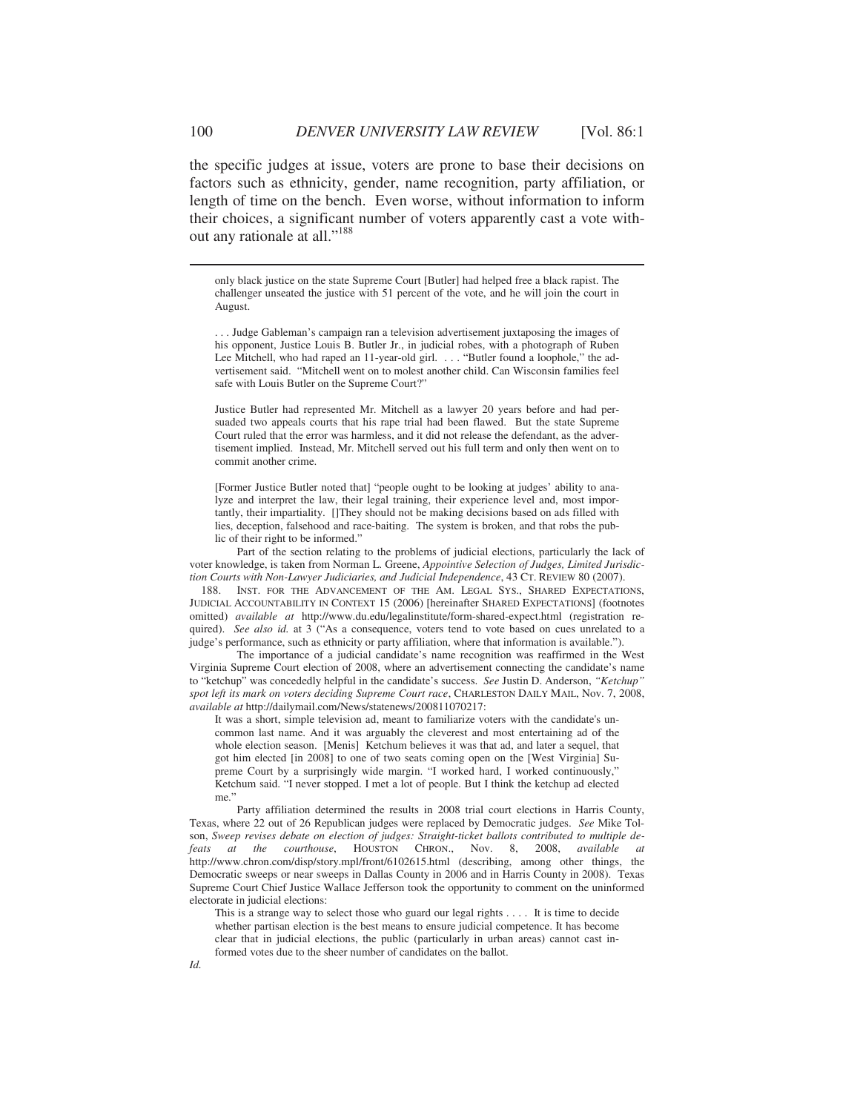the specific judges at issue, voters are prone to base their decisions on factors such as ethnicity, gender, name recognition, party affiliation, or length of time on the bench. Even worse, without information to inform their choices, a significant number of voters apparently cast a vote without any rationale at all."<sup>188</sup>

only black justice on the state Supreme Court [Butler] had helped free a black rapist. The challenger unseated the justice with 51 percent of the vote, and he will join the court in August.

. . . Judge Gableman's campaign ran a television advertisement juxtaposing the images of his opponent, Justice Louis B. Butler Jr., in judicial robes, with a photograph of Ruben Lee Mitchell, who had raped an 11-year-old girl. . . . "Butler found a loophole," the advertisement said. "Mitchell went on to molest another child. Can Wisconsin families feel safe with Louis Butler on the Supreme Court?"

Justice Butler had represented Mr. Mitchell as a lawyer 20 years before and had persuaded two appeals courts that his rape trial had been flawed. But the state Supreme Court ruled that the error was harmless, and it did not release the defendant, as the advertisement implied. Instead, Mr. Mitchell served out his full term and only then went on to commit another crime.

[Former Justice Butler noted that] "people ought to be looking at judges' ability to analyze and interpret the law, their legal training, their experience level and, most importantly, their impartiality. []They should not be making decisions based on ads filled with lies, deception, falsehood and race-baiting. The system is broken, and that robs the public of their right to be informed."

 Part of the section relating to the problems of judicial elections, particularly the lack of voter knowledge, is taken from Norman L. Greene, *Appointive Selection of Judges, Limited Jurisdiction Courts with Non-Lawyer Judiciaries, and Judicial Independence*, 43 CT. REVIEW 80 (2007).<br>188. INST. FOR THE ADVANCEMENT OF THE AM. LEGAL SYS.. SHARED EXPECTATION

INST. FOR THE ADVANCEMENT OF THE AM. LEGAL SYS., SHARED EXPECTATIONS, JUDICIAL ACCOUNTABILITY IN CONTEXT 15 (2006) [hereinafter SHARED EXPECTATIONS] (footnotes omitted) *available at* http://www.du.edu/legalinstitute/form-shared-expect.html (registration required). *See also id.* at 3 ("As a consequence, voters tend to vote based on cues unrelated to a judge's performance, such as ethnicity or party affiliation, where that information is available.").

 The importance of a judicial candidate's name recognition was reaffirmed in the West Virginia Supreme Court election of 2008, where an advertisement connecting the candidate's name to "ketchup" was concededly helpful in the candidate's success. *See* Justin D. Anderson, *"Ketchup" spot left its mark on voters deciding Supreme Court race*, CHARLESTON DAILY MAIL, Nov. 7, 2008, *available at* http://dailymail.com/News/statenews/200811070217:

It was a short, simple television ad, meant to familiarize voters with the candidate's uncommon last name. And it was arguably the cleverest and most entertaining ad of the whole election season. [Menis] Ketchum believes it was that ad, and later a sequel, that got him elected [in 2008] to one of two seats coming open on the [West Virginia] Supreme Court by a surprisingly wide margin. "I worked hard, I worked continuously," Ketchum said. "I never stopped. I met a lot of people. But I think the ketchup ad elected me."

 Party affiliation determined the results in 2008 trial court elections in Harris County, Texas, where 22 out of 26 Republican judges were replaced by Democratic judges. *See* Mike Tolson, *Sweep revises debate on election of judges: Straight-ticket ballots contributed to multiple defeats at the courthouse*, HOUSTON CHRON., Nov. 8, 2008, *available* http://www.chron.com/disp/story.mpl/front/6102615.html (describing, among other things, the Democratic sweeps or near sweeps in Dallas County in 2006 and in Harris County in 2008). Texas Supreme Court Chief Justice Wallace Jefferson took the opportunity to comment on the uninformed electorate in judicial elections:

This is a strange way to select those who guard our legal rights . . . . It is time to decide whether partisan election is the best means to ensure judicial competence. It has become clear that in judicial elections, the public (particularly in urban areas) cannot cast informed votes due to the sheer number of candidates on the ballot.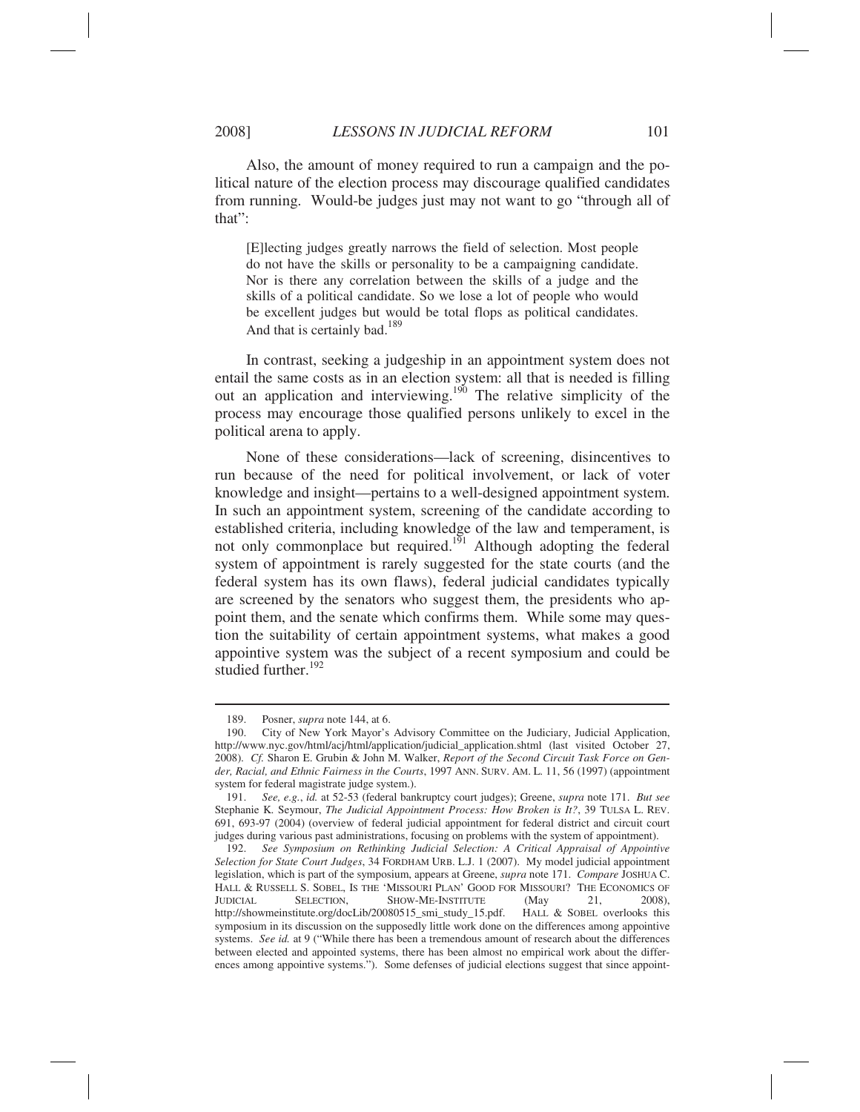Also, the amount of money required to run a campaign and the political nature of the election process may discourage qualified candidates from running. Would-be judges just may not want to go "through all of that":

[E]lecting judges greatly narrows the field of selection. Most people do not have the skills or personality to be a campaigning candidate. Nor is there any correlation between the skills of a judge and the skills of a political candidate. So we lose a lot of people who would be excellent judges but would be total flops as political candidates. And that is certainly bad.<sup>189</sup>

In contrast, seeking a judgeship in an appointment system does not entail the same costs as in an election system: all that is needed is filling out an application and interviewing.<sup>190</sup> The relative simplicity of the process may encourage those qualified persons unlikely to excel in the political arena to apply.

None of these considerations—lack of screening, disincentives to run because of the need for political involvement, or lack of voter knowledge and insight—pertains to a well-designed appointment system. In such an appointment system, screening of the candidate according to established criteria, including knowledge of the law and temperament, is not only commonplace but required.<sup>191</sup> Although adopting the federal system of appointment is rarely suggested for the state courts (and the federal system has its own flaws), federal judicial candidates typically are screened by the senators who suggest them, the presidents who appoint them, and the senate which confirms them. While some may question the suitability of certain appointment systems, what makes a good appointive system was the subject of a recent symposium and could be studied further. $192$ 

 <sup>189.</sup> Posner, *supra* note 144, at 6.

 <sup>190.</sup> City of New York Mayor's Advisory Committee on the Judiciary, Judicial Application, http://www.nyc.gov/html/acj/html/application/judicial\_application.shtml (last visited October 27, 2008). *Cf.* Sharon E. Grubin & John M. Walker, *Report of the Second Circuit Task Force on Gender, Racial, and Ethnic Fairness in the Courts*, 1997 ANN. SURV. AM. L. 11, 56 (1997) (appointment system for federal magistrate judge system.).

 <sup>191.</sup> *See, e.g.*, *id.* at 52-53 (federal bankruptcy court judges); Greene, *supra* note 171. *But see* Stephanie K. Seymour, *The Judicial Appointment Process: How Broken is It?*, 39 TULSA L. REV. 691, 693-97 (2004) (overview of federal judicial appointment for federal district and circuit court judges during various past administrations, focusing on problems with the system of appointment).

 <sup>192.</sup> *See Symposium on Rethinking Judicial Selection: A Critical Appraisal of Appointive Selection for State Court Judges*, 34 FORDHAM URB. L.J. 1 (2007). My model judicial appointment legislation, which is part of the symposium, appears at Greene, *supra* note 171. *Compare* JOSHUA C. HALL & RUSSELL S. SOBEL, IS THE 'MISSOURI PLAN' GOOD FOR MISSOURI? THE ECONOMICS OF JUDICIAL SELECTION, SHOW-ME-INSTITUTE (May 21, 2008), http://showmeinstitute.org/docLib/20080515\_smi\_study\_15.pdf. HALL & SOBEL overlooks this symposium in its discussion on the supposedly little work done on the differences among appointive systems. *See id.* at 9 ("While there has been a tremendous amount of research about the differences between elected and appointed systems, there has been almost no empirical work about the differences among appointive systems."). Some defenses of judicial elections suggest that since appoint-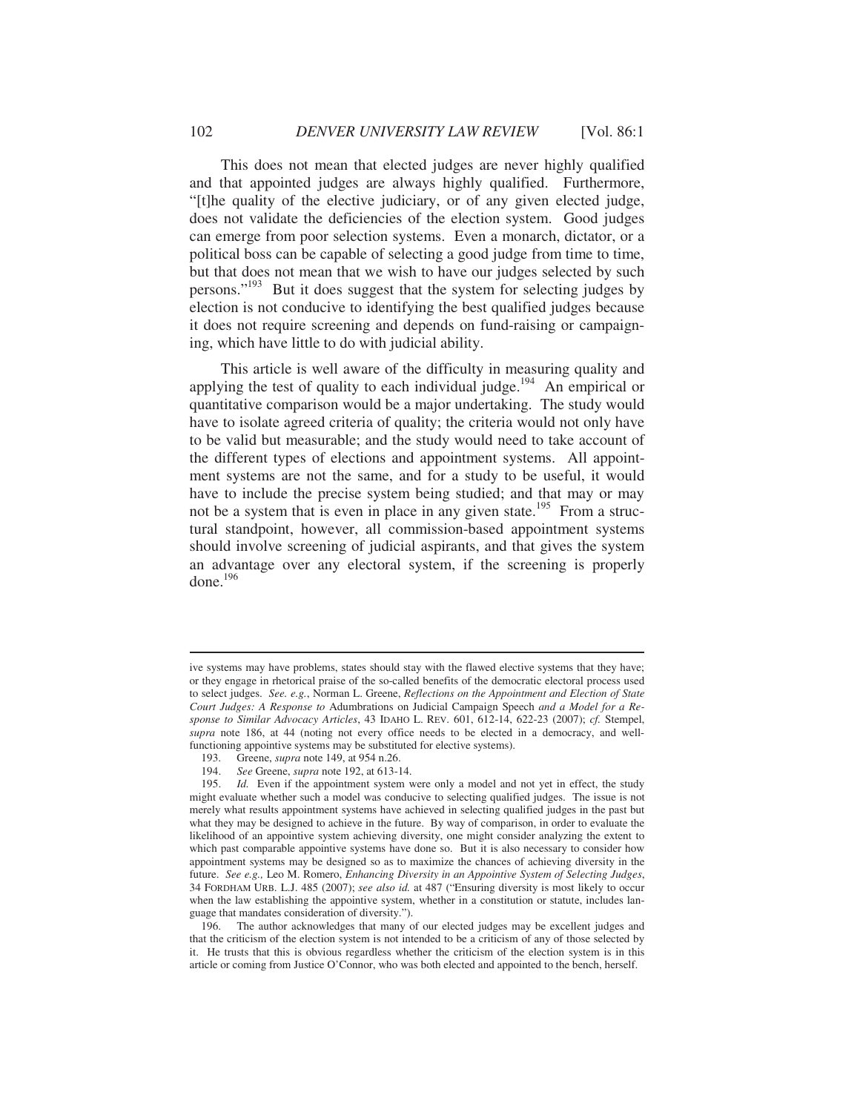This does not mean that elected judges are never highly qualified and that appointed judges are always highly qualified. Furthermore, "[t]he quality of the elective judiciary, or of any given elected judge, does not validate the deficiencies of the election system. Good judges can emerge from poor selection systems. Even a monarch, dictator, or a political boss can be capable of selecting a good judge from time to time, but that does not mean that we wish to have our judges selected by such persons."193 But it does suggest that the system for selecting judges by election is not conducive to identifying the best qualified judges because it does not require screening and depends on fund-raising or campaigning, which have little to do with judicial ability.

This article is well aware of the difficulty in measuring quality and applying the test of quality to each individual judge.<sup>194</sup> An empirical or quantitative comparison would be a major undertaking. The study would have to isolate agreed criteria of quality; the criteria would not only have to be valid but measurable; and the study would need to take account of the different types of elections and appointment systems. All appointment systems are not the same, and for a study to be useful, it would have to include the precise system being studied; and that may or may not be a system that is even in place in any given state.<sup>195</sup> From a structural standpoint, however, all commission-based appointment systems should involve screening of judicial aspirants, and that gives the system an advantage over any electoral system, if the screening is properly done.196

ive systems may have problems, states should stay with the flawed elective systems that they have; or they engage in rhetorical praise of the so-called benefits of the democratic electoral process used to select judges. *See. e.g.*, Norman L. Greene, *Reflections on the Appointment and Election of State Court Judges: A Response to* Adumbrations on Judicial Campaign Speech *and a Model for a Response to Similar Advocacy Articles*, 43 IDAHO L. REV. 601, 612-14, 622-23 (2007); *cf.* Stempel, *supra* note 186, at 44 (noting not every office needs to be elected in a democracy, and wellfunctioning appointive systems may be substituted for elective systems).

 <sup>193.</sup> Greene, *supra* note 149, at 954 n.26.

 <sup>194.</sup> *See* Greene, *supra* note 192, at 613-14.

 <sup>195.</sup> *Id.* Even if the appointment system were only a model and not yet in effect, the study might evaluate whether such a model was conducive to selecting qualified judges. The issue is not merely what results appointment systems have achieved in selecting qualified judges in the past but what they may be designed to achieve in the future. By way of comparison, in order to evaluate the likelihood of an appointive system achieving diversity, one might consider analyzing the extent to which past comparable appointive systems have done so. But it is also necessary to consider how appointment systems may be designed so as to maximize the chances of achieving diversity in the future. *See e.g.,* Leo M. Romero, *Enhancing Diversity in an Appointive System of Selecting Judges*, 34 FORDHAM URB. L.J. 485 (2007); *see also id.* at 487 ("Ensuring diversity is most likely to occur when the law establishing the appointive system, whether in a constitution or statute, includes language that mandates consideration of diversity.").

 <sup>196.</sup> The author acknowledges that many of our elected judges may be excellent judges and that the criticism of the election system is not intended to be a criticism of any of those selected by it. He trusts that this is obvious regardless whether the criticism of the election system is in this article or coming from Justice O'Connor, who was both elected and appointed to the bench, herself.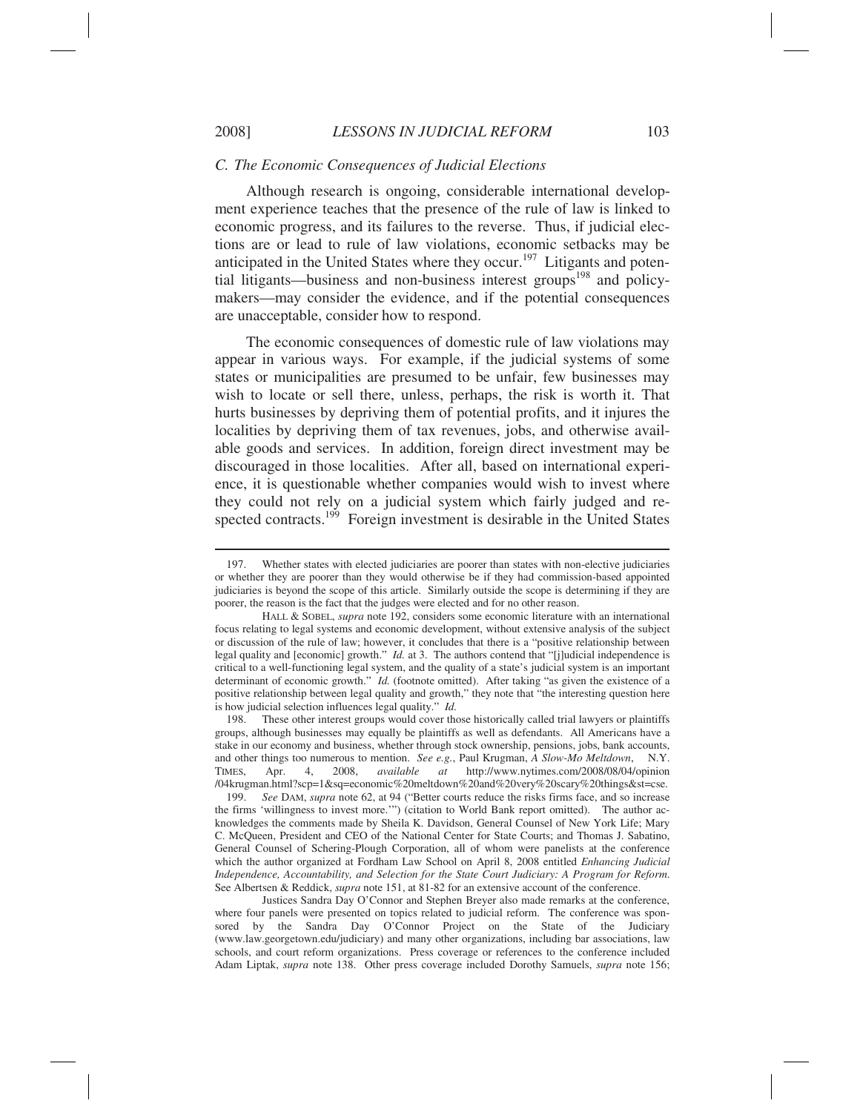#### *C. The Economic Consequences of Judicial Elections*

Although research is ongoing, considerable international development experience teaches that the presence of the rule of law is linked to economic progress, and its failures to the reverse. Thus, if judicial elections are or lead to rule of law violations, economic setbacks may be anticipated in the United States where they occur.<sup>197</sup> Litigants and potential litigants—business and non-business interest groups<sup>198</sup> and policymakers—may consider the evidence, and if the potential consequences are unacceptable, consider how to respond.

The economic consequences of domestic rule of law violations may appear in various ways. For example, if the judicial systems of some states or municipalities are presumed to be unfair, few businesses may wish to locate or sell there, unless, perhaps, the risk is worth it. That hurts businesses by depriving them of potential profits, and it injures the localities by depriving them of tax revenues, jobs, and otherwise available goods and services. In addition, foreign direct investment may be discouraged in those localities. After all, based on international experience, it is questionable whether companies would wish to invest where they could not rely on a judicial system which fairly judged and respected contracts.<sup>199</sup> Foreign investment is desirable in the United States

 198. These other interest groups would cover those historically called trial lawyers or plaintiffs groups, although businesses may equally be plaintiffs as well as defendants. All Americans have a stake in our economy and business, whether through stock ownership, pensions, jobs, bank accounts, and other things too numerous to mention. *See e.g.*, Paul Krugman, *A Slow-Mo Meltdown*, N.Y. TIMES, Apr. 4, 2008, *available at* http://www.nytimes.com/2008/08/04/opinion /04krugman.html?scp=1&sq=economic%20meltdown%20and%20very%20scary%20things&st=cse.

See DAM, *supra* note 62, at 94 ("Better courts reduce the risks firms face, and so increase the firms 'willingness to invest more.'") (citation to World Bank report omitted). The author acknowledges the comments made by Sheila K. Davidson, General Counsel of New York Life; Mary C. McQueen, President and CEO of the National Center for State Courts; and Thomas J. Sabatino, General Counsel of Schering-Plough Corporation, all of whom were panelists at the conference which the author organized at Fordham Law School on April 8, 2008 entitled *Enhancing Judicial Independence, Accountability, and Selection for the State Court Judiciary: A Program for Reform*. See Albertsen & Reddick, *supra* note 151, at 81-82 for an extensive account of the conference.

 Justices Sandra Day O'Connor and Stephen Breyer also made remarks at the conference, where four panels were presented on topics related to judicial reform. The conference was sponsored by the Sandra Day O'Connor Project on the State of the Judiciary (www.law.georgetown.edu/judiciary) and many other organizations, including bar associations, law schools, and court reform organizations. Press coverage or references to the conference included Adam Liptak, *supra* note 138. Other press coverage included Dorothy Samuels, *supra* note 156;

 <sup>197.</sup> Whether states with elected judiciaries are poorer than states with non-elective judiciaries or whether they are poorer than they would otherwise be if they had commission-based appointed judiciaries is beyond the scope of this article. Similarly outside the scope is determining if they are poorer, the reason is the fact that the judges were elected and for no other reason.

HALL & SOBEL, *supra* note 192, considers some economic literature with an international focus relating to legal systems and economic development, without extensive analysis of the subject or discussion of the rule of law; however, it concludes that there is a "positive relationship between legal quality and [economic] growth." *Id.* at 3. The authors contend that "[j]udicial independence is critical to a well-functioning legal system, and the quality of a state's judicial system is an important determinant of economic growth." *Id.* (footnote omitted). After taking "as given the existence of a positive relationship between legal quality and growth," they note that "the interesting question here is how judicial selection influences legal quality." *Id.*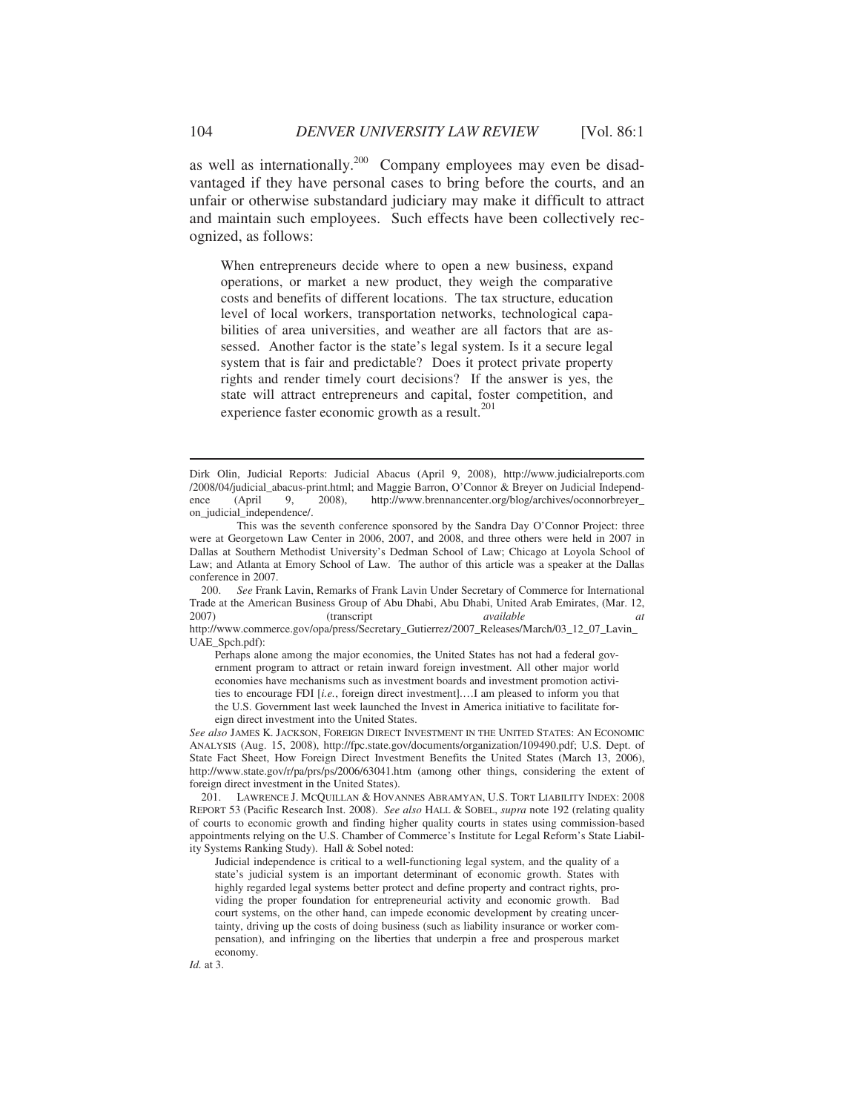as well as internationally.<sup>200</sup> Company employees may even be disadvantaged if they have personal cases to bring before the courts, and an unfair or otherwise substandard judiciary may make it difficult to attract and maintain such employees. Such effects have been collectively recognized, as follows:

When entrepreneurs decide where to open a new business, expand operations, or market a new product, they weigh the comparative costs and benefits of different locations. The tax structure, education level of local workers, transportation networks, technological capabilities of area universities, and weather are all factors that are assessed. Another factor is the state's legal system. Is it a secure legal system that is fair and predictable? Does it protect private property rights and render timely court decisions? If the answer is yes, the state will attract entrepreneurs and capital, foster competition, and experience faster economic growth as a result.<sup>201</sup>

 200. *See* Frank Lavin, Remarks of Frank Lavin Under Secretary of Commerce for International Trade at the American Business Group of Abu Dhabi, Abu Dhabi, United Arab Emirates, (Mar. 12, 2007) (transcript *available at* 2007) (transcript *available at*

http://www.commerce.gov/opa/press/Secretary\_Gutierrez/2007\_Releases/March/03\_12\_07\_Lavin\_ UAE\_Spch.pdf):

Perhaps alone among the major economies, the United States has not had a federal government program to attract or retain inward foreign investment. All other major world economies have mechanisms such as investment boards and investment promotion activities to encourage FDI [*i.e.*, foreign direct investment].…I am pleased to inform you that the U.S. Government last week launched the Invest in America initiative to facilitate foreign direct investment into the United States.

*See also* JAMES K. JACKSON, FOREIGN DIRECT INVESTMENT IN THE UNITED STATES: AN ECONOMIC ANALYSIS (Aug. 15, 2008), http://fpc.state.gov/documents/organization/109490.pdf; U.S. Dept. of State Fact Sheet, How Foreign Direct Investment Benefits the United States (March 13, 2006), http://www.state.gov/r/pa/prs/ps/2006/63041.htm (among other things, considering the extent of foreign direct investment in the United States).

 201. LAWRENCE J. MCQUILLAN & HOVANNES ABRAMYAN, U.S. TORT LIABILITY INDEX: 2008 REPORT 53 (Pacific Research Inst. 2008). *See also* HALL & SOBEL, *supra* note 192 (relating quality of courts to economic growth and finding higher quality courts in states using commission-based appointments relying on the U.S. Chamber of Commerce's Institute for Legal Reform's State Liability Systems Ranking Study). Hall & Sobel noted:

Judicial independence is critical to a well-functioning legal system, and the quality of a state's judicial system is an important determinant of economic growth. States with highly regarded legal systems better protect and define property and contract rights, providing the proper foundation for entrepreneurial activity and economic growth. Bad court systems, on the other hand, can impede economic development by creating uncertainty, driving up the costs of doing business (such as liability insurance or worker compensation), and infringing on the liberties that underpin a free and prosperous market economy.

Dirk Olin, Judicial Reports: Judicial Abacus (April 9, 2008), http://www.judicialreports.com /2008/04/judicial\_abacus-print.html; and Maggie Barron, O'Connor & Breyer on Judicial Independence (April 9, 2008), http://www.brennancenter.org/blog/archives/oconnorbreyer\_ on\_judicial\_independence/.

This was the seventh conference sponsored by the Sandra Day O'Connor Project: three were at Georgetown Law Center in 2006, 2007, and 2008, and three others were held in 2007 in Dallas at Southern Methodist University's Dedman School of Law; Chicago at Loyola School of Law; and Atlanta at Emory School of Law. The author of this article was a speaker at the Dallas conference in 2007.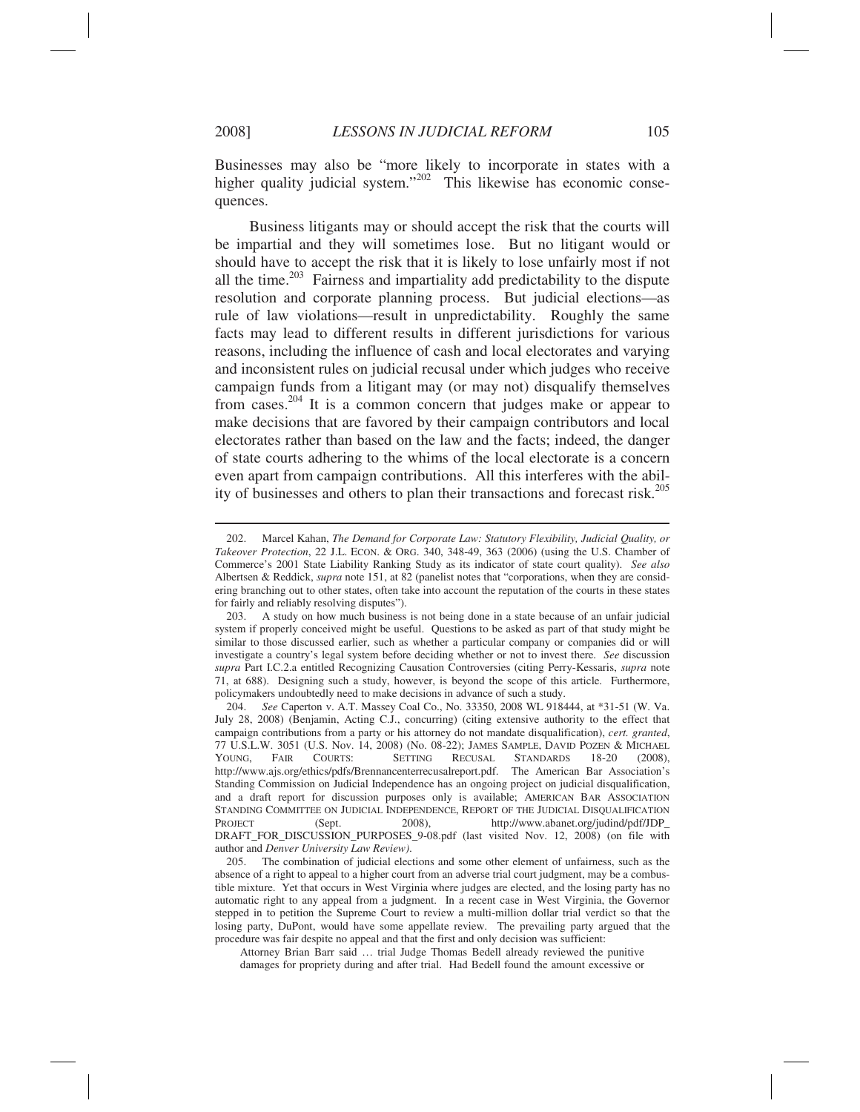$\overline{a}$ 

Businesses may also be "more likely to incorporate in states with a higher quality judicial system."<sup>202</sup> This likewise has economic consequences.

 Business litigants may or should accept the risk that the courts will be impartial and they will sometimes lose. But no litigant would or should have to accept the risk that it is likely to lose unfairly most if not all the time.<sup>203</sup> Fairness and impartiality add predictability to the dispute resolution and corporate planning process. But judicial elections—as rule of law violations—result in unpredictability. Roughly the same facts may lead to different results in different jurisdictions for various reasons, including the influence of cash and local electorates and varying and inconsistent rules on judicial recusal under which judges who receive campaign funds from a litigant may (or may not) disqualify themselves from cases.204 It is a common concern that judges make or appear to make decisions that are favored by their campaign contributors and local electorates rather than based on the law and the facts; indeed, the danger of state courts adhering to the whims of the local electorate is a concern even apart from campaign contributions. All this interferes with the ability of businesses and others to plan their transactions and forecast risk.<sup>205</sup>

 <sup>202.</sup> Marcel Kahan, *The Demand for Corporate Law: Statutory Flexibility, Judicial Quality, or Takeover Protection*, 22 J.L. ECON. & ORG. 340, 348-49, 363 (2006) (using the U.S. Chamber of Commerce's 2001 State Liability Ranking Study as its indicator of state court quality). *See also* Albertsen & Reddick, *supra* note 151, at 82 (panelist notes that "corporations, when they are considering branching out to other states, often take into account the reputation of the courts in these states for fairly and reliably resolving disputes").

 <sup>203.</sup> A study on how much business is not being done in a state because of an unfair judicial system if properly conceived might be useful. Questions to be asked as part of that study might be similar to those discussed earlier, such as whether a particular company or companies did or will investigate a country's legal system before deciding whether or not to invest there. *See* discussion *supra* Part I.C.2.a entitled Recognizing Causation Controversies (citing Perry-Kessaris, *supra* note 71, at 688). Designing such a study, however, is beyond the scope of this article. Furthermore, policymakers undoubtedly need to make decisions in advance of such a study.

 <sup>204.</sup> *See* Caperton v. A.T. Massey Coal Co., No. 33350, 2008 WL 918444, at \*31-51 (W. Va. July 28, 2008) (Benjamin, Acting C.J., concurring) (citing extensive authority to the effect that campaign contributions from a party or his attorney do not mandate disqualification), *cert. granted*, 77 U.S.L.W. 3051 (U.S. Nov. 14, 2008) (No. 08-22); JAMES SAMPLE, DAVID POZEN & MICHAEL YOUNG, FAIR COURTS: SETTING RECUSAL STANDARDS 18-20 (2008), http://www.ajs.org/ethics/pdfs/Brennancenterrecusalreport.pdf. The American Bar Association's Standing Commission on Judicial Independence has an ongoing project on judicial disqualification, and a draft report for discussion purposes only is available; AMERICAN BAR ASSOCIATION STANDING COMMITTEE ON JUDICIAL INDEPENDENCE, REPORT OF THE JUDICIAL DISQUALIFICATION<br>PROJECT (Sept. 2008). http://www.abanet.org/iudind/pdf/JDP PROJECT (Sept. 2008), http://www.abanet.org/judind/pdf/JDP\_ DRAFT\_FOR\_DISCUSSION\_PURPOSES\_9-08.pdf (last visited Nov. 12, 2008) (on file with author and *Denver University Law Review)*.

 <sup>205.</sup> The combination of judicial elections and some other element of unfairness, such as the absence of a right to appeal to a higher court from an adverse trial court judgment, may be a combustible mixture. Yet that occurs in West Virginia where judges are elected, and the losing party has no automatic right to any appeal from a judgment. In a recent case in West Virginia, the Governor stepped in to petition the Supreme Court to review a multi-million dollar trial verdict so that the losing party, DuPont, would have some appellate review. The prevailing party argued that the procedure was fair despite no appeal and that the first and only decision was sufficient:

Attorney Brian Barr said … trial Judge Thomas Bedell already reviewed the punitive damages for propriety during and after trial. Had Bedell found the amount excessive or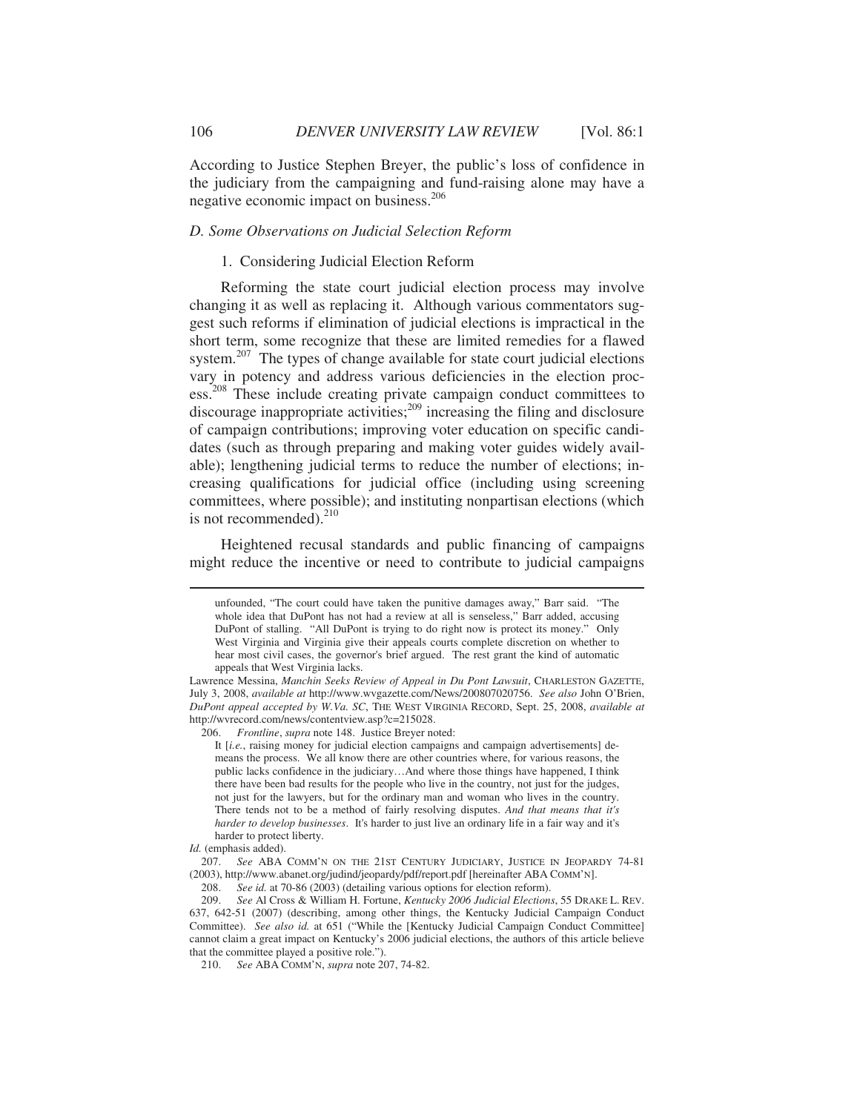According to Justice Stephen Breyer, the public's loss of confidence in the judiciary from the campaigning and fund-raising alone may have a negative economic impact on business.<sup>206</sup>

## *D. Some Observations on Judicial Selection Reform*

## 1. Considering Judicial Election Reform

Reforming the state court judicial election process may involve changing it as well as replacing it. Although various commentators suggest such reforms if elimination of judicial elections is impractical in the short term, some recognize that these are limited remedies for a flawed system.<sup>207</sup> The types of change available for state court judicial elections vary in potency and address various deficiencies in the election process.<sup>208</sup> These include creating private campaign conduct committees to discourage inappropriate activities;<sup>209</sup> increasing the filing and disclosure of campaign contributions; improving voter education on specific candidates (such as through preparing and making voter guides widely available); lengthening judicial terms to reduce the number of elections; increasing qualifications for judicial office (including using screening committees, where possible); and instituting nonpartisan elections (which is not recommended). $^{210}$ 

Heightened recusal standards and public financing of campaigns might reduce the incentive or need to contribute to judicial campaigns

unfounded, "The court could have taken the punitive damages away," Barr said. "The whole idea that DuPont has not had a review at all is senseless," Barr added, accusing DuPont of stalling. "All DuPont is trying to do right now is protect its money." Only West Virginia and Virginia give their appeals courts complete discretion on whether to hear most civil cases, the governor's brief argued. The rest grant the kind of automatic appeals that West Virginia lacks.

Lawrence Messina, *Manchin Seeks Review of Appeal in Du Pont Lawsuit*, CHARLESTON GAZETTE, July 3, 2008, *available at* http://www.wvgazette.com/News/200807020756. *See also* John O'Brien, *DuPont appeal accepted by W.Va. SC*, THE WEST VIRGINIA RECORD, Sept. 25, 2008, *available at* http://wvrecord.com/news/contentview.asp?c=215028.

 <sup>206.</sup> *Frontline*, *supra* note 148. Justice Breyer noted:

It [*i.e.*, raising money for judicial election campaigns and campaign advertisements] demeans the process. We all know there are other countries where, for various reasons, the public lacks confidence in the judiciary…And where those things have happened, I think there have been bad results for the people who live in the country, not just for the judges, not just for the lawyers, but for the ordinary man and woman who lives in the country. There tends not to be a method of fairly resolving disputes. *And that means that it's harder to develop businesses*. It's harder to just live an ordinary life in a fair way and it's harder to protect liberty.

*Id.* (emphasis added).

 <sup>207.</sup> *See* ABA COMM'N ON THE 21ST CENTURY JUDICIARY, JUSTICE IN JEOPARDY 74-81 (2003), http://www.abanet.org/judind/jeopardy/pdf/report.pdf [hereinafter ABA COMM'N].

 <sup>208.</sup> *See id.* at 70-86 (2003) (detailing various options for election reform).

 <sup>209.</sup> *See* Al Cross & William H. Fortune, *Kentucky 2006 Judicial Elections*, 55 DRAKE L. REV. 637, 642-51 (2007) (describing, among other things, the Kentucky Judicial Campaign Conduct Committee). *See also id.* at 651 ("While the [Kentucky Judicial Campaign Conduct Committee] cannot claim a great impact on Kentucky's 2006 judicial elections, the authors of this article believe that the committee played a positive role.").

 <sup>210.</sup> *See* ABA COMM'N, *supra* note 207, 74-82.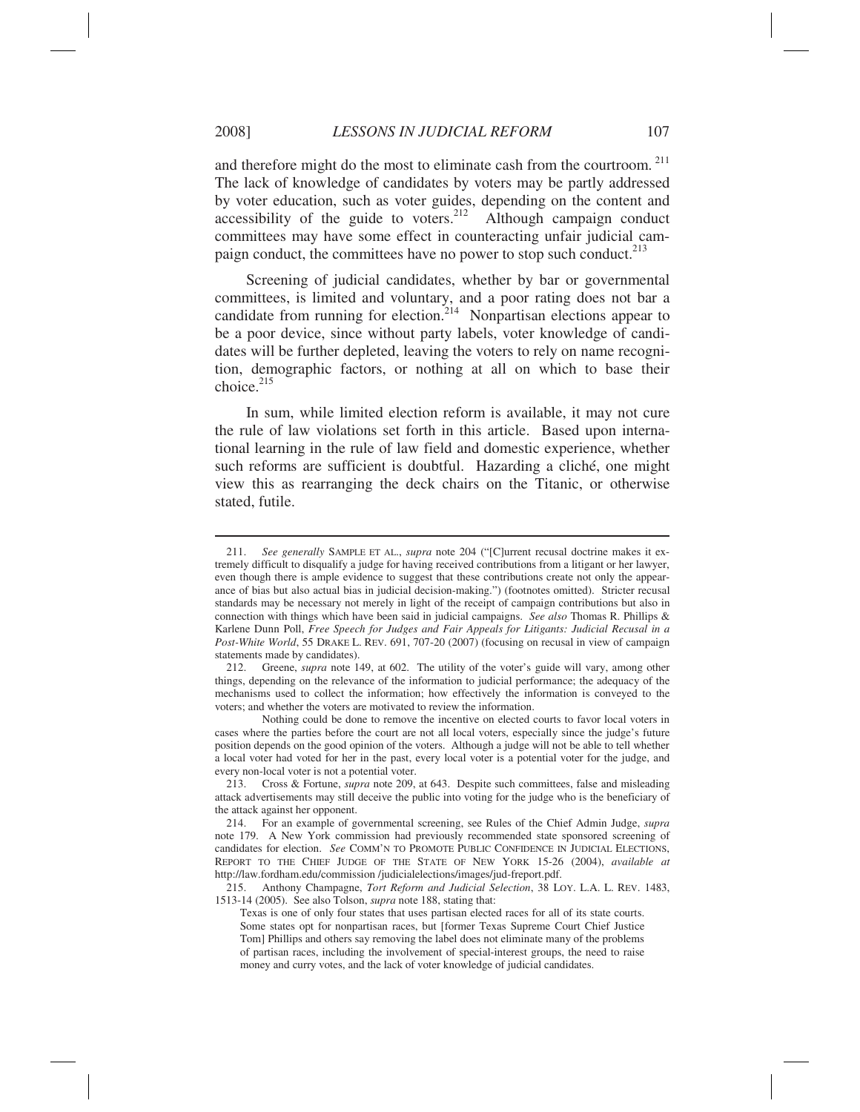and therefore might do the most to eliminate cash from the courtroom.<sup>211</sup> The lack of knowledge of candidates by voters may be partly addressed by voter education, such as voter guides, depending on the content and accessibility of the guide to voters.<sup>212</sup> Although campaign conduct committees may have some effect in counteracting unfair judicial campaign conduct, the committees have no power to stop such conduct.<sup>213</sup>

Screening of judicial candidates, whether by bar or governmental committees, is limited and voluntary, and a poor rating does not bar a candidate from running for election.<sup>214</sup> Nonpartisan elections appear to be a poor device, since without party labels, voter knowledge of candidates will be further depleted, leaving the voters to rely on name recognition, demographic factors, or nothing at all on which to base their choice.<sup>215</sup>

In sum, while limited election reform is available, it may not cure the rule of law violations set forth in this article. Based upon international learning in the rule of law field and domestic experience, whether such reforms are sufficient is doubtful. Hazarding a cliché, one might view this as rearranging the deck chairs on the Titanic, or otherwise stated, futile.

 <sup>211.</sup> *See generally* SAMPLE ET AL., *supra* note 204 ("[C]urrent recusal doctrine makes it extremely difficult to disqualify a judge for having received contributions from a litigant or her lawyer, even though there is ample evidence to suggest that these contributions create not only the appearance of bias but also actual bias in judicial decision-making.") (footnotes omitted). Stricter recusal standards may be necessary not merely in light of the receipt of campaign contributions but also in connection with things which have been said in judicial campaigns. *See also* Thomas R. Phillips & Karlene Dunn Poll, *Free Speech for Judges and Fair Appeals for Litigants: Judicial Recusal in a Post-White World*, 55 DRAKE L. REV. 691, 707-20 (2007) (focusing on recusal in view of campaign statements made by candidates).

 <sup>212.</sup> Greene, *supra* note 149, at 602. The utility of the voter's guide will vary, among other things, depending on the relevance of the information to judicial performance; the adequacy of the mechanisms used to collect the information; how effectively the information is conveyed to the voters; and whether the voters are motivated to review the information.

Nothing could be done to remove the incentive on elected courts to favor local voters in cases where the parties before the court are not all local voters, especially since the judge's future position depends on the good opinion of the voters. Although a judge will not be able to tell whether a local voter had voted for her in the past, every local voter is a potential voter for the judge, and every non-local voter is not a potential voter.

 <sup>213.</sup> Cross & Fortune, *supra* note 209, at 643. Despite such committees, false and misleading attack advertisements may still deceive the public into voting for the judge who is the beneficiary of the attack against her opponent.

 <sup>214.</sup> For an example of governmental screening, see Rules of the Chief Admin Judge, *supra* note 179. A New York commission had previously recommended state sponsored screening of candidates for election. *See* COMM'N TO PROMOTE PUBLIC CONFIDENCE IN JUDICIAL ELECTIONS, REPORT TO THE CHIEF JUDGE OF THE STATE OF NEW YORK 15-26 (2004), *available at* http://law.fordham.edu/commission /judicialelections/images/jud-freport.pdf.

 <sup>215.</sup> Anthony Champagne, *Tort Reform and Judicial Selection*, 38 LOY. L.A. L. REV. 1483, 1513-14 (2005). See also Tolson, *supra* note 188, stating that:

Texas is one of only four states that uses partisan elected races for all of its state courts. Some states opt for nonpartisan races, but [former Texas Supreme Court Chief Justice Tom] Phillips and others say removing the label does not eliminate many of the problems of partisan races, including the involvement of special-interest groups, the need to raise money and curry votes, and the lack of voter knowledge of judicial candidates.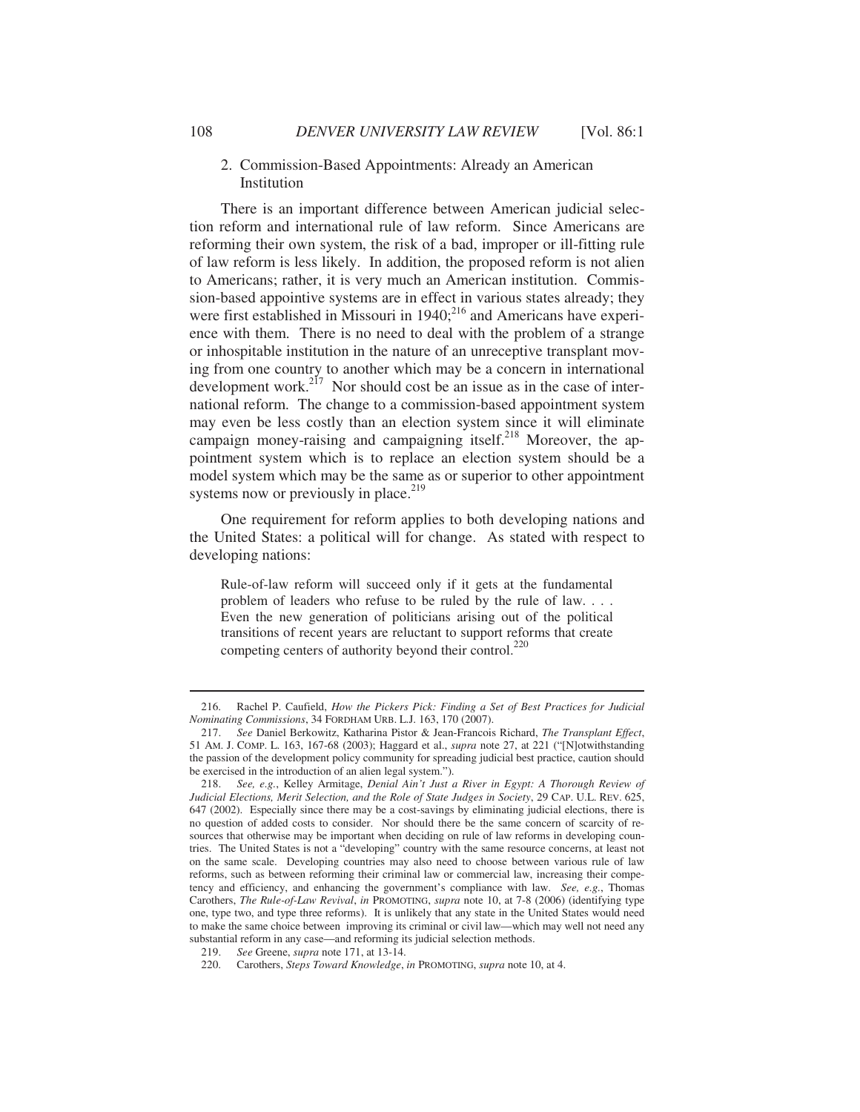## 2. Commission-Based Appointments: Already an American Institution

There is an important difference between American judicial selection reform and international rule of law reform. Since Americans are reforming their own system, the risk of a bad, improper or ill-fitting rule of law reform is less likely. In addition, the proposed reform is not alien to Americans; rather, it is very much an American institution. Commission-based appointive systems are in effect in various states already; they were first established in Missouri in  $1940$ ;<sup>216</sup> and Americans have experience with them. There is no need to deal with the problem of a strange or inhospitable institution in the nature of an unreceptive transplant moving from one country to another which may be a concern in international development work.<sup>217</sup> Nor should cost be an issue as in the case of international reform. The change to a commission-based appointment system may even be less costly than an election system since it will eliminate campaign money-raising and campaigning itself.<sup>218</sup> Moreover, the appointment system which is to replace an election system should be a model system which may be the same as or superior to other appointment systems now or previously in place. $2^{19}$ 

One requirement for reform applies to both developing nations and the United States: a political will for change. As stated with respect to developing nations:

Rule-of-law reform will succeed only if it gets at the fundamental problem of leaders who refuse to be ruled by the rule of law. . . . Even the new generation of politicians arising out of the political transitions of recent years are reluctant to support reforms that create competing centers of authority beyond their control.<sup>220</sup>

 <sup>216.</sup> Rachel P. Caufield, *How the Pickers Pick: Finding a Set of Best Practices for Judicial Nominating Commissions*, 34 FORDHAM URB. L.J. 163, 170 (2007).

 <sup>217.</sup> *See* Daniel Berkowitz, Katharina Pistor & Jean-Francois Richard, *The Transplant Effect*, 51 AM. J. COMP. L. 163, 167-68 (2003); Haggard et al., *supra* note 27, at 221 ("[N]otwithstanding the passion of the development policy community for spreading judicial best practice, caution should be exercised in the introduction of an alien legal system.").

 <sup>218.</sup> *See, e.g.*, Kelley Armitage, *Denial Ain't Just a River in Egypt: A Thorough Review of Judicial Elections, Merit Selection, and the Role of State Judges in Society*, 29 CAP. U.L. REV. 625, 647 (2002). Especially since there may be a cost-savings by eliminating judicial elections, there is no question of added costs to consider. Nor should there be the same concern of scarcity of resources that otherwise may be important when deciding on rule of law reforms in developing countries. The United States is not a "developing" country with the same resource concerns, at least not on the same scale. Developing countries may also need to choose between various rule of law reforms, such as between reforming their criminal law or commercial law, increasing their competency and efficiency, and enhancing the government's compliance with law. *See, e.g.*, Thomas Carothers, *The Rule-of-Law Revival*, *in* PROMOTING, *supra* note 10, at 7-8 (2006) (identifying type one, type two, and type three reforms). It is unlikely that any state in the United States would need to make the same choice between improving its criminal or civil law—which may well not need any substantial reform in any case—and reforming its judicial selection methods.

 <sup>219.</sup> *See* Greene, *supra* note 171, at 13-14.

 <sup>220.</sup> Carothers, *Steps Toward Knowledge*, *in* PROMOTING, *supra* note 10, at 4.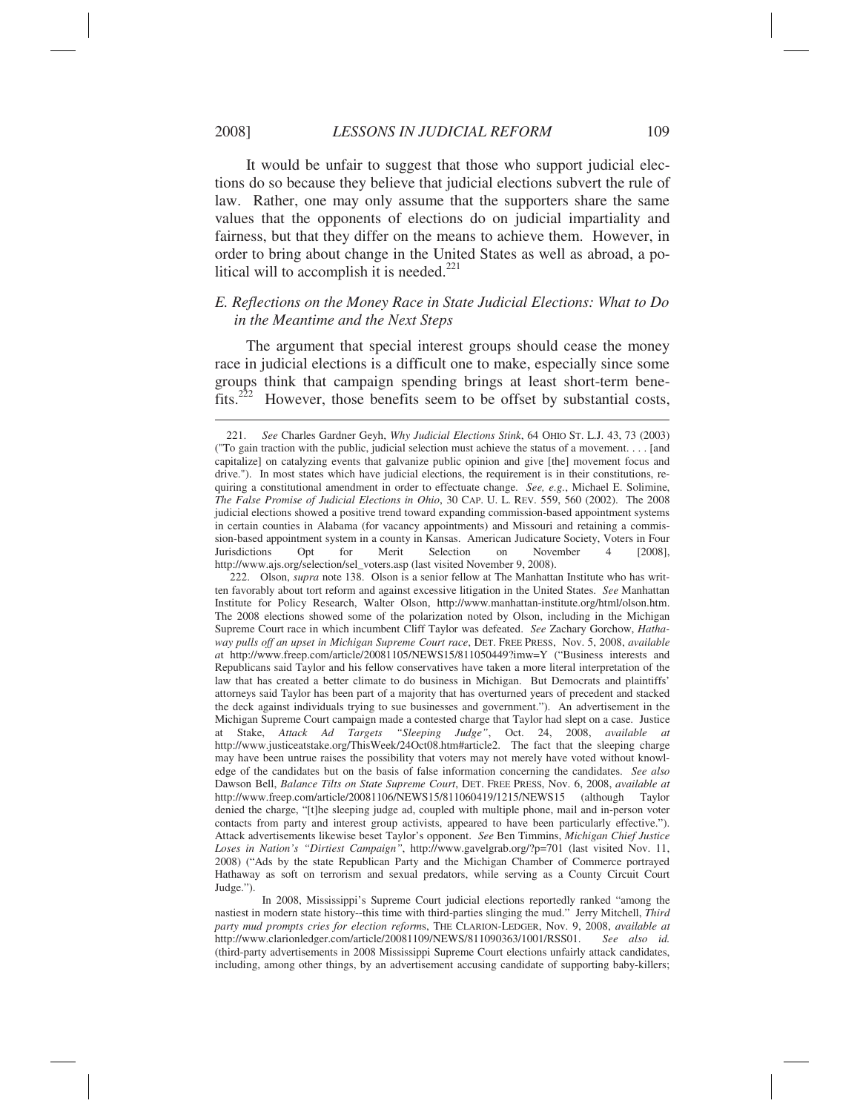It would be unfair to suggest that those who support judicial elections do so because they believe that judicial elections subvert the rule of law. Rather, one may only assume that the supporters share the same values that the opponents of elections do on judicial impartiality and fairness, but that they differ on the means to achieve them. However, in order to bring about change in the United States as well as abroad, a political will to accomplish it is needed. $221$ 

# *E. Reflections on the Money Race in State Judicial Elections: What to Do in the Meantime and the Next Steps*

The argument that special interest groups should cease the money race in judicial elections is a difficult one to make, especially since some groups think that campaign spending brings at least short-term benefits.222 However, those benefits seem to be offset by substantial costs,

 <sup>221.</sup> *See* Charles Gardner Geyh, *Why Judicial Elections Stink*, 64 OHIO ST. L.J. 43, 73 (2003) ("To gain traction with the public, judicial selection must achieve the status of a movement. . . . [and capitalize] on catalyzing events that galvanize public opinion and give [the] movement focus and drive."). In most states which have judicial elections, the requirement is in their constitutions, requiring a constitutional amendment in order to effectuate change. *See, e.g.*, Michael E. Solimine, *The False Promise of Judicial Elections in Ohio*, 30 CAP. U. L. REV. 559, 560 (2002). The 2008 judicial elections showed a positive trend toward expanding commission-based appointment systems in certain counties in Alabama (for vacancy appointments) and Missouri and retaining a commission-based appointment system in a county in Kansas. American Judicature Society, Voters in Four Jurisdictions Opt for Merit Selection on November 4 [2008], http://www.ajs.org/selection/sel\_voters.asp (last visited November 9, 2008).

 <sup>222.</sup> Olson, *supra* note 138. Olson is a senior fellow at The Manhattan Institute who has written favorably about tort reform and against excessive litigation in the United States. *See* Manhattan Institute for Policy Research, Walter Olson, http://www.manhattan-institute.org/html/olson.htm. The 2008 elections showed some of the polarization noted by Olson, including in the Michigan Supreme Court race in which incumbent Cliff Taylor was defeated. *See* Zachary Gorchow, *Hathaway pulls off an upset in Michigan Supreme Court race*, DET. FREE PRESS, Nov. 5, 2008, *available a*t http://www.freep.com/article/20081105/NEWS15/811050449?imw=Y ("Business interests and Republicans said Taylor and his fellow conservatives have taken a more literal interpretation of the law that has created a better climate to do business in Michigan. But Democrats and plaintiffs' attorneys said Taylor has been part of a majority that has overturned years of precedent and stacked the deck against individuals trying to sue businesses and government."). An advertisement in the Michigan Supreme Court campaign made a contested charge that Taylor had slept on a case. Justice at Stake, Attack Ad Targets "Sleeping Judge", Oct. 24, 2008, available at at Stake, *Attack Ad Targets "Sleeping Judge"*, Oct. 24, 2008, *available at* http://www.justiceatstake.org/ThisWeek/24Oct08.htm#article2. The fact that the sleeping charge may have been untrue raises the possibility that voters may not merely have voted without knowledge of the candidates but on the basis of false information concerning the candidates. *See also* Dawson Bell, *Balance Tilts on State Supreme Court*, DET. FREE PRESS, Nov. 6, 2008, *available at* http://www.freep.com/article/20081106/NEWS15/811060419/1215/NEWS15 (although Taylor denied the charge, "[t]he sleeping judge ad, coupled with multiple phone, mail and in-person voter contacts from party and interest group activists, appeared to have been particularly effective."). Attack advertisements likewise beset Taylor's opponent. *See* Ben Timmins, *Michigan Chief Justice Loses in Nation's "Dirtiest Campaign"*, http://www.gavelgrab.org/?p=701 (last visited Nov. 11, 2008) ("Ads by the state Republican Party and the Michigan Chamber of Commerce portrayed Hathaway as soft on terrorism and sexual predators, while serving as a County Circuit Court Judge.").

In 2008, Mississippi's Supreme Court judicial elections reportedly ranked "among the nastiest in modern state history--this time with third-parties slinging the mud." Jerry Mitchell, *Third party mud prompts cries for election reform*s, THE CLARION-LEDGER, Nov. 9, 2008, *available at* http://www.clarionledger.com/article/20081109/NEWS/811090363/1001/RSS01. *See also id.*  (third-party advertisements in 2008 Mississippi Supreme Court elections unfairly attack candidates, including, among other things, by an advertisement accusing candidate of supporting baby-killers;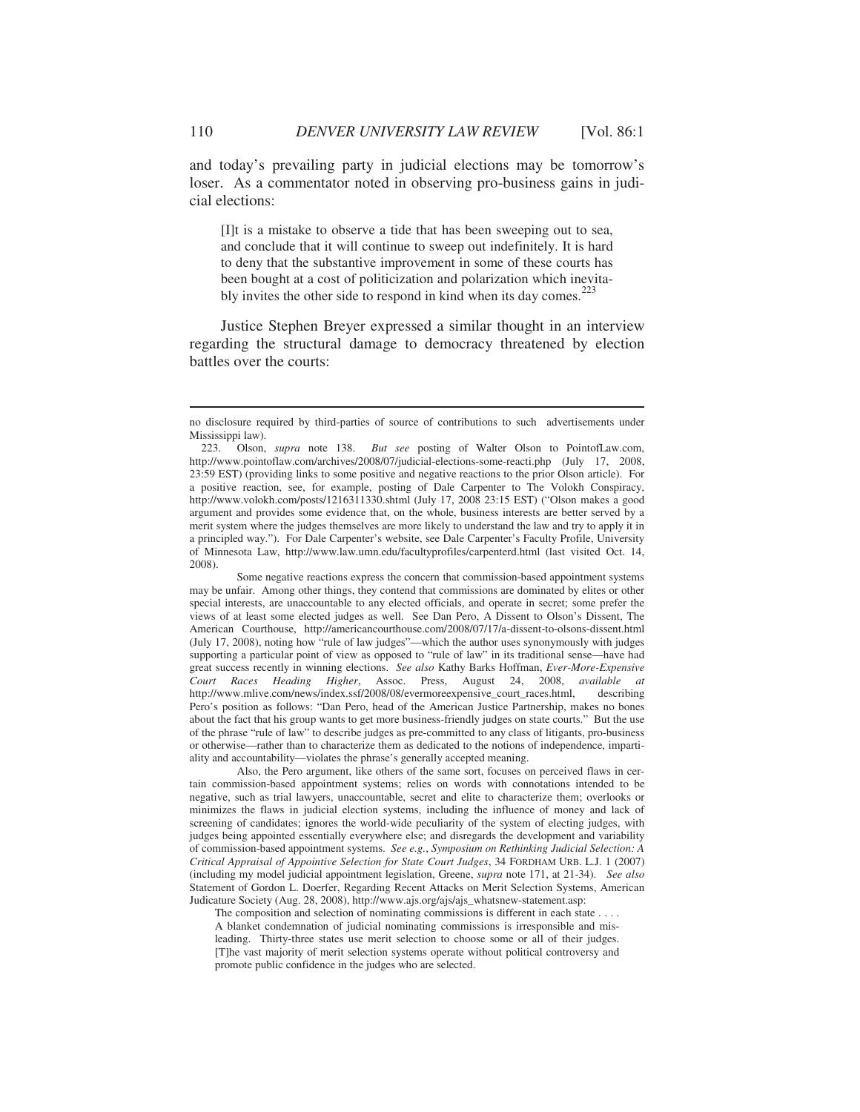and today's prevailing party in judicial elections may be tomorrow's loser. As a commentator noted in observing pro-business gains in judicial elections:

[I]t is a mistake to observe a tide that has been sweeping out to sea, and conclude that it will continue to sweep out indefinitely. It is hard to deny that the substantive improvement in some of these courts has been bought at a cost of politicization and polarization which inevitably invites the other side to respond in kind when its day comes. $223$ 

Justice Stephen Breyer expressed a similar thought in an interview regarding the structural damage to democracy threatened by election battles over the courts:

 Some negative reactions express the concern that commission-based appointment systems may be unfair. Among other things, they contend that commissions are dominated by elites or other special interests, are unaccountable to any elected officials, and operate in secret; some prefer the views of at least some elected judges as well. See Dan Pero, A Dissent to Olson's Dissent, The American Courthouse, http://americancourthouse.com/2008/07/17/a-dissent-to-olsons-dissent.html (July 17, 2008), noting how "rule of law judges"—which the author uses synonymously with judges supporting a particular point of view as opposed to "rule of law" in its traditional sense—have had great success recently in winning elections. *See also* Kathy Barks Hoffman, *Ever-More-Expensive Court Races Heading Higher*, Assoc. Press, August 24, 2008, *available at* http://www.mlive.com/news/index.ssf/2008/08/evermoreexpensive\_court\_races.html, describing Pero's position as follows: "Dan Pero, head of the American Justice Partnership, makes no bones about the fact that his group wants to get more business-friendly judges on state courts." But the use of the phrase "rule of law" to describe judges as pre-committed to any class of litigants, pro-business or otherwise—rather than to characterize them as dedicated to the notions of independence, impartiality and accountability—violates the phrase's generally accepted meaning.

 Also, the Pero argument, like others of the same sort, focuses on perceived flaws in certain commission-based appointment systems; relies on words with connotations intended to be negative, such as trial lawyers, unaccountable, secret and elite to characterize them; overlooks or minimizes the flaws in judicial election systems, including the influence of money and lack of screening of candidates; ignores the world-wide peculiarity of the system of electing judges, with judges being appointed essentially everywhere else; and disregards the development and variability of commission-based appointment systems. *See e.g.*, *Symposium on Rethinking Judicial Selection: A Critical Appraisal of Appointive Selection for State Court Judges*, 34 FORDHAM URB. L.J. 1 (2007) (including my model judicial appointment legislation, Greene, *supra* note 171, at 21-34). *See also* Statement of Gordon L. Doerfer, Regarding Recent Attacks on Merit Selection Systems, American Judicature Society (Aug. 28, 2008), http://www.ajs.org/ajs/ajs\_whatsnew-statement.asp:

The composition and selection of nominating commissions is different in each state . . . . A blanket condemnation of judicial nominating commissions is irresponsible and misleading. Thirty-three states use merit selection to choose some or all of their judges. [T]he vast majority of merit selection systems operate without political controversy and promote public confidence in the judges who are selected.

no disclosure required by third-parties of source of contributions to such advertisements under Mississippi law).<br>223. Olson, *supra* note 138.

 <sup>223.</sup> Olson, *supra* note 138. *But see* posting of Walter Olson to PointofLaw.com, http://www.pointoflaw.com/archives/2008/07/judicial-elections-some-reacti.php (July 17, 2008, 23:59 EST) (providing links to some positive and negative reactions to the prior Olson article). For a positive reaction, see, for example, posting of Dale Carpenter to The Volokh Conspiracy, http://www.volokh.com/posts/1216311330.shtml (July 17, 2008 23:15 EST) ("Olson makes a good argument and provides some evidence that, on the whole, business interests are better served by a merit system where the judges themselves are more likely to understand the law and try to apply it in a principled way."). For Dale Carpenter's website, see Dale Carpenter's Faculty Profile, University of Minnesota Law, http://www.law.umn.edu/facultyprofiles/carpenterd.html (last visited Oct. 14, 2008).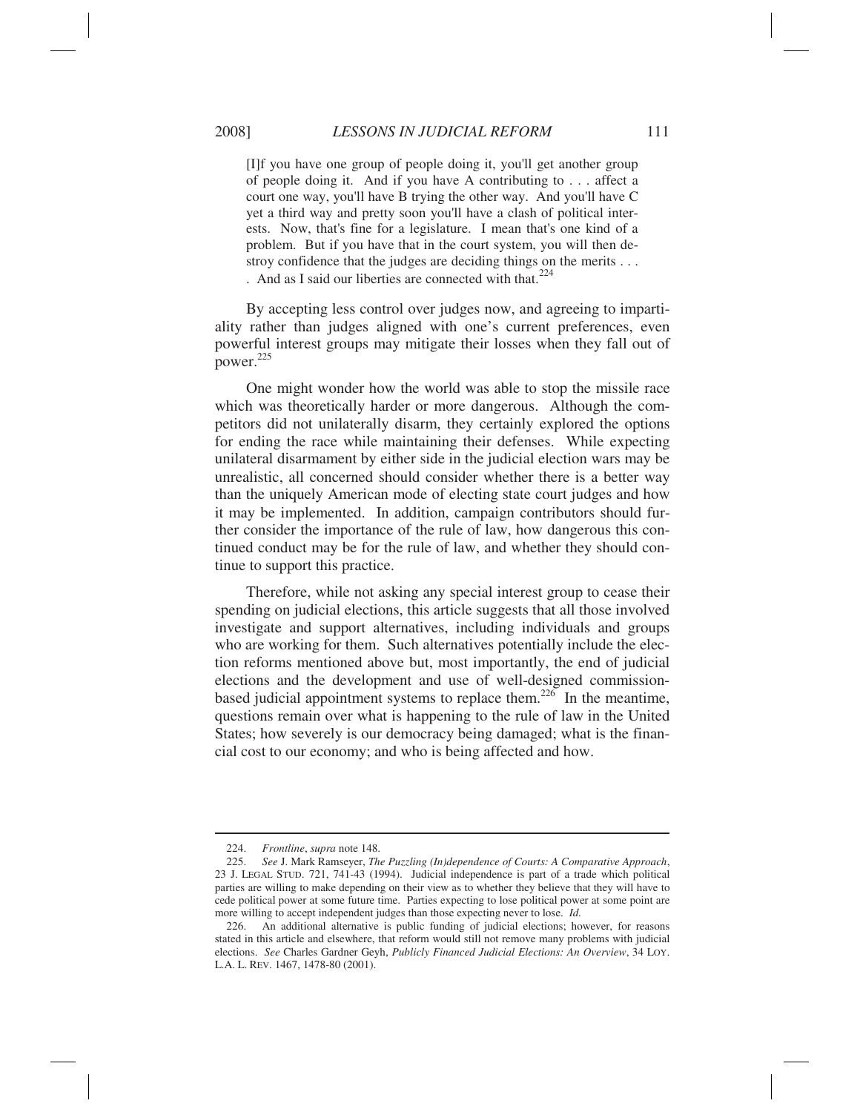[I]f you have one group of people doing it, you'll get another group of people doing it. And if you have A contributing to . . . affect a court one way, you'll have B trying the other way. And you'll have C yet a third way and pretty soon you'll have a clash of political interests. Now, that's fine for a legislature. I mean that's one kind of a problem. But if you have that in the court system, you will then destroy confidence that the judges are deciding things on the merits . . . . And as I said our liberties are connected with that. $224$ 

By accepting less control over judges now, and agreeing to impartiality rather than judges aligned with one's current preferences, even powerful interest groups may mitigate their losses when they fall out of power. $225$ 

One might wonder how the world was able to stop the missile race which was theoretically harder or more dangerous. Although the competitors did not unilaterally disarm, they certainly explored the options for ending the race while maintaining their defenses. While expecting unilateral disarmament by either side in the judicial election wars may be unrealistic, all concerned should consider whether there is a better way than the uniquely American mode of electing state court judges and how it may be implemented. In addition, campaign contributors should further consider the importance of the rule of law, how dangerous this continued conduct may be for the rule of law, and whether they should continue to support this practice.

Therefore, while not asking any special interest group to cease their spending on judicial elections, this article suggests that all those involved investigate and support alternatives, including individuals and groups who are working for them. Such alternatives potentially include the election reforms mentioned above but, most importantly, the end of judicial elections and the development and use of well-designed commissionbased judicial appointment systems to replace them.<sup>226</sup> In the meantime, questions remain over what is happening to the rule of law in the United States; how severely is our democracy being damaged; what is the financial cost to our economy; and who is being affected and how.

 <sup>224.</sup> *Frontline*, *supra* note 148.

 <sup>225.</sup> *See* J. Mark Ramseyer, *The Puzzling (In)dependence of Courts: A Comparative Approach*, 23 J. LEGAL STUD. 721, 741-43 (1994). Judicial independence is part of a trade which political parties are willing to make depending on their view as to whether they believe that they will have to cede political power at some future time. Parties expecting to lose political power at some point are more willing to accept independent judges than those expecting never to lose. *Id.*

 <sup>226.</sup> An additional alternative is public funding of judicial elections; however, for reasons stated in this article and elsewhere, that reform would still not remove many problems with judicial elections. *See* Charles Gardner Geyh, *Publicly Financed Judicial Elections: An Overview*, 34 LOY. L.A. L. REV. 1467, 1478-80 (2001).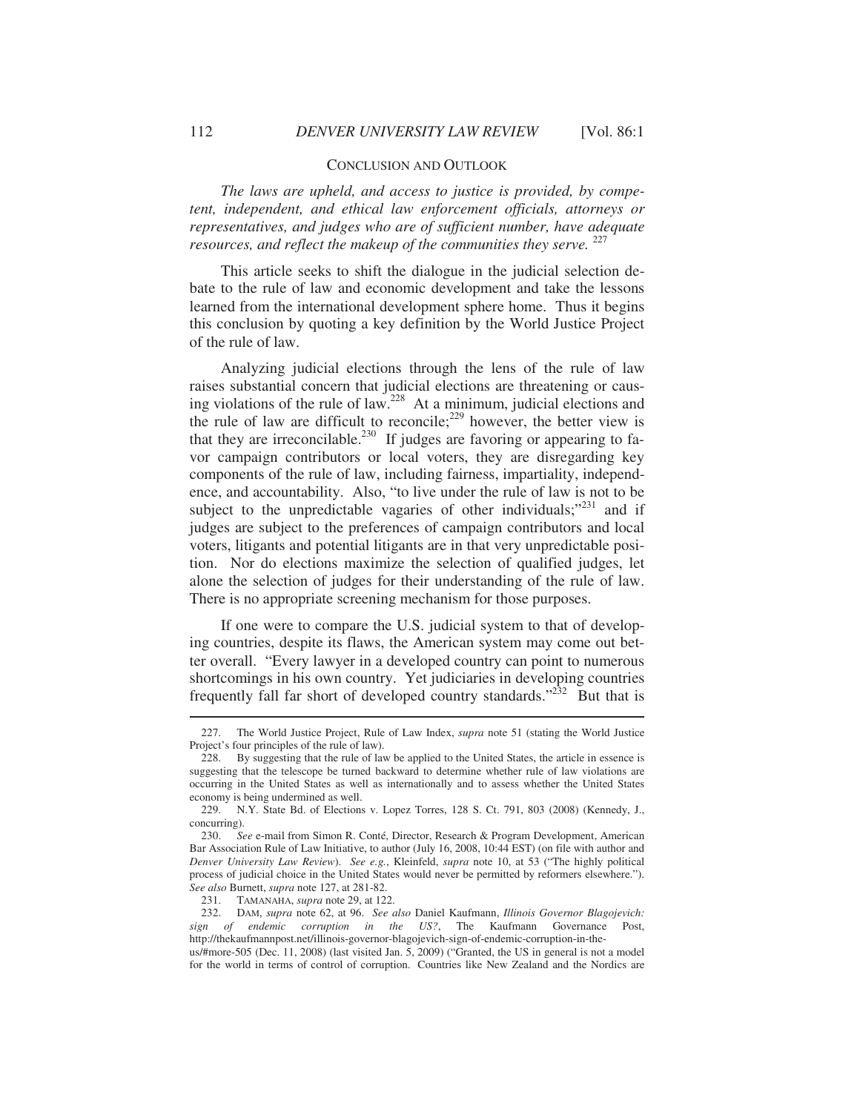#### CONCLUSION AND OUTLOOK

*The laws are upheld, and access to justice is provided, by competent, independent, and ethical law enforcement officials, attorneys or representatives, and judges who are of sufficient number, have adequate resources, and reflect the makeup of the communities they serve.*  $^{227}$ 

This article seeks to shift the dialogue in the judicial selection debate to the rule of law and economic development and take the lessons learned from the international development sphere home. Thus it begins this conclusion by quoting a key definition by the World Justice Project of the rule of law.

Analyzing judicial elections through the lens of the rule of law raises substantial concern that judicial elections are threatening or causing violations of the rule of law.228 At a minimum, judicial elections and the rule of law are difficult to reconcile;<sup>229</sup> however, the better view is that they are irreconcilable.<sup>230</sup> If judges are favoring or appearing to favor campaign contributors or local voters, they are disregarding key components of the rule of law, including fairness, impartiality, independence, and accountability. Also, "to live under the rule of law is not to be subject to the unpredictable vagaries of other individuals;"<sup>231</sup> and if judges are subject to the preferences of campaign contributors and local voters, litigants and potential litigants are in that very unpredictable position. Nor do elections maximize the selection of qualified judges, let alone the selection of judges for their understanding of the rule of law. There is no appropriate screening mechanism for those purposes.

If one were to compare the U.S. judicial system to that of developing countries, despite its flaws, the American system may come out better overall. "Every lawyer in a developed country can point to numerous shortcomings in his own country. Yet judiciaries in developing countries frequently fall far short of developed country standards."<sup>232</sup> But that is

 <sup>227.</sup> The World Justice Project, Rule of Law Index, *supra* note 51 (stating the World Justice Project's four principles of the rule of law).

 <sup>228.</sup> By suggesting that the rule of law be applied to the United States, the article in essence is suggesting that the telescope be turned backward to determine whether rule of law violations are occurring in the United States as well as internationally and to assess whether the United States economy is being undermined as well.

 <sup>229.</sup> N.Y. State Bd. of Elections v. Lopez Torres, 128 S. Ct. 791, 803 (2008) (Kennedy, J., concurring).

 <sup>230.</sup> *See* e-mail from Simon R. Conté, Director, Research & Program Development, American Bar Association Rule of Law Initiative, to author (July 16, 2008, 10:44 EST) (on file with author and *Denver University Law Review*). *See e.g.*, Kleinfeld, *supra* note 10, at 53 ("The highly political process of judicial choice in the United States would never be permitted by reformers elsewhere."). *See also* Burnett, *supra* note 127, at 281-82.

 <sup>231.</sup> TAMANAHA, *supra* note 29, at 122.

 <sup>232.</sup> DAM, *supra* note 62, at 96. *See also* Daniel Kaufmann, *Illinois Governor Blagojevich: sign of endemic corruption in the US?*, The Kaufmann Governance Post, http://thekaufmannpost.net/illinois-governor-blagojevich-sign-of-endemic-corruption-in-the-

us/#more-505 (Dec. 11, 2008) (last visited Jan. 5, 2009) ("Granted, the US in general is not a model for the world in terms of control of corruption. Countries like New Zealand and the Nordics are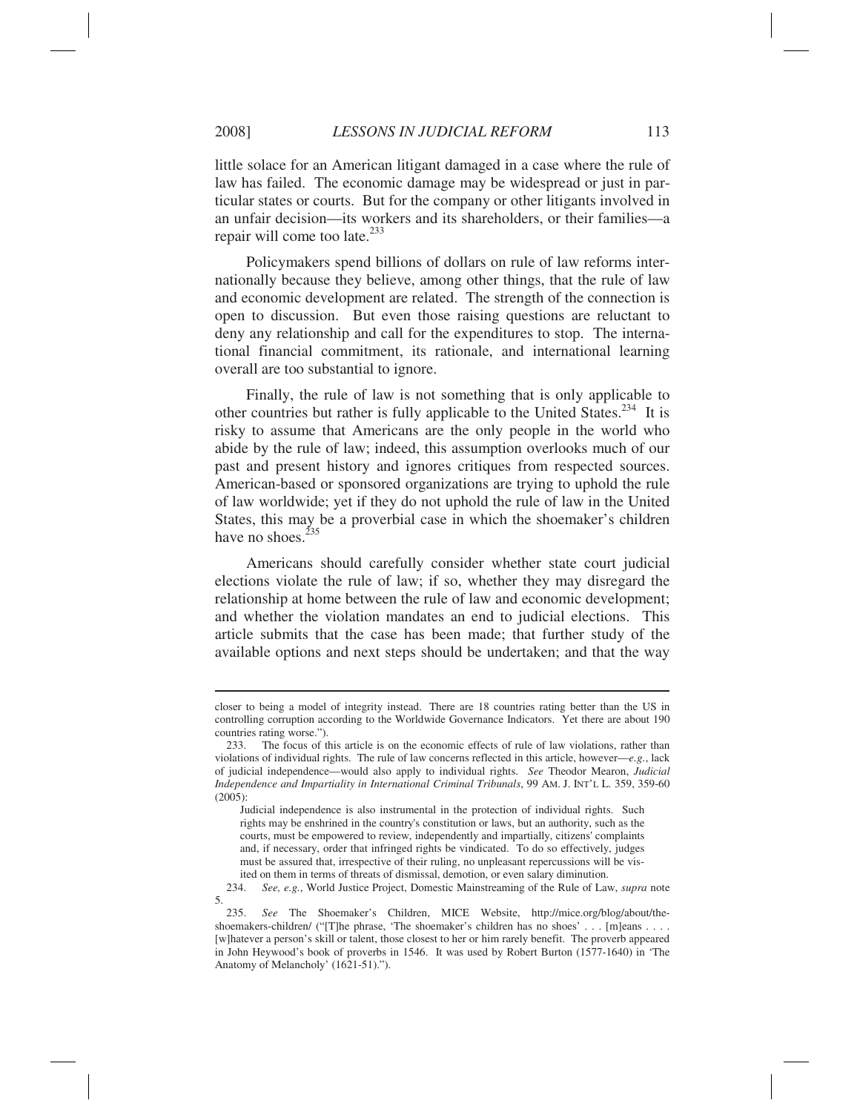$\overline{a}$ 

little solace for an American litigant damaged in a case where the rule of law has failed. The economic damage may be widespread or just in particular states or courts. But for the company or other litigants involved in an unfair decision—its workers and its shareholders, or their families—a repair will come too late.<sup>233</sup>

Policymakers spend billions of dollars on rule of law reforms internationally because they believe, among other things, that the rule of law and economic development are related. The strength of the connection is open to discussion. But even those raising questions are reluctant to deny any relationship and call for the expenditures to stop. The international financial commitment, its rationale, and international learning overall are too substantial to ignore.

Finally, the rule of law is not something that is only applicable to other countries but rather is fully applicable to the United States.234 It is risky to assume that Americans are the only people in the world who abide by the rule of law; indeed, this assumption overlooks much of our past and present history and ignores critiques from respected sources. American-based or sponsored organizations are trying to uphold the rule of law worldwide; yet if they do not uphold the rule of law in the United States, this may be a proverbial case in which the shoemaker's children have no shoes. $^{235}$ 

Americans should carefully consider whether state court judicial elections violate the rule of law; if so, whether they may disregard the relationship at home between the rule of law and economic development; and whether the violation mandates an end to judicial elections. This article submits that the case has been made; that further study of the available options and next steps should be undertaken; and that the way

closer to being a model of integrity instead. There are 18 countries rating better than the US in controlling corruption according to the Worldwide Governance Indicators. Yet there are about 190 countries rating worse.").

 <sup>233.</sup> The focus of this article is on the economic effects of rule of law violations, rather than violations of individual rights. The rule of law concerns reflected in this article, however—*e.g.*, lack of judicial independence—would also apply to individual rights. *See* Theodor Mearon, *Judicial Independence and Impartiality in International Criminal Tribunals*, 99 AM. J. INT'L L. 359, 359-60 (2005):

Judicial independence is also instrumental in the protection of individual rights. Such rights may be enshrined in the country's constitution or laws, but an authority, such as the courts, must be empowered to review, independently and impartially, citizens' complaints and, if necessary, order that infringed rights be vindicated. To do so effectively, judges must be assured that, irrespective of their ruling, no unpleasant repercussions will be visited on them in terms of threats of dismissal, demotion, or even salary diminution.

 <sup>234.</sup> *See, e.g.*, World Justice Project, Domestic Mainstreaming of the Rule of Law, *supra* note 5.

 <sup>235.</sup> *See* The Shoemaker's Children, MICE Website, http://mice.org/blog/about/theshoemakers-children/ ("[T]he phrase, 'The shoemaker's children has no shoes' . . . [m]eans . . . . [w]hatever a person's skill or talent, those closest to her or him rarely benefit. The proverb appeared in John Heywood's book of proverbs in 1546. It was used by Robert Burton (1577-1640) in 'The Anatomy of Melancholy' (1621-51).").